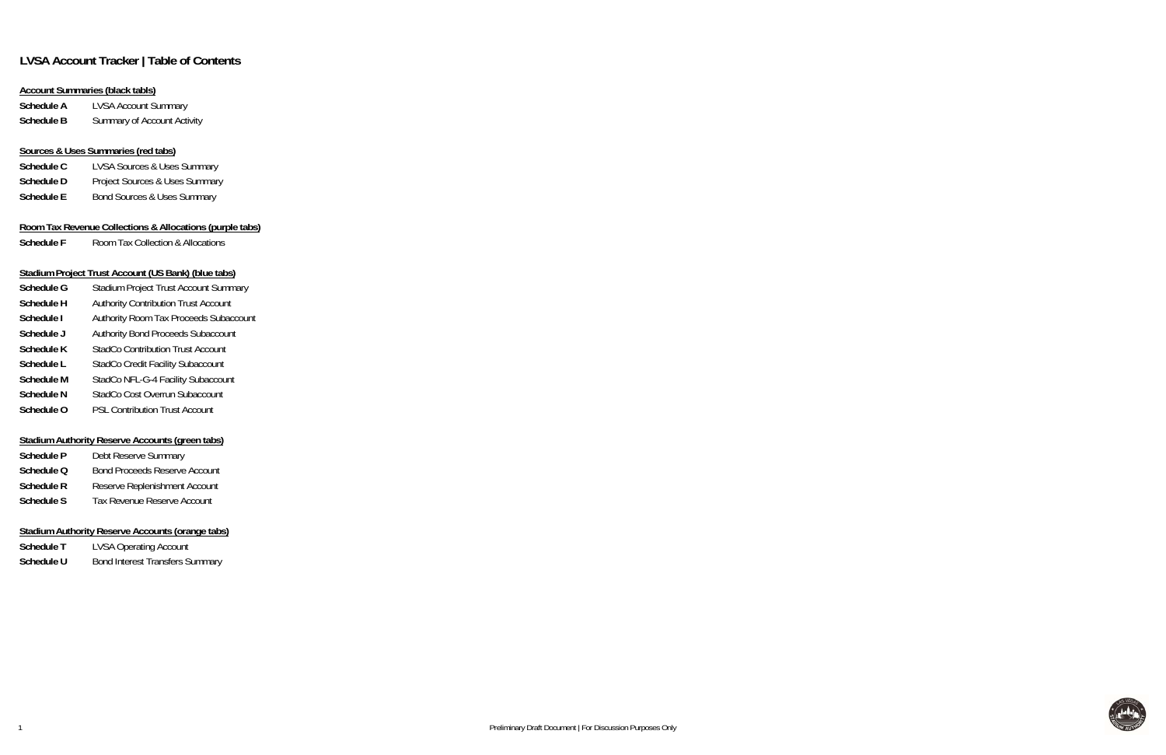## **LVSA Account Tracker | Table of Contents**

### **Account Summaries (black tabls)**

**Schedule A** LVSA Account Summary **Schedule B**Summary of Account Activity

### **Sources & Uses Summaries (red tabs)**

| Schedule C | <b>LVSA Sources &amp; Uses Summary</b> |
|------------|----------------------------------------|
| Schedule D | Project Sources & Uses Summary         |
| Schedule E | <b>Bond Sources &amp; Uses Summary</b> |

### **Room Tax Revenue Collections & Allocations (purple tabs)**

**Schedule F**Room Tax Collection & Allocations

### **Stadium Project Trust Account (US Bank) (blue tabs)**

| Schedule G        | <b>Stadium Project Trust Account Summary</b> |
|-------------------|----------------------------------------------|
| <b>Schedule H</b> | <b>Authority Contribution Trust Account</b>  |
| Schedule I        | Authority Room Tax Proceeds Subaccount       |
| Schedule J        | Authority Bond Proceeds Subaccount           |
| Schedule K        | <b>StadCo Contribution Trust Account</b>     |
| Schedule L        | <b>StadCo Credit Facility Subaccount</b>     |
| <b>Schedule M</b> | StadCo NFL-G-4 Facility Subaccount           |
| <b>Schedule N</b> | StadCo Cost Overrun Subaccount               |
| Schedule O        | <b>PSL Contribution Trust Account</b>        |

### **Stadium Authority Reserve Accounts (green tabs)**

| Schedule P | Debt Reserve Summary                 |
|------------|--------------------------------------|
| Schedule Q | <b>Bond Proceeds Reserve Account</b> |
| Schedule R | Reserve Replenishment Account        |
| Schedule S | <b>Tax Revenue Reserve Account</b>   |

### **Stadium Authority Reserve Accounts (orange tabs)**

| Schedule T | <b>LVSA Operating Account</b>          |
|------------|----------------------------------------|
| Schedule U | <b>Bond Interest Transfers Summary</b> |

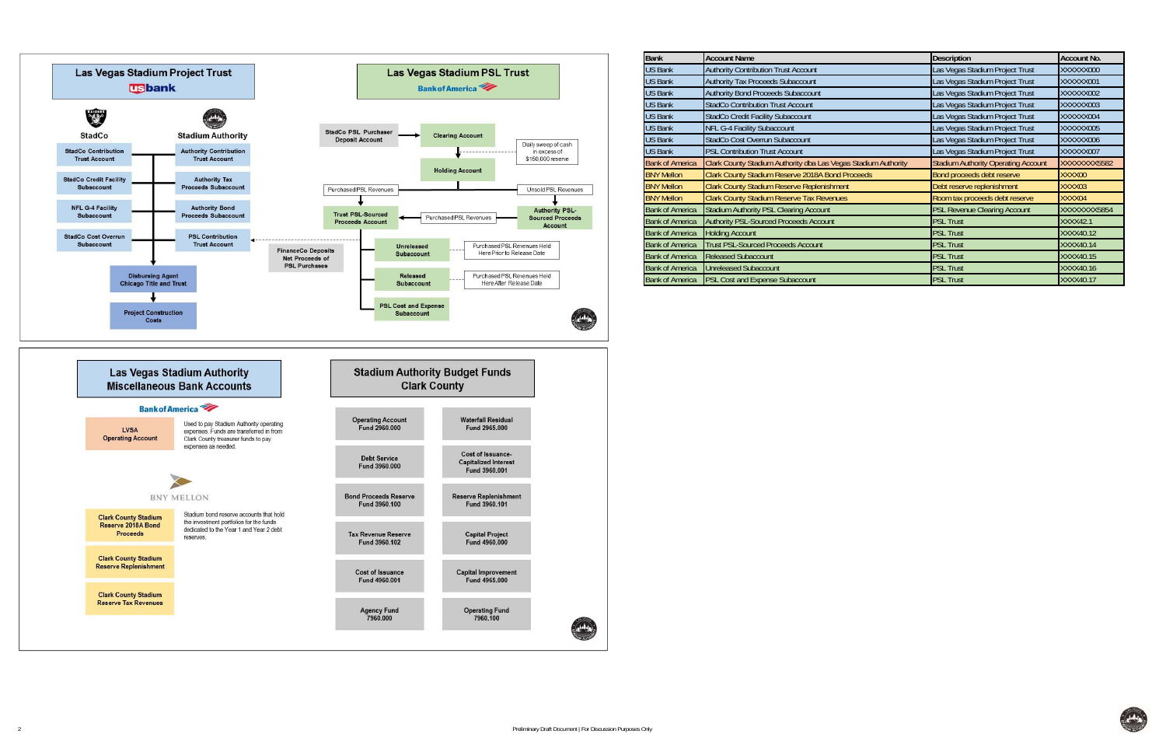

| <b>Bank</b>            | <b>Account Name</b>                                            | <b>Description</b>                         | <b>Account No.</b> |
|------------------------|----------------------------------------------------------------|--------------------------------------------|--------------------|
| <b>US Bank</b>         | <b>Authority Contribution Trust Account</b>                    | Las Vegas Stadium Project Trust            | XXXXXX000          |
| <b>US Bank</b>         | Authority Tax Proceeds Subaccount                              | Las Vegas Stadium Project Trust            | XXXXXX001          |
| <b>US Bank</b>         | Authority Bond Proceeds Subaccount                             | Las Vegas Stadium Project Trust            | XXXXXX002          |
| <b>US Bank</b>         | <b>StadCo Contribution Trust Account</b>                       | Las Vegas Stadium Project Trust            | XXXXXX003          |
| <b>US Bank</b>         | StadCo Credit Facility Subaccount                              | Las Vegas Stadium Project Trust            | XXXXXX004          |
| <b>US Bank</b>         | <b>NFL G-4 Facility Subaccount</b>                             | Las Vegas Stadium Project Trust            | XXXXXX005          |
| <b>US Bank</b>         | StadCo Cost Overrun Subaccount                                 | Las Vegas Stadium Project Trust            | XXXXXX006          |
| <b>US Bank</b>         | <b>PSL Contribution Trust Account</b>                          | Las Vegas Stadium Project Trust            | XXXXXX007          |
| <b>Bank of America</b> | Clark County Stadium Authority dba Las Vegas Stadium Authority | <b>Stadium Authority Operating Account</b> | XXXXXXX5582        |
| <b>BNY Mellon</b>      | Clark County Stadium Reserve 2018A Bond Proceeds               | Bond proceeds debt reserve                 | XXXX00             |
| <b>BNY Mellon</b>      | Clark County Stadium Reserve Replenishment                     | Debt reserve replenishment                 | XXXX03             |
| <b>BNY Mellon</b>      | <b>Clark County Stadium Reserve Tax Revenues</b>               | Room tax proceeds debt reserve             | XXXX04             |
| <b>Bank of America</b> | Stadium Authority PSL Clearing Account                         | <b>PSL Revenue Clearing Account</b>        | XXXXXXXX5854       |
| <b>Bank of America</b> | <b>Authority PSL-Sourced Proceeds Account</b>                  | <b>PSL Trust</b>                           | <b>XXXX42.1</b>    |
| <b>Bank of America</b> | <b>Holding Account</b>                                         | <b>PSL Trust</b>                           | XXXX40.12          |
| <b>Bank of America</b> | <b>Trust PSL-Sourced Proceeds Account</b>                      | <b>PSL Trust</b>                           | XXXX40.14          |
| <b>Bank of America</b> | <b>Released Subaccount</b>                                     | <b>PSL Trust</b>                           | XXXX40.15          |
| <b>Bank of America</b> | <b>Unreleased Subaccount</b>                                   | <b>PSL Trust</b>                           | XXXX40.16          |
| <b>Bank of America</b> | PSL Cost and Expense Subaccount                                | <b>PSL Trust</b>                           | XXXX40.17          |

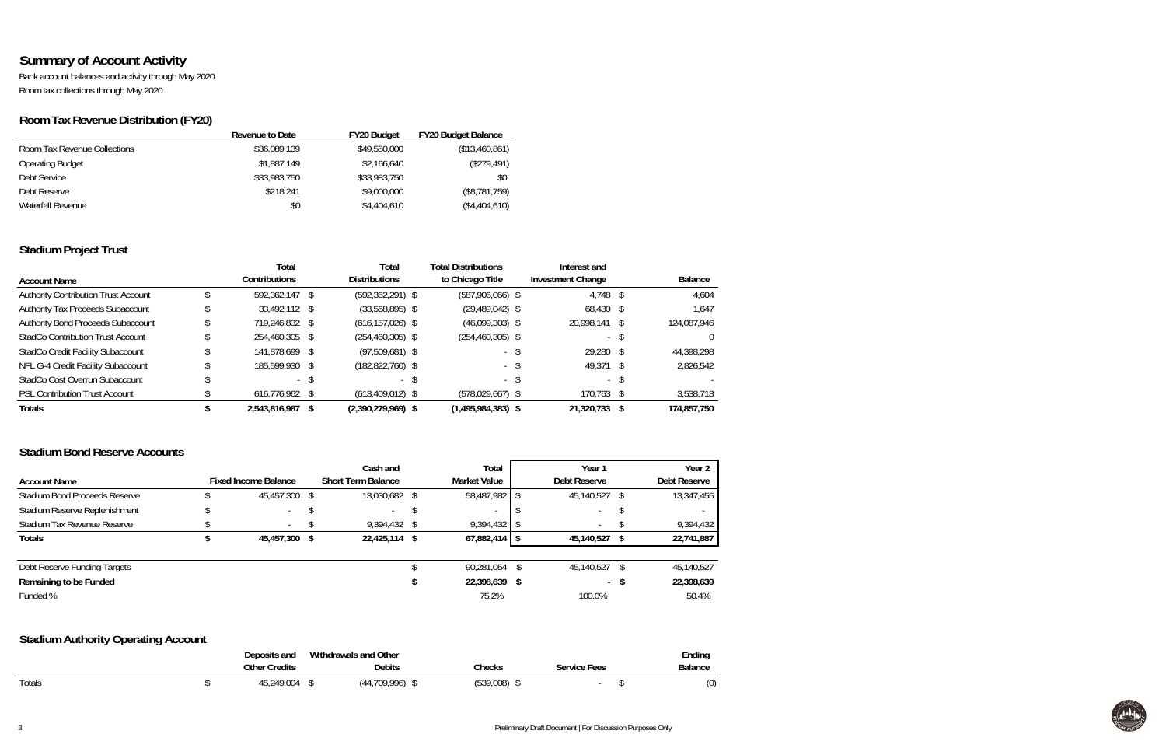## **Summary of Account Activity**

Bank account balances and activity through May 2020 Room tax collections through May 2020

## **Room Tax Revenue Distribution (FY20)**

|                              | Revenue to Date | <b>FY20 Budget</b> | <b>FY20 Budget Balance</b> |
|------------------------------|-----------------|--------------------|----------------------------|
| Room Tax Revenue Collections | \$36,089,139    | \$49,550,000       | (\$13,460,861)             |
| <b>Operating Budget</b>      | \$1,887,149     | \$2,166,640        | (\$279,491)                |
| Debt Service                 | \$33,983,750    | \$33,983,750       | \$0                        |
| Debt Reserve                 | \$218,241       | \$9,000,000        | (\$8,781,759)              |
| Waterfall Revenue            | \$0             | \$4,404,610        | (\$4,404,610)              |

## **Stadium Project Trust**

|                                           | Total          | Total                | <b>Total Distributions</b> | Interest and             |                |
|-------------------------------------------|----------------|----------------------|----------------------------|--------------------------|----------------|
| <b>Account Name</b>                       | Contributions  | <b>Distributions</b> | to Chicago Title           | <b>Investment Change</b> | <b>Balance</b> |
| Authority Contribution Trust Account      | 592,362,147 \$ | $(592, 362, 291)$ \$ | $(587,906,066)$ \$         | $4,748$ \$               | 4,604          |
| <b>Authority Tax Proceeds Subaccount</b>  | 33,492,112 \$  | $(33,558,895)$ \$    | $(29, 489, 042)$ \$        | 68,430 \$                | 1,647          |
| <b>Authority Bond Proceeds Subaccount</b> | 719,246,832 \$ | $(616, 157, 026)$ \$ | $(46,099,303)$ \$          | 20,998,141 \$            | 124,087,946    |
| <b>StadCo Contribution Trust Account</b>  | 254,460,305 \$ | $(254, 460, 305)$ \$ | $(254, 460, 305)$ \$       |                          |                |
| <b>StadCo Credit Facility Subaccount</b>  | 141,878,699 \$ | $(97,509,681)$ \$    | - \$                       | $29,280$ \$              | 44,398,298     |
| NFL G-4 Credit Facility Subaccount        | 185,599,930 \$ | $(182, 822, 760)$ \$ | $\sim$                     | 49,371 \$                | 2,826,542      |
| StadCo Cost Overrun Subaccount            | $\sim$         | $\sim$ 10 $\pm$      | $\sim$                     | $\sim$                   |                |
| <b>PSL Contribution Trust Account</b>     | 616,776,962 \$ | $(613, 409, 012)$ \$ | $(578,029,667)$ \$         | 170,763 \$               | 3,538,713      |
| <b>Totals</b>                             | 2,543,816,987  | $(2,390,279,969)$ \$ | $(1,495,984,383)$ \$       | 21,320,733 \$            | 174,857,750    |

### **Stadium Bond Reserve Accounts**

|                                      |                             | Cash and                  | Total               |    | Year 1         | Year <sub>2</sub> |
|--------------------------------------|-----------------------------|---------------------------|---------------------|----|----------------|-------------------|
| <b>Account Name</b>                  | <b>Fixed Income Balance</b> | <b>Short Term Balance</b> | <b>Market Value</b> |    | Debt Reserve   | Debt Reserve      |
| <b>Stadium Bond Proceeds Reserve</b> | 45,457,300 \$               | 13,030,682 \$             | 58,487,982          |    | 45,140,527     | 13,347,455        |
| Stadium Reserve Replenishment        | $\sim$ 10 $\pm$             |                           |                     |    |                |                   |
| Stadium Tax Revenue Reserve          | $\sim$                      | 9,394,432 \$              | 9,394,432           |    |                | 9,394,432         |
| <b>Totals</b>                        | 45,457,300 \$               | 22,425,114 \$             | 67,882,414          |    | 45,140,527     | 22,741,887        |
| Debt Reserve Funding Targets         |                             |                           | 90,281,054          |    | 45,140,527     | 45,140,527        |
|                                      |                             |                           |                     |    |                |                   |
| Remaining to be Funded               |                             |                           | 22,398,639          | -S | $\blacksquare$ | 22,398,639        |
| Funded %                             |                             |                           | 75.2%               |    | 100.0%         | 50.4%             |

## **Stadium Authority Operating Account**

|               | Deposits and                    | Withdrawals and Other |           |              | Ending         |
|---------------|---------------------------------|-----------------------|-----------|--------------|----------------|
|               | <b>Other Credits</b>            | <b>Debits</b>         | Checks    | service Fees | <b>Balance</b> |
| <b>Totals</b> | ,249,004<br>24 <sup>u</sup> ۰ ل | (44, 709, 996)        | (539,008) |              | (0)            |

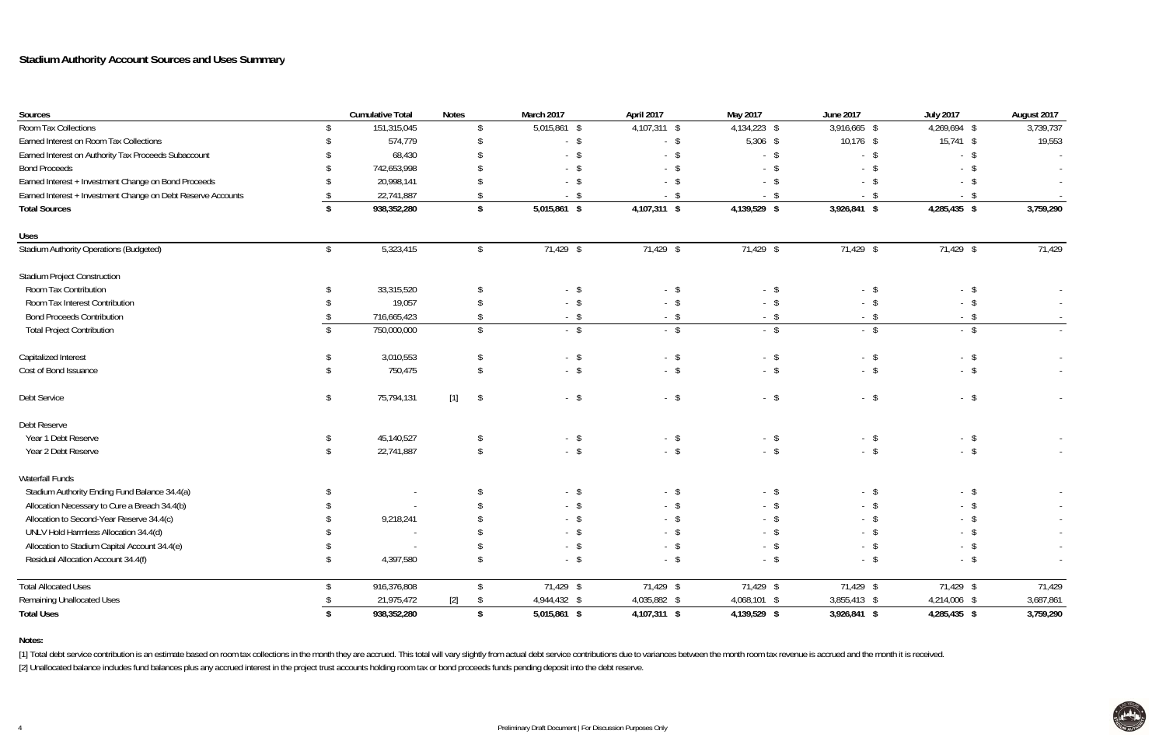| Sources                                                      |                | <b>Cumulative Total</b> | <b>Notes</b>        | March 2017   | April 2017   | May 2017     | <b>June 2017</b> | <b>July 2017</b> | August 2017              |
|--------------------------------------------------------------|----------------|-------------------------|---------------------|--------------|--------------|--------------|------------------|------------------|--------------------------|
| Room Tax Collections                                         |                | 151,315,045             |                     | 5,015,861 \$ | 4,107,311 \$ | 4,134,223 \$ | 3,916,665 \$     | 4,269,694 \$     | 3,739,737                |
| Earned Interest on Room Tax Collections                      |                | 574,779                 |                     | $-$ \$       | $-$ \$       | 5,306 \$     | $10,176$ \$      | 15,741 \$        | 19,553                   |
| Earned Interest on Authority Tax Proceeds Subaccount         |                | 68,430                  |                     | $-$ \$       | $-$ \$       | $-$ \$       | $-$ \$           | $-$ \$           | $\overline{\phantom{a}}$ |
| <b>Bond Proceeds</b>                                         |                | 742,653,998             |                     | $-$ \$       | - \$         | $-$ \$       | $-$ \$           | $-$ \$           |                          |
| Earned Interest + Investment Change on Bond Proceeds         |                | 20,998,141              |                     | $-$ \$       | - \$         | $-$ \$       | $-$ \$           | - \$             | $\sim$                   |
| Earned Interest + Investment Change on Debt Reserve Accounts |                | 22,741,887              |                     | - \$         | - \$         | - \$         | - \$             | - \$             |                          |
| <b>Total Sources</b>                                         |                | 938,352,280             | \$                  | 5,015,861 \$ | 4,107,311 \$ | 4,139,529 \$ | 3,926,841 \$     | 4,285,435 \$     | 3,759,290                |
| <b>Uses</b>                                                  |                |                         |                     |              |              |              |                  |                  |                          |
| <b>Stadium Authority Operations (Budgeted)</b>               | $\mathfrak{L}$ | 5,323,415               | Ŝ.                  | 71,429 \$    | 71,429 \$    | 71,429 \$    | 71,429 \$        | 71,429 \$        | 71,429                   |
| <b>Stadium Project Construction</b>                          |                |                         |                     |              |              |              |                  |                  |                          |
| Room Tax Contribution                                        |                | 33,315,520              |                     | $-$ \$       | $-$ \$       | $-$ \$       | $-$ \$           | $-$ \$           |                          |
| Room Tax Interest Contribution                               |                | 19,057                  |                     | $-$ \$       | $-$ \$       | $-$ \$       | $-$ \$           | $-$ \$           | $\sim$                   |
| <b>Bond Proceeds Contribution</b>                            |                | 716,665,423             |                     | $-$ \$       | $-$ \$       | $-$ \$       | $-$ \$           | $-$ \$           | $\sim$                   |
| <b>Total Project Contribution</b>                            |                | 750,000,000             | $\mathcal{S}$       | $-$ \$       | $-$ \$       | $-$ \$       | $-$ \$           | $-$ \$           |                          |
| Capitalized Interest                                         |                | 3,010,553               |                     | $-$ \$       | $-$ \$       | $-$ \$       | $-$ \$           | $-$ \$           | $\sim$                   |
| Cost of Bond Issuance                                        |                | 750,475                 |                     | $-$ \$       | $-$ \$       | $-$ \$       | $-$ \$           | $-$ \$           | $\sim$                   |
| Debt Service                                                 | -\$            | 75,794,131              | $[1]$<br>$\sqrt{2}$ | $-$ \$       | $-$ \$       | $-$ \$       | $-$ \$           | $-$ \$           |                          |
| Debt Reserve                                                 |                |                         |                     |              |              |              |                  |                  |                          |
| Year 1 Debt Reserve                                          |                | 45,140,527              |                     | $-$ \$       | $-$ \$       | $-$ \$       | $-$ \$           | $-$ \$           | $\sim$                   |
| Year 2 Debt Reserve                                          |                | 22,741,887              |                     | $-$ \$       | $-$ \$       | $-$ \$       | $-$ \$           | $-$ \$           | $\sim$                   |
| Waterfall Funds                                              |                |                         |                     |              |              |              |                  |                  |                          |
| Stadium Authority Ending Fund Balance 34.4(a)                |                |                         |                     | $-$ \$       | $-$ \$       | $-$ \$       | $-$ \$           | $-$ \$           |                          |
| Allocation Necessary to Cure a Breach 34.4(b)                |                |                         |                     | $-$ \$       | - \$         | $-$ \$       | $-$ \$           | - \$             | $\sim$                   |
| Allocation to Second-Year Reserve 34.4(c)                    |                | 9,218,241               |                     | $-$ \$       | - \$         | $-$ \$       |                  | - \$             | $\sim$                   |
| UNLV Hold Harmless Allocation 34.4(d)                        |                |                         |                     | - \$         | - \$         | - \$         | - \$             |                  |                          |
| Allocation to Stadium Capital Account 34.4(e)                |                |                         |                     | $-$ \$       | $-$ \$       | $-$ \$       | $-$ \$           | $-$ \$           | $\sim$                   |
| Residual Allocation Account 34.4(f)                          | -\$            | 4,397,580               | \$                  | $-$ \$       | $-$ \$       | $-$ \$       | $-$ \$           | $-$ \$           | $\sim$                   |
| <b>Total Allocated Uses</b>                                  | \$.            | 916,376,808             | S.                  | 71,429 \$    | 71,429 \$    | 71,429 \$    | 71,429 \$        | 71,429 \$        | 71,429                   |
| <b>Remaining Unallocated Uses</b>                            |                | 21,975,472              | $[2]$<br>- \$       | 4,944,432 \$ | 4,035,882 \$ | 4,068,101 \$ | 3,855,413 \$     | 4,214,006 \$     | 3,687,861                |
| <b>Total Uses</b>                                            | \$             | 938,352,280             | \$                  | 5,015,861 \$ | 4,107,311 \$ | 4,139,529 \$ | 3,926,841 \$     | 4,285,435 \$     | 3,759,290                |

#### **Notes:**

[1] Total debt service contribution is an estimate based on room tax collections in the month they are accrued. This total will vary slightly from actual debt service contributions due to variances between the month room t [2] Unallocated balance includes fund balances plus any accrued interest in the project trust accounts holding room tax or bond proceeds funds pending deposit into the debt reserve.

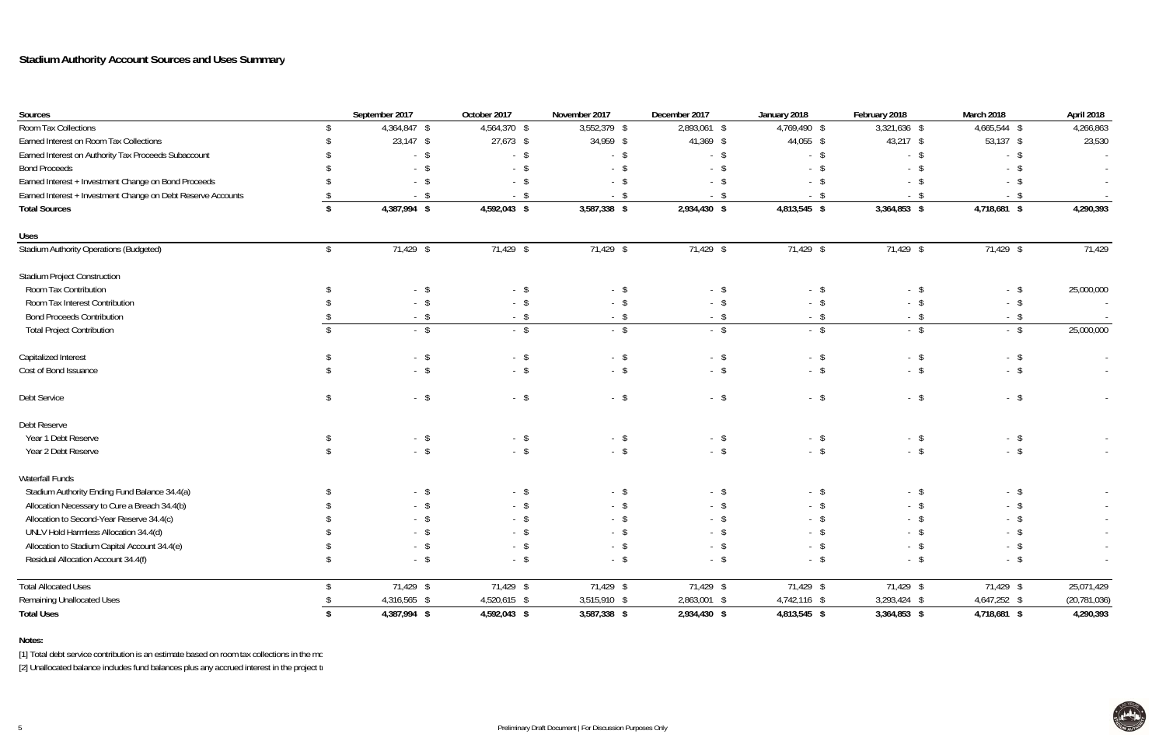**Notes:**

[1] Total debt service contribution is an estimate based on room tax collections in the mo

| Sources                                                      |                | September 2017 | October 2017 | November 2017 | December 2017 | January 2018 | February 2018  | March 2018           | April 2018     |
|--------------------------------------------------------------|----------------|----------------|--------------|---------------|---------------|--------------|----------------|----------------------|----------------|
| Room Tax Collections                                         |                | 4,364,847 \$   | 4,564,370 \$ | 3,552,379 \$  | 2,893,061 \$  | 4,769,490 \$ | 3,321,636 \$   | 4,665,544 \$         | 4,266,863      |
| Earned Interest on Room Tax Collections                      |                | $23,147$ \$    | 27,673 \$    | 34,959 \$     | 41,369 \$     | 44,055 \$    | 43,217 \$      | $53,137$ \$          | 23,530         |
| Earned Interest on Authority Tax Proceeds Subaccount         |                | $-$ \$         | $-$ \$       | $-$ \$        | $-$ \$        | $-$ \$       | $-$ \$         | $-$ \$               |                |
| <b>Bond Proceeds</b>                                         |                | $-$ \$         | $-$ \$       | $-$ \$        | - \$          | - \$         | $-$ \$         | - \$                 |                |
| Earned Interest + Investment Change on Bond Proceeds         |                | $-$ \$         | $-$ \$       | $-$ \$        | - \$          | - \$         | $-$ \$         | $-$ \$               | $\sim$         |
| Earned Interest + Investment Change on Debt Reserve Accounts |                | - \$           | - \$         | - \$          | - \$          | - \$         | - \$           |                      |                |
| <b>Total Sources</b>                                         |                | 4,387,994 \$   | 4,592,043 \$ | 3,587,338 \$  | 2,934,430 \$  | 4,813,545 \$ | $3,364,853$ \$ | 4,718,681 \$         | 4,290,393      |
| <b>Uses</b>                                                  |                |                |              |               |               |              |                |                      |                |
| Stadium Authority Operations (Budgeted)                      | \$             | 71,429 \$      | 71,429 \$    | 71,429 \$     | 71,429 \$     | 71,429 \$    | 71,429 \$      | 71,429 \$            | 71,429         |
| <b>Stadium Project Construction</b>                          |                |                |              |               |               |              |                |                      |                |
| Room Tax Contribution                                        |                | $-$ \$         | $-$ \$       | $-$ \$        | - \$          | $-$ \$       | $-$ \$         | $-$ \$               | 25,000,000     |
| Room Tax Interest Contribution                               |                | $-$ \$         | $-$ \$       | $-$ \$        | - \$          | - \$         | $-$ \$         | $-$ \$               |                |
| <b>Bond Proceeds Contribution</b>                            |                | $-$ \$         | $-$ \$       | $-$ \$        | $-$ \$        | $-$ \$       | $-$ \$         | - \$                 | $\sim$         |
| <b>Total Project Contribution</b>                            |                | $-$ \$         | $-$ \$       | $-$ \$        | $-$ \$        | $-$ \$       | $-$ \$         | $-$ \$               | 25,000,000     |
| Capitalized Interest                                         |                | $-$ \$         | $-$ \$       | $-$ \$        | $-$ \$        | $-$ \$       | $-$ \$         | $\sqrt{2}$<br>$\sim$ |                |
| Cost of Bond Issuance                                        |                | $-$ \$         | $-$ \$       | $-$ \$        | $-$ \$        | $-$ \$       | $-$ \$         | $-$ \$               |                |
| Debt Service                                                 | $\mathfrak{L}$ | $-$ \$         | $-$ \$       | $-$ \$        | $-$ \$        | $-$ \$       | $-$ \$         | $-$ \$               |                |
| Debt Reserve                                                 |                |                |              |               |               |              |                |                      |                |
| Year 1 Debt Reserve                                          |                | $-$ \$         | $-$ \$       | $-$ \$        | $-$ \$        | $-$ \$       | $-$ \$         | $-$ \$               |                |
| Year 2 Debt Reserve                                          |                | $-$ \$         | $-$ \$       | $-$ \$        | $-$ \$        | $-$ \$       | $-$ \$         | $-$ \$               |                |
| Waterfall Funds                                              |                |                |              |               |               |              |                |                      |                |
| Stadium Authority Ending Fund Balance 34.4(a)                |                | $-$ \$         | $-$ \$       | $-$ \$        | $-$ \$        | $-$ \$       | $-$ \$         | $-$ \$               |                |
| Allocation Necessary to Cure a Breach 34.4(b)                |                | $-$ \$         | - \$         | $-$ \$        | - \$          | - \$         | - \$           | - \$                 | $\sim$         |
| Allocation to Second-Year Reserve 34.4(c)                    |                | $-$ \$         | $-$ \$       | $-$ \$        | - \$          | - \$         | $-$ \$         |                      | $\sim$         |
| UNLV Hold Harmless Allocation 34.4(d)                        |                | - \$           | - \$         |               | - \$          | - \$         | - \$           |                      |                |
| Allocation to Stadium Capital Account 34.4(e)                |                | $-$ \$         | $-$ \$       | $-$ \$        | $-$ \$        | $-$ \$       | $-$ \$         | $-$ \$               | $\sim$         |
| Residual Allocation Account 34.4(f)                          |                | $-$ \$         | $-$ \$       | $-$ \$        | $-$ \$        | $-$ \$       | $-$ \$         | $-$ \$               | $\sim$         |
| <b>Total Allocated Uses</b>                                  |                | 71,429 \$      | 71,429 \$    | 71,429 \$     | 71,429 \$     | 71,429 \$    | 71,429 \$      | 71,429 \$            | 25,071,429     |
| <b>Remaining Unallocated Uses</b>                            |                | 4,316,565 \$   | 4,520,615 \$ | 3,515,910 \$  | 2,863,001 \$  | 4,742,116 \$ | 3,293,424 \$   | 4,647,252 \$         | (20, 781, 036) |
| <b>Total Uses</b>                                            |                | 4,387,994 \$   | 4,592,043 \$ | 3,587,338 \$  | 2,934,430 \$  | 4,813,545 \$ | 3,364,853 \$   | 4,718,681 \$         | 4,290,393      |

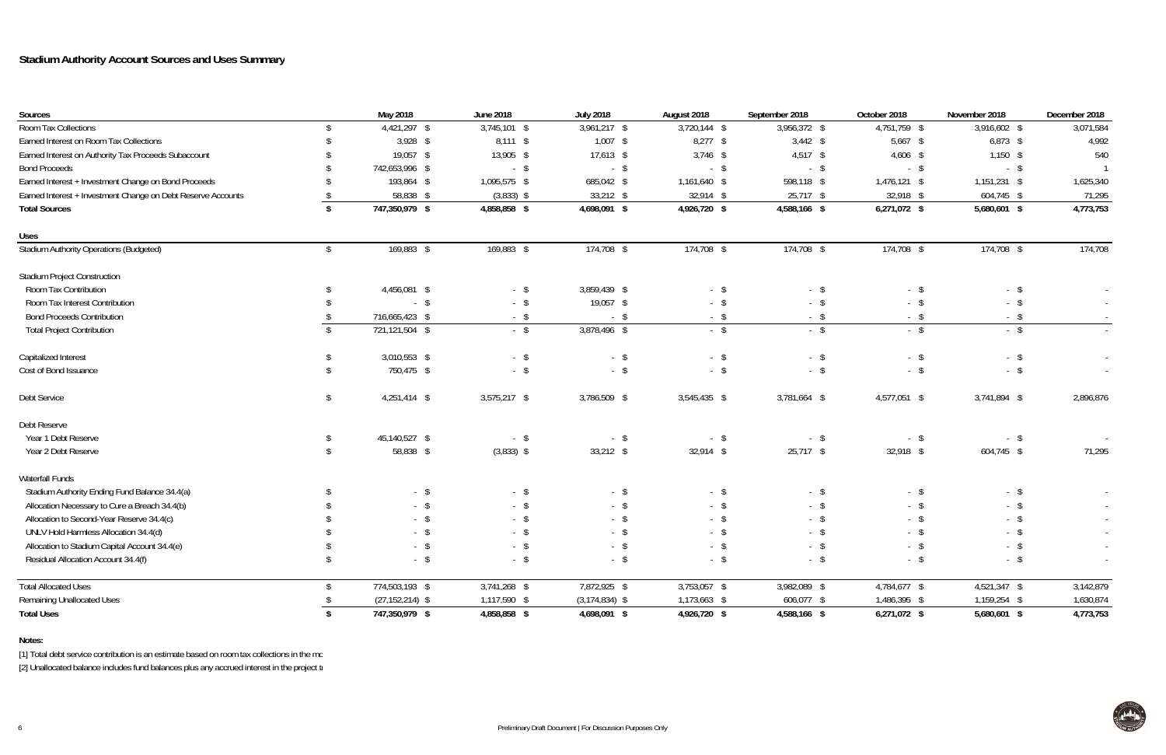**Notes:**

[1] Total debt service contribution is an estimate based on room tax collections in the mo

| Sources                                                      |                         | May 2018            | <b>June 2018</b> | <b>July 2018</b>   | August 2018    | September 2018 | October 2018   | November 2018 | December 2018 |
|--------------------------------------------------------------|-------------------------|---------------------|------------------|--------------------|----------------|----------------|----------------|---------------|---------------|
| Room Tax Collections                                         |                         | 4,421,297 \$        | $3,745,101$ \$   | $3,961,217$ \$     | $3,720,144$ \$ | 3,956,372 \$   | 4,751,759 \$   | 3,916,602 \$  | 3,071,584     |
| Earned Interest on Room Tax Collections                      |                         | $3,928$ \$          | $8,111$ \$       | $1,007$ \$         | $8,277$ \$     | $3,442$ \$     | $5,667$ \$     | $6,873$ \$    | 4,992         |
| Earned Interest on Authority Tax Proceeds Subaccount         |                         | 19,057 \$           | 13,905 \$        | $17,613$ \$        | $3,746$ \$     | $4,517$ \$     | $4,606$ \$     | $1,150$ \$    | 540           |
| <b>Bond Proceeds</b>                                         |                         | 742,653,996 \$      | $-$ \$           | $-$ \$             | $-$ \$         | $-$ \$         | $-$ \$         | $-$ \$        |               |
| Earned Interest + Investment Change on Bond Proceeds         |                         | 193,864 \$          | 1,095,575 \$     | 685,042 \$         | 1,161,640 \$   | 598,118 \$     | 1,476,121 \$   | 1,151,231 \$  | 1,625,340     |
| Earned Interest + Investment Change on Debt Reserve Accounts |                         | 58,838 \$           | $(3,833)$ \$     | $33,212$ \$        | $32,914$ \$    | $25,717$ \$    | 32,918 \$      | 604,745 \$    | 71,295        |
| <b>Total Sources</b>                                         |                         | 747,350,979 \$      | 4,858,858 \$     | 4,698,091 \$       | 4,926,720 \$   | 4,588,166 \$   | $6,271,072$ \$ | 5,680,601 \$  | 4,773,753     |
| <b>Uses</b>                                                  |                         |                     |                  |                    |                |                |                |               |               |
| <b>Stadium Authority Operations (Budgeted)</b>               | $\sqrt[6]{\frac{1}{2}}$ | 169,883 \$          | 169,883 \$       | 174,708 \$         | 174,708 \$     | 174,708 \$     | 174,708 \$     | 174,708 \$    | 174,708       |
| <b>Stadium Project Construction</b>                          |                         |                     |                  |                    |                |                |                |               |               |
| Room Tax Contribution                                        |                         | 4,456,081 \$        | $-$ \$           | 3,859,439 \$       | $-$ \$         | $-$ \$         | $-$ \$         | $-$ \$        |               |
| Room Tax Interest Contribution                               |                         | $-$ \$              | $-$ \$           | 19,057 \$          | $-$ \$         | $-$ \$         | $-$ \$         | $-$ \$        |               |
| <b>Bond Proceeds Contribution</b>                            |                         | 716,665,423 \$      | $-$ \$           | $-$ \$             | $-$ \$         | $-$ \$         | $-$ \$         | $-$ \$        | $\sim$        |
| <b>Total Project Contribution</b>                            |                         | 721,121,504 \$      | $-$ \$           | 3,878,496 \$       | $-$ \$         | $-$ \$         | $-$ \$         | $-$ \$        |               |
| Capitalized Interest                                         |                         | $3,010,553$ \$      | $-$ \$           | $-$ \$             | $-$ \$         | $-$ \$         | $-$ \$         | $-$ \$        |               |
| Cost of Bond Issuance                                        |                         | 750,475 \$          | $-$ \$           | $-$ \$             | $-$ \$         | $-$ \$         | $-$ \$         | $-$ \$        |               |
| Debt Service                                                 | \$                      | $4,251,414$ \$      | $3,575,217$ \$   | 3,786,509 \$       | 3,545,435 \$   | 3,781,664 \$   | 4,577,051 \$   | 3,741,894 \$  | 2,896,876     |
| Debt Reserve                                                 |                         |                     |                  |                    |                |                |                |               |               |
| Year 1 Debt Reserve                                          |                         | 45,140,527 \$       | $-$ \$           | $-$ \$             | $-$ \$         | $-$ \$         | $-$ \$         | $-$ \$        |               |
| Year 2 Debt Reserve                                          | S.                      | 58,838 \$           | $(3,833)$ \$     | $33,212$ \$        | $32,914$ \$    | $25,717$ \$    | 32,918 \$      | 604,745 \$    | 71,295        |
| Waterfall Funds                                              |                         |                     |                  |                    |                |                |                |               |               |
| Stadium Authority Ending Fund Balance 34.4(a)                |                         | $-$ \$              | $-$ \$           | $-$ \$             | $-$ \$         | $-$ \$         | $-$ \$         | $-$ \$        |               |
| Allocation Necessary to Cure a Breach 34.4(b)                |                         | $-$ \$              | $-$ \$           | $-$ \$             | $-$ \$         | $-$ \$         | $-$ \$         | $-$ \$        |               |
| Allocation to Second-Year Reserve 34.4(c)                    |                         | $-$ \$              | $-$ \$           | $-$ \$             | - \$           | - \$           | $-$ \$         | -\$<br>$\sim$ | $\sim$        |
| UNLV Hold Harmless Allocation 34.4(d)                        |                         | - \$                | - \$             | - \$               | - \$           | - \$           | - \$           | $-5$          | $\sim$        |
| Allocation to Stadium Capital Account 34.4(e)                |                         | $-$ \$              | $-$ \$           | $-$ \$             | $-$ \$         | $-$ \$         | $-$ \$         | $-$ \$        | $\sim$        |
| Residual Allocation Account 34.4(f)                          |                         | $-$ \$              | $-$ \$           | $-$ \$             | $-$ \$         | $-$ \$         | $-$ \$         | $-$ \$        | $\sim$        |
| <b>Total Allocated Uses</b>                                  |                         | 774,503,193 \$      | $3,741,268$ \$   | 7,872,925 \$       | 3,753,057 \$   | 3,982,089 \$   | 4,784,677 \$   | 4,521,347 \$  | 3,142,879     |
| <b>Remaining Unallocated Uses</b>                            |                         | $(27, 152, 214)$ \$ | 1,117,590 \$     | $(3, 174, 834)$ \$ | 1,173,663 \$   | 606,077 \$     | 1,486,395 \$   | 1,159,254 \$  | 1,630,874     |
| <b>Total Uses</b>                                            |                         | 747,350,979 \$      | 4,858,858 \$     | 4,698,091 \$       | 4,926,720 \$   | 4,588,166 \$   | 6,271,072 \$   | 5,680,601 \$  | 4,773,753     |

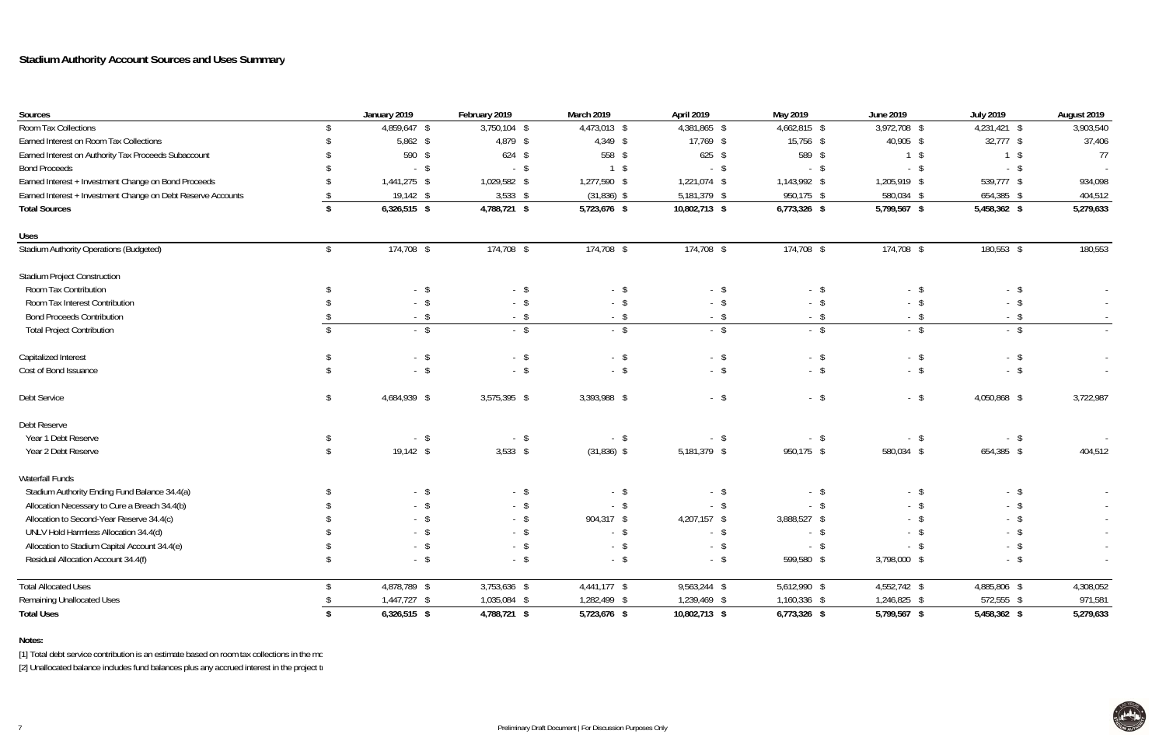#### **Notes:**

[1] Total debt service contribution is an estimate based on room tax collections in the mo

| Sources                                                      |                         | January 2019   | February 2019 | <b>March 2019</b> | April 2019    | May 2019     | <b>June 2019</b> | <b>July 2019</b>          | August 2019 |
|--------------------------------------------------------------|-------------------------|----------------|---------------|-------------------|---------------|--------------|------------------|---------------------------|-------------|
| Room Tax Collections                                         |                         | 4,859,647 \$   | 3,750,104 \$  | 4,473,013 \$      | 4,381,865 \$  | 4,662,815 \$ | 3,972,708 \$     | $\overline{4,}231,421$ \$ | 3,903,540   |
| Earned Interest on Room Tax Collections                      |                         | $5,862$ \$     | 4,879 \$      | $4,349$ \$        | 17,769 \$     | 15,756 \$    | 40,905 \$        | $32,777$ \$               | 37,406      |
| Earned Interest on Authority Tax Proceeds Subaccount         |                         | 590 \$         | $624$ \$      | 558 \$            | $625$ \$      | 589 \$       | $1 \quad$        | $1 \quad$                 | 77          |
| <b>Bond Proceeds</b>                                         |                         | $-$ \$         | $-$ \$        | $1 \quad$         | $-$ \$        | $-$ \$       | $-$ \$           | $-$ \$                    |             |
| Earned Interest + Investment Change on Bond Proceeds         |                         | 1,441,275 \$   | 1,029,582 \$  | 1,277,590 \$      | 1,221,074 \$  | 1,143,992 \$ | 1,205,919 \$     | 539,777 \$                | 934,098     |
| Earned Interest + Investment Change on Debt Reserve Accounts |                         | $19,142$ \$    | $3,533$ \$    | $(31,836)$ \$     | 5,181,379 \$  | 950,175 \$   | 580,034 \$       | 654,385 \$                | 404,512     |
| <b>Total Sources</b>                                         |                         | $6,326,515$ \$ | 4,788,721 \$  | 5,723,676 \$      | 10,802,713 \$ | 6,773,326 \$ | 5,799,567 \$     | 5,458,362 \$              | 5,279,633   |
| <b>Uses</b>                                                  |                         |                |               |                   |               |              |                  |                           |             |
| <b>Stadium Authority Operations (Budgeted)</b>               | $\sqrt[6]{\frac{1}{2}}$ | 174,708 \$     | 174,708 \$    | $174,708$ \$      | 174,708 \$    | $174,708$ \$ | 174,708 \$       | 180,553 \$                | 180,553     |
| <b>Stadium Project Construction</b>                          |                         |                |               |                   |               |              |                  |                           |             |
| Room Tax Contribution                                        |                         | $-$ \$         | $-$ \$        | $-$ \$            | $-$ \$        | $-$ \$       | $-$ \$           | $-$ \$                    |             |
| Room Tax Interest Contribution                               |                         | $-$ \$         | $-$ \$        | $-$ \$            | $-$ \$        | $-$ \$       | $-$ \$           | $-$ \$                    | $\sim$      |
| <b>Bond Proceeds Contribution</b>                            |                         | $-$ \$         | $-$ \$        | $-$ \$            | $-$ \$        | - \$         | $-$ \$           | $-$ \$                    |             |
| <b>Total Project Contribution</b>                            |                         | $-$ \$         | $-$ \$        | $-$ \$            | $-$ \$        | $-$ \$       | $-$ \$           | $-$ \$                    |             |
| Capitalized Interest                                         |                         | $-$ \$         | $-$ \$        | $-$ \$            | $-$ \$        | $-$ \$       | $-$ \$           | $-$ \$                    |             |
| Cost of Bond Issuance                                        |                         | $-$ \$         | $-$ \$        | $-$ \$            | $-$ \$        | $-$ \$       | $-$ \$           | $-$ \$                    |             |
| Debt Service                                                 | \$                      | 4,684,939 \$   | 3,575,395 \$  | 3,393,988 \$      | $-$ \$        | $-$ \$       | $-$ \$           | 4,050,868 \$              | 3,722,987   |
| Debt Reserve                                                 |                         |                |               |                   |               |              |                  |                           |             |
| Year 1 Debt Reserve                                          |                         | $-$ \$         | $-$ \$        | $-$ \$            | $-$ \$        | $-$ \$       | $-$ \$           | $-$ \$                    |             |
| Year 2 Debt Reserve                                          |                         | $19,142$ \$    | $3,533$ \$    | $(31,836)$ \$     | 5,181,379 \$  | 950,175 \$   | 580,034 \$       | 654,385 \$                | 404,512     |
| Waterfall Funds                                              |                         |                |               |                   |               |              |                  |                           |             |
| Stadium Authority Ending Fund Balance 34.4(a)                |                         | $-$ \$         | $-$ \$        | $-$ \$            | - \$          | $-$ \$       | $-$ \$           | $-$ \$                    |             |
| Allocation Necessary to Cure a Breach 34.4(b)                |                         | $-$ \$         | $-$ \$        | $-$ \$            | $-$ \$        | $-$ \$       | $-$ \$           | $-$ \$                    |             |
| Allocation to Second-Year Reserve 34.4(c)                    |                         | $-$ \$         | $-$ \$        | 904,317 \$        | 4,207,157 \$  | 3,888,527 \$ | $-$ \$           |                           | $\sim$      |
| UNLV Hold Harmless Allocation 34.4(d)                        |                         |                | $- S$         | $-$ \$            | $-$ \$        | - \$         |                  |                           |             |
| Allocation to Stadium Capital Account 34.4(e)                |                         | $-$ \$         | $-$ \$        | $-$ \$            | $-$ \$        | $-$ \$       | $-$ \$           | $-$ \$                    |             |
| Residual Allocation Account 34.4(f)                          |                         | $-$ \$         | $-$ \$        | $-$ \$            | $-$ \$        | 599,580 \$   | 3,798,000 \$     | $-$ \$                    | $\sim$      |
| <b>Total Allocated Uses</b>                                  |                         | 4,878,789 \$   | 3,753,636 \$  | 4,441,177 \$      | 9,563,244 \$  | 5,612,990 \$ | 4,552,742 \$     | 4,885,806 \$              | 4,308,052   |
| <b>Remaining Unallocated Uses</b>                            |                         | 1,447,727 \$   | 1,035,084 \$  | 1,282,499 \$      | 1,239,469 \$  | 1,160,336 \$ | 1,246,825 \$     | 572,555 \$                | 971,581     |
| <b>Total Uses</b>                                            |                         | $6,326,515$ \$ | 4,788,721 \$  | 5,723,676 \$      | 10,802,713 \$ | 6,773,326 \$ | 5,799,567 \$     | 5,458,362 \$              | 5,279,633   |

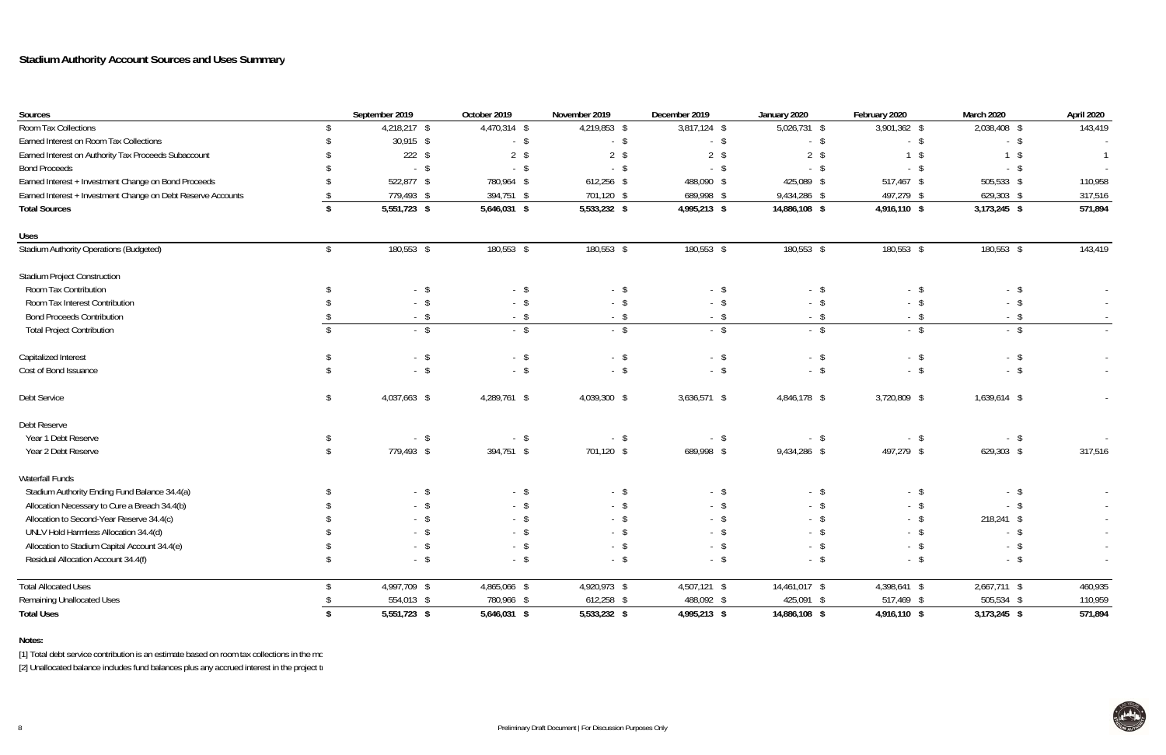#### **Notes:**

[1] Total debt service contribution is an estimate based on room tax collections in the mo

| Sources                                                      |               | September 2019 | October 2019   | November 2019 | December 2019  | January 2020  | February 2020 | March 2020     | April 2020     |
|--------------------------------------------------------------|---------------|----------------|----------------|---------------|----------------|---------------|---------------|----------------|----------------|
| Room Tax Collections                                         | R             | 4,218,217 \$   | 4,470,314 \$   | 4,219,853 \$  | $3,817,124$ \$ | 5,026,731 \$  | 3,901,362 \$  | 2,038,408 \$   | 143,419        |
| Earned Interest on Room Tax Collections                      |               | 30,915 \$      | $-$ \$         | $-$ \$        | $-$ \$         | $-$ \$        | $-$ \$        | $-$ \$         |                |
| Earned Interest on Authority Tax Proceeds Subaccount         |               | $222$ \$       | $2 \sqrt$      | $2 \sqrt{3}$  | $2 \sqrt$      | $2 \sqrt{3}$  | $1 \quad$     | \$             | $\overline{1}$ |
| <b>Bond Proceeds</b>                                         |               | $-$ \$         | $-$ \$         | $-$ \$        | - \$           | $-$ \$        | $-$ \$        | - \$           | $\sim$         |
| Earned Interest + Investment Change on Bond Proceeds         |               | 522,877 \$     | 780,964 \$     | $612,256$ \$  | 488,090 \$     | 425,089 \$    | 517,467 \$    | 505,533 \$     | 110,958        |
| Earned Interest + Investment Change on Debt Reserve Accounts |               | 779,493 \$     | 394,751 \$     | 701,120 \$    | 689,998 \$     | 9,434,286 \$  | 497,279 \$    | 629,303 \$     | 317,516        |
| <b>Total Sources</b>                                         |               | 5,551,723 \$   | 5,646,031 \$   | 5,533,232 \$  | 4,995,213 \$   | 14,886,108 \$ | 4,916,110 \$  | 3,173,245 \$   | 571,894        |
| <b>Uses</b>                                                  |               |                |                |               |                |               |               |                |                |
| <b>Stadium Authority Operations (Budgeted)</b>               | \$            | 180,553 \$     | 180,553 \$     | 180,553 \$    | 180,553 \$     | 180,553 \$    | 180,553 \$    | 180,553 \$     | 143,419        |
| <b>Stadium Project Construction</b>                          |               |                |                |               |                |               |               |                |                |
| Room Tax Contribution                                        |               | $-$ \$         | $-$ \$         | $-$ \$        | $-$ \$         | $-$ \$        | $-$ \$        | $-$ \$         |                |
| Room Tax Interest Contribution                               |               | $-$ \$         | $-$ \$         | $-$ \$        | - \$           | $-$ \$        | $-$ \$        | - \$<br>$\sim$ |                |
| <b>Bond Proceeds Contribution</b>                            |               | $-$ \$         | $-$ \$         | $-$ \$        | $-$ \$         | $-$ \$        | $-$ \$        | $-$ \$         | $\sim$ $-$     |
| <b>Total Project Contribution</b>                            |               | $-$ \$         | $-$ \$         | $-$ \$        | $-$ \$         | $-$ \$        | $-$ \$        | $-$ \$         |                |
| Capitalized Interest                                         |               | $-$ \$         | $-$ \$         | $-$ \$        | $-$ \$         | $-$ \$        | $-$ \$        | $-$ \$         | $\sim$         |
| Cost of Bond Issuance                                        |               | $-$ \$         | $-$ \$         | $-$ \$        | $-$ \$         | $-$ \$        | $-$ \$        | $-$ \$         | $\sim$         |
| Debt Service                                                 | \$            | 4,037,663 \$   | 4,289,761 \$   | 4,039,300 \$  | $3,636,571$ \$ | 4,846,178 \$  | 3,720,809 \$  | 1,639,614 \$   |                |
| Debt Reserve                                                 |               |                |                |               |                |               |               |                |                |
| Year 1 Debt Reserve                                          |               | $-$ \$         | $-$ \$         | $-$ \$        | $-$ \$         | $-$ \$        | $-$ \$        | $-$ \$         | $\sim$         |
| Year 2 Debt Reserve                                          | <sup>\$</sup> | 779,493 \$     | 394,751 \$     | 701,120 \$    | 689,998 \$     | 9,434,286 \$  | 497,279 \$    | 629,303 \$     | 317,516        |
| Waterfall Funds                                              |               |                |                |               |                |               |               |                |                |
| Stadium Authority Ending Fund Balance 34.4(a)                |               | $-$ \$         | $-$ \$         | $-$ \$        | $-$ \$         | $-$ \$        | $-$ \$        | $-$ \$         |                |
| Allocation Necessary to Cure a Breach 34.4(b)                |               | $-$ \$         | - \$           | $-$ \$        | $-$ \$         | - \$          | - \$          | - \$           | $\sim$ $-$     |
| Allocation to Second-Year Reserve 34.4(c)                    |               | $-$ \$         | $-$ \$         | $-$ \$        | - \$           | - \$          | $-$ \$        | 218,241 \$     | $\sim$         |
| UNLV Hold Harmless Allocation 34.4(d)                        |               | - \$           | - \$           | $\mathcal{S}$ | - \$           | - \$          | $-$ \$        | $-$ \$         | $\sim$         |
| Allocation to Stadium Capital Account 34.4(e)                |               | $-$ \$         | $-$ \$         | $-$ \$        | $-$ \$         | $-$ \$        | $-$ \$        | $-$ \$         | $\sim$         |
| Residual Allocation Account 34.4(f)                          |               | $-$ \$         | $-$ \$         | $-$ \$        | $-$ \$         | $-$ \$        | $-$ \$        | $-$ \$         | $\sim$         |
| <b>Total Allocated Uses</b>                                  |               | 4,997,709 \$   | 4,865,066 \$   | 4,920,973 \$  | 4,507,121 \$   | 14,461,017 \$ | 4,398,641 \$  | 2,667,711 \$   | 460,935        |
| <b>Remaining Unallocated Uses</b>                            |               | 554,013 \$     | 780,966 \$     | 612,258 \$    | 488,092 \$     | 425,091 \$    | 517,469 \$    | 505,534 \$     | 110,959        |
| <b>Total Uses</b>                                            |               | 5,551,723 \$   | $5,646,031$ \$ | 5,533,232 \$  | 4,995,213 \$   | 14,886,108 \$ | 4,916,110 \$  | 3,173,245 \$   | 571,894        |

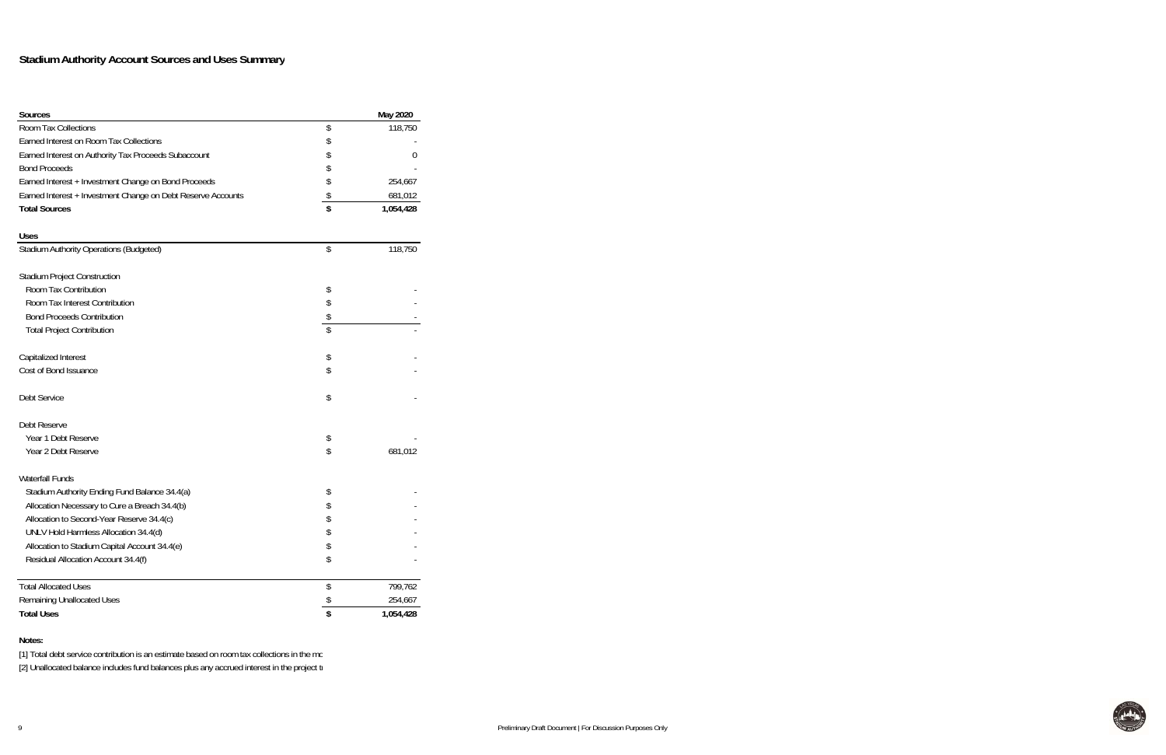[1] Total debt service contribution is an estimate based on room tax collections in the mo [2] Unallocated balance includes fund balances plus any accrued interest in the project tr

| <b>Sources</b>                                               | May 2020        |
|--------------------------------------------------------------|-----------------|
| <b>Room Tax Collections</b>                                  | \$<br>118,750   |
| Earned Interest on Room Tax Collections                      | \$              |
| Earned Interest on Authority Tax Proceeds Subaccount         | \$<br>0         |
| <b>Bond Proceeds</b>                                         | \$              |
| Earned Interest + Investment Change on Bond Proceeds         | \$<br>254,667   |
| Earned Interest + Investment Change on Debt Reserve Accounts | \$<br>681,012   |
| <b>Total Sources</b>                                         | \$<br>1,054,428 |
| <b>Uses</b>                                                  |                 |
| Stadium Authority Operations (Budgeted)                      | \$<br>118,750   |
| <b>Stadium Project Construction</b>                          |                 |
| Room Tax Contribution                                        | \$              |
| Room Tax Interest Contribution                               | \$              |
| <b>Bond Proceeds Contribution</b>                            | \$              |
| <b>Total Project Contribution</b>                            | \$              |
| Capitalized Interest                                         | \$              |
| Cost of Bond Issuance                                        | \$              |
| Debt Service                                                 | \$              |
| Debt Reserve                                                 |                 |
| Year 1 Debt Reserve                                          | \$              |
| Year 2 Debt Reserve                                          | \$<br>681,012   |
| <b>Waterfall Funds</b>                                       |                 |
| Stadium Authority Ending Fund Balance 34.4(a)                | \$              |
| Allocation Necessary to Cure a Breach 34.4(b)                | \$              |
| Allocation to Second-Year Reserve 34.4(c)                    | \$              |
| UNLV Hold Harmless Allocation 34.4(d)                        |                 |
| Allocation to Stadium Capital Account 34.4(e)                | \$              |
| Residual Allocation Account 34.4(f)                          | \$              |
| Total Allocated Uses                                         | \$<br>799,762   |
| <b>Remaining Unallocated Uses</b>                            | \$<br>254,667   |
| <b>Total Uses</b>                                            | \$<br>1,054,428 |

**Notes:**

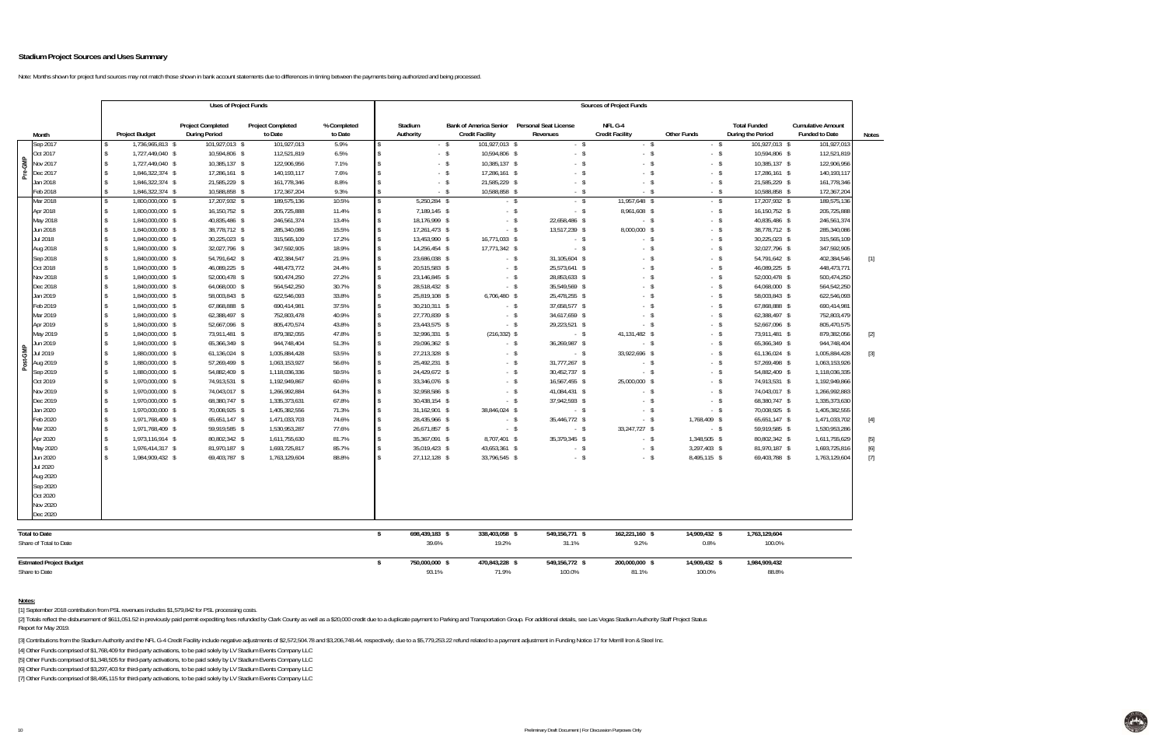Note: Months shown for project fund sources may not match those shown in bank account statements due to differences in timing between the payments being authorized and being processed.

|  | Notes |
|--|-------|
|--|-------|

 $H_{\rm{th}}$ 

|                                |                     |                       | <b>Uses of Project Funds</b>                     |                                     |                        |                      |                      |                                                         |                                          |        | <b>Sources of Project Funds</b>   |                    |                                          |                                                   |                   |
|--------------------------------|---------------------|-----------------------|--------------------------------------------------|-------------------------------------|------------------------|----------------------|----------------------|---------------------------------------------------------|------------------------------------------|--------|-----------------------------------|--------------------|------------------------------------------|---------------------------------------------------|-------------------|
| Month                          |                     | <b>Project Budget</b> | <b>Project Completed</b><br><b>During Period</b> | <b>Project Completed</b><br>to Date | % Completed<br>to Date |                      | Stadium<br>Authority | <b>Bank of America Senior</b><br><b>Credit Facility</b> | <b>Personal Seat License</b><br>Revenues |        | NFL G-4<br><b>Credit Facility</b> | <b>Other Funds</b> | <b>Total Funded</b><br>During the Period | <b>Cumulative Amount</b><br><b>Funded to Date</b> | <b>Note</b>       |
| Sep 2017                       |                     | 1,736,965,813 \$      | 101,927,013 \$                                   | 101,927,013                         | 5.9%                   | \$                   |                      | $-$ \$<br>101,927,013 \$                                |                                          | $-$ \$ | $-$ \$                            | $-5$               | 101,927,013 \$                           | 101,927,013                                       |                   |
| Oct 2017                       |                     | 1,727,449,040 \$      | 10,594,806 \$                                    | 112,521,819                         | 6.5%                   | $\mathsf{\$}$        |                      | $-$ \$<br>10,594,806 \$                                 |                                          | $-$ \$ | $-5$                              | $-$ \$             | 10,594,806 \$                            | 112,521,819                                       |                   |
| Pre-GMP<br>Nov 2017            |                     | 1,727,449,040 \$      | 10,385,137 \$                                    | 122,906,956                         | 7.1%                   | $\mathbf{\hat{S}}$   |                      | 10,385,137 \$<br>$-$ \$                                 |                                          | $-5$   | $-5$                              | $-5$               | 10,385,137 \$                            | 122,906,956                                       |                   |
| Dec 2017                       |                     | 1,846,322,374 \$      | 17,286,161 \$                                    | 140, 193, 117                       | 7.6%                   | $\hat{\mathbf{S}}$   |                      | $-$ \$<br>17,286,161 \$                                 |                                          | $-5$   | $-$ \$                            | $-$ \$             | 17,286,161 \$                            | 140,193,117                                       |                   |
| Jan 2018                       |                     | 1,846,322,374 \$      | 21,585,229 \$                                    | 161,778,346                         | 8.8%                   | $\hat{\mathbf{r}}$   |                      | 21,585,229 \$<br>$-$ \$                                 |                                          | $-$ \$ | $-$ \$                            | $-$ \$             | 21,585,229 \$                            | 161,778,346                                       |                   |
| Feb 2018                       |                     | 1,846,322,374 \$      | 10,588,858 \$                                    | 172,367,204                         | 9.3%                   | $\mathbb{S}$         |                      | 10,588,858 \$<br>$-$ \$                                 |                                          | $-$ \$ | $-5$                              | $-5$               | 10,588,858 \$                            | 172,367,204                                       |                   |
| Mar 2018                       |                     | 1,800,000,000 \$      | 17,207,932 \$                                    | 189,575,136                         | 10.5%                  | $\hat{\mathbf{S}}$   | 5.250.284 \$         |                                                         | $-$ \$                                   | $-$ \$ | 11,957,648 \$                     | $-5$               | 17,207,932 \$                            | 189,575,136                                       |                   |
| Apr 2018                       | $\sqrt{3}$          | 1,800,000,000 \$      | 16,150,752 \$                                    | 205,725,888                         | 11.4%                  | $\mathsf{\$}$        | 7,189,145 \$         | $-$ \$                                                  |                                          | $-$ \$ | 8,961,608 \$                      | $-5$               | 16,150,752 \$                            | 205,725,888                                       |                   |
| May 2018                       |                     | 1,840,000,000 \$      | 40,835,486 \$                                    | 246,561,374                         | 13.4%                  | $\mathsf{\$}$        | 18.176.999 \$        | $-$ \$                                                  | 22,658,486 \$                            |        | $-$ \$                            | $-5$               | 40,835,486 \$                            | 246,561,374                                       |                   |
| Jun 2018                       | $\mathbf{\hat{S}}$  | 1,840,000,000 \$      | 38.778.712 \$                                    | 285,340,086                         | 15.5%                  | $\mathsf{\$}$        | 17,261,473 \$        | $-$ \$                                                  | 13,517,239 \$                            |        | 8,000,000 \$                      | $-5$               | 38,778,712 \$                            | 285,340,086                                       |                   |
| Jul 2018                       |                     | 1,840,000,000 \$      | 30,225,023 \$                                    | 315,565,109                         | 17.2%                  | $\mathbb{S}$         | 13,453,990 \$        | 16,771,033 \$                                           |                                          | $-$ \$ | $-$ \$                            | $-5$               | 30,225,023 \$                            | 315,565,109                                       |                   |
| Aug 2018                       |                     | 1,840,000,000 \$      | 32,027,796 \$                                    | 347,592,905                         | 18.9%                  | $\mathsf{\$}$        | 14,256,454 \$        | 17,771,342 \$                                           |                                          | $-$ \$ | $-5$                              | $-5$               | 32,027,796 \$                            | 347,592,905                                       |                   |
| Sep 2018                       |                     | 1,840,000,000 \$      | 54,791,642 \$                                    | 402,384,547                         | 21.9%                  | $\mathbb{S}$         | 23,686,038 \$        |                                                         | 31,105,604 \$<br>$-$ \$                  |        | $-5$                              | $-$ \$             | 54,791,642 \$                            | 402,384,546                                       | $\lceil 1 \rceil$ |
| Oct 2018                       |                     | 1,840,000,000 \$      | 46,089,225 \$                                    | 448,473,772                         | 24.4%                  | \$                   | 20,515,583 \$        | $-$ \$                                                  | 25,573,641 \$                            |        | $-$ \$                            | $-$ \$             | 46,089,225 \$                            | 448,473,771                                       |                   |
| Nov 2018                       |                     | 1,840,000,000 \$      | 52,000,478 \$                                    | 500,474,250                         | 27.2%                  | $\mathbb{S}$         | 23,146,845 \$        | $-$ \$                                                  | 28,853,633 \$                            |        | $-5$                              | $-5$               | 52,000,478 \$                            | 500,474,250                                       |                   |
| Dec 2018                       |                     | 1,840,000,000 \$      | 64,068,000 \$                                    | 564,542,250                         | 30.7%                  | $\mathbb{S}$         | 28,518,432 \$        | $-$ \$                                                  | 35,549,569 \$                            |        | $-5$                              | $-5$               | 64,068,000 \$                            | 564,542,250                                       |                   |
| Jan 2019                       |                     | 1,840,000,000 \$      | 58,003,843 \$                                    | 622,546,093                         | 33.8%                  | $\mathbb{S}$         | 25,819,108 \$        | 6,706,480 \$                                            | 25,478,255 \$                            |        | $-5$                              | $-5$               | 58,003,843 \$                            | 622,546,093                                       |                   |
| Feb 2019                       |                     | 1,840,000,000 \$      | 67,868,888 \$                                    | 690,414,981                         | 37.5%                  | \$                   | 30,210,311 \$        | $-$ \$                                                  | 37,658,577 \$                            |        | $-5$                              | $-5$               | 67,868,888 \$                            | 690,414,981                                       |                   |
| Mar 2019                       |                     | 1,840,000,000 \$      | 62,388,497 \$                                    | 752,803,478                         | 40.9%                  | $\mathbb{S}$         | 27,770,839 \$        | $-$ \$                                                  | 34,617,659 \$                            |        | $-5$                              | $-5$               | 62,388,497 \$                            | 752,803,479                                       |                   |
| Apr 2019                       |                     | 1,840,000,000 \$      | 52,667,096 \$                                    | 805,470,574                         | 43.8%                  | $\mathbf{\hat{S}}$   | 23,443,575 \$        | $-$ \$                                                  | 29,223,521 \$                            |        | $-$ \$                            | $-$ \$             | 52,667,096 \$                            | 805,470,575                                       |                   |
| May 2019                       |                     | 1,840,000,000 \$      | 73,911,481 \$                                    | 879,382,055                         | 47.8%                  | $\mathbb{S}$         | 32,996,331 \$        | $(216, 332)$ \$                                         |                                          | $-$ \$ | 41,131,482 \$                     | $-5$               | 73,911,481 \$                            | 879,382,056                                       | $[2]$             |
| Jun 2019                       |                     | 1,840,000,000 \$      | 65,366,349 \$                                    | 944,748,404                         | 51.3%                  | $\mathbf{\hat{S}}$   | 29,096,362 \$        | $-$ \$                                                  | 36,269,987 \$                            |        | $-$ \$                            | $-$ \$             | 65,366,349 \$                            | 944,748,404                                       |                   |
| Jul 2019                       |                     | 1,880,000,000 \$      | 61,136,024 \$                                    | 1,005,884,428                       | 53.5%                  | $\mathsf{\$}$        | 27,213,328 \$        |                                                         | $-$ \$                                   | $-$ \$ | 33,922,696 \$                     | $-$ \$             | 61,136,024 \$                            | 1,005,884,428                                     | $[3]$             |
| Post-GMP<br>Aug 2019           |                     | 1,880,000,000 \$      | 57,269,499 \$                                    | 1,063,153,927                       | 56.6%                  | $\ddot{\mathcal{L}}$ | 25,492,231 \$        | $-$ \$                                                  | 31,777,267 \$                            |        | $-$ \$                            | $-$ \$             | 57,269,498 \$                            | 1,063,153,926                                     |                   |
| Sep 2019                       | $\ddot{\bm{\zeta}}$ | 1,880,000,000 \$      | 54,882,409 \$                                    | 1,118,036,336                       | 59.5%                  | $\mathbb{S}$         | 24,429,672 \$        | $-$ \$                                                  | 30,452,737 \$                            |        | $-$ \$                            | $-$ \$             | 54,882,409 \$                            | 1,118,036,335                                     |                   |
| Oct 2019                       |                     | 1,970,000,000 \$      | 74,913,531 \$                                    | 1,192,949,867                       | 60.6%                  | $\hat{\mathbf{r}}$   | 33,346,076 \$        | $-$ \$                                                  | 16,567,455 \$                            |        | 25,000,000 \$                     | $-$ \$             | 74,913,531 \$                            | 1,192,949,866                                     |                   |
| Nov 2019                       | $\mathbf{\hat{S}}$  | 1,970,000,000 \$      | 74.043.017 \$                                    | 1,266,992,884                       | 64.3%                  | $\mathbb{S}$         | 32.958.586 \$        | $-$ \$                                                  | 41,084,431 \$                            |        | $-5$                              | $-$ \$             | 74.043.017 \$                            | 1,266,992,883                                     |                   |
| Dec 2019                       |                     | 1,970,000,000 \$      | 68,380,747 \$                                    | 1,335,373,631                       | 67.8%                  | $\mathbf{\hat{S}}$   | 30,438,154 \$        | $-$ \$                                                  | 37,942,593 \$                            |        | $-$ \$                            | $-$ \$             | 68,380,747 \$                            | 1,335,373,630                                     |                   |
| Jan 2020                       |                     | 1,970,000,000 \$      | 70.008.925 \$                                    | 1.405.382.556                       | 71.3%                  | $\mathsf{\$}$        | 31,162,901 \$        | 38.846.024 \$                                           |                                          | $-$ \$ | $-5$                              | $-5$               | 70,008,925 \$                            | 1,405,382,555                                     |                   |
| Feb 2020                       |                     | 1.971.768.409 \$      | 65.651.147 \$                                    | 1,471,033,703                       | 74.6%                  | $\mathbf{\hat{S}}$   | 28.435.966 \$        | $-$ \$                                                  | 35.446.772 \$                            |        | $-5$                              | 1.768.409 \$       | 65.651.147 \$                            | 1,471,033,702                                     | $[4]$             |
| Mar 2020                       |                     | 1,971,768,409 \$      | 59,919,585 \$                                    | 1,530,953,287                       | 77.6%                  | $\mathbb{S}$         | 26,671,857 \$        |                                                         | $-$ \$                                   | $-$ \$ | 33,247,727 \$                     | $-$ \$             | 59,919,585 \$                            | 1,530,953,286                                     |                   |
| Apr 2020                       |                     | 1,973,116,914 \$      | 80,802,342 \$                                    | 1,611,755,630                       | 81.7%                  | $\mathbb{S}$         | 35.367.091 \$        | 8,707,401 \$                                            | 35.379.345 \$                            |        | $-5$                              | 1,348,505 \$       | 80,802,342 \$                            | 1,611,755,629                                     | $[5]$             |
| May 2020                       |                     | 1,976,414,317 \$      | 81,970,187 \$                                    | 1,693,725,817                       | 85.7%                  | $\mathbb{S}$         | 35,019,423 \$        | 43,653,361 \$                                           |                                          | $-$ \$ | $-5$                              | 3,297,403 \$       | 81,970,187 \$                            | 1,693,725,81                                      | [6]               |
| Jun 2020                       |                     | 1,984,909,432 \$      | 69,403,787 \$                                    | 1,763,129,604                       | 88.8%                  | $\hat{\mathbf{r}}$   | 27,112,128 \$        | 33,796,545 \$                                           |                                          | $-$ \$ | $-5$                              | 8,495,115 \$       | 69,403,788 \$                            | 1,763,129,604                                     | $[7]$             |
| Jul 2020                       |                     |                       |                                                  |                                     |                        |                      |                      |                                                         |                                          |        |                                   |                    |                                          |                                                   |                   |
| Aug 2020                       |                     |                       |                                                  |                                     |                        |                      |                      |                                                         |                                          |        |                                   |                    |                                          |                                                   |                   |
| Sep 2020                       |                     |                       |                                                  |                                     |                        |                      |                      |                                                         |                                          |        |                                   |                    |                                          |                                                   |                   |
| Oct 2020                       |                     |                       |                                                  |                                     |                        |                      |                      |                                                         |                                          |        |                                   |                    |                                          |                                                   |                   |
| Nov 2020                       |                     |                       |                                                  |                                     |                        |                      |                      |                                                         |                                          |        |                                   |                    |                                          |                                                   |                   |
| Dec 2020                       |                     |                       |                                                  |                                     |                        |                      |                      |                                                         |                                          |        |                                   |                    |                                          |                                                   |                   |
| <b>Total to Date</b>           |                     |                       |                                                  |                                     |                        | $\mathsf{s}$         | 698,439,183 \$       | 338,403,058 \$                                          | 549,156,771 \$                           |        | 162,221,160 \$                    | 14,909,432 \$      | 1,763,129,604                            |                                                   |                   |
| Share of Total to Date         |                     |                       |                                                  |                                     |                        |                      | 39.6%                | 19.2%                                                   | 31.1%                                    |        | 9.2%                              | 0.8%               | 100.0%                                   |                                                   |                   |
| <b>Estmated Project Budget</b> |                     |                       |                                                  |                                     |                        | \$                   | 750,000,000 \$       | 470,843,228 \$                                          | 549,156,772 \$                           |        | 200,000,000 \$                    | 14,909,432 \$      | 1,984,909,432                            |                                                   |                   |
| Share to Date                  |                     |                       |                                                  |                                     |                        |                      | 93.1%                | 71.9%                                                   | 100.0%                                   |        | 81.1%                             | 100.0%             | 88.8%                                    |                                                   |                   |

[2] Totals reflect the disbursement of \$611,051.52 in previously paid permit expediting fees refunded by Clark County as well as a \$20,000 credit due to a duplicate payment to Parking and Transportation Group. For addition Report for May 2019.

[3] Contributions from the Stadium Authority and the NFL G-4 Credit Facility include negative adjustments of \$2,572,504.78 and \$3,206,748.44, respectively, due to a \$5,779,253.22 refund related to a payment adjustment in F

**Notes:**

[1] September 2018 contribution from PSL revenues includes \$1,579,842 for PSL processing costs.

[4] Other Funds comprised of \$1,768,409 for third-party activations, to be paid solely by LV Stadium Events Company LLC

[5] Other Funds comprised of \$1,348,505 for third-party activations, to be paid solely by LV Stadium Events Company LLC

[6] Other Funds comprised of \$3,297,403 for third-party activations, to be paid solely by LV Stadium Events Company LLC

[7] Other Funds comprised of \$8,495,115 for third-party activations, to be paid solely by LV Stadium Events Company LLC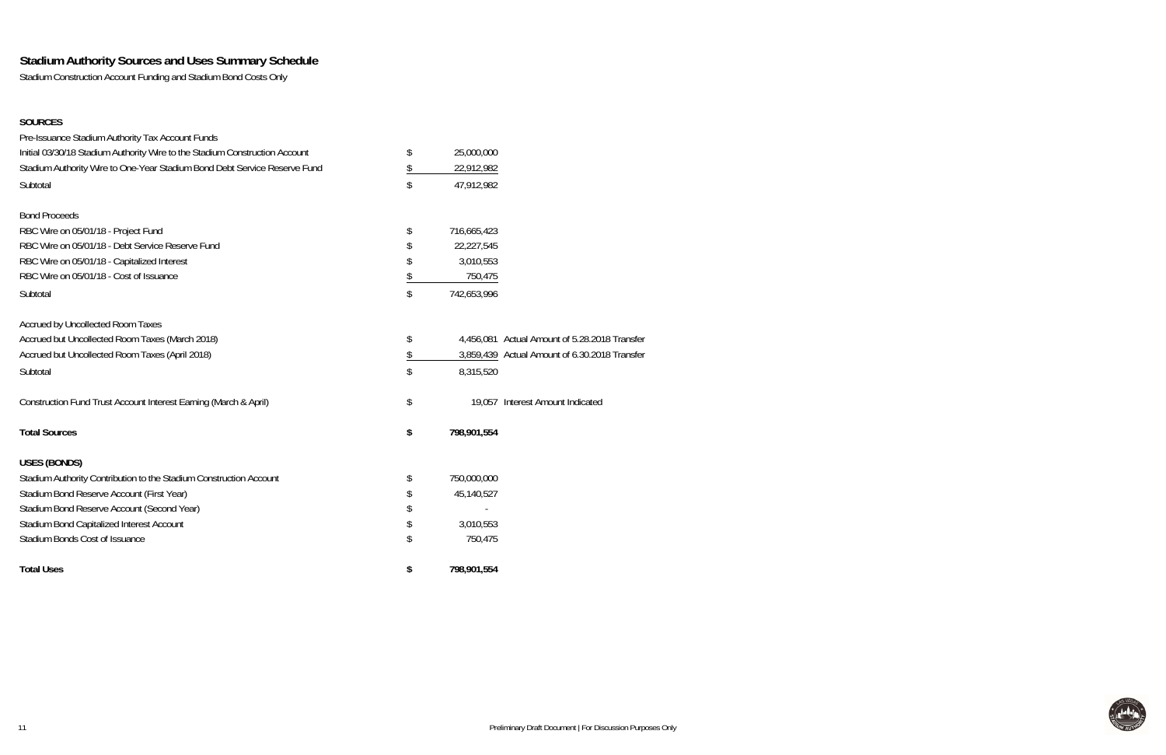## **Stadium Authority Sources and Uses Summary Schedule**

Stadium Construction Account Funding and Stadium Bond Costs Only

#### **SOURCES**

| Pre-Issuance Stadium Authority Tax Account Funds                            |                   |                                               |
|-----------------------------------------------------------------------------|-------------------|-----------------------------------------------|
| Initial 03/30/18 Stadium Authority Wire to the Stadium Construction Account | \$<br>25,000,000  |                                               |
| Stadium Authority Wire to One-Year Stadium Bond Debt Service Reserve Fund   | \$<br>22,912,982  |                                               |
| Subtotal                                                                    | \$<br>47,912,982  |                                               |
| <b>Bond Proceeds</b>                                                        |                   |                                               |
| RBC Wire on 05/01/18 - Project Fund                                         | \$<br>716,665,423 |                                               |
| RBC Wire on 05/01/18 - Debt Service Reserve Fund                            | \$<br>22,227,545  |                                               |
| RBC Wire on 05/01/18 - Capitalized Interest                                 | \$<br>3,010,553   |                                               |
| RBC Wire on 05/01/18 - Cost of Issuance                                     | \$<br>750,475     |                                               |
| Subtotal                                                                    | \$<br>742,653,996 |                                               |
| Accrued by Uncollected Room Taxes                                           |                   |                                               |
| Accrued but Uncollected Room Taxes (March 2018)                             | \$                | 4,456,081 Actual Amount of 5.28.2018 Transfer |
| Accrued but Uncollected Room Taxes (April 2018)                             | \$                | 3,859,439 Actual Amount of 6.30.2018 Transfer |
| Subtotal                                                                    | \$<br>8,315,520   |                                               |
| Construction Fund Trust Account Interest Earning (March & April)            | \$                | 19,057 Interest Amount Indicated              |
| <b>Total Sources</b>                                                        | \$<br>798,901,554 |                                               |
| <b>USES (BONDS)</b>                                                         |                   |                                               |
| Stadium Authority Contribution to the Stadium Construction Account          | \$<br>750,000,000 |                                               |
| Stadium Bond Reserve Account (First Year)                                   | \$<br>45,140,527  |                                               |
| Stadium Bond Reserve Account (Second Year)                                  | \$                |                                               |
| Stadium Bond Capitalized Interest Account                                   | \$<br>3,010,553   |                                               |
| Stadium Bonds Cost of Issuance                                              | \$<br>750,475     |                                               |
| <b>Total Uses</b>                                                           | \$<br>798,901,554 |                                               |

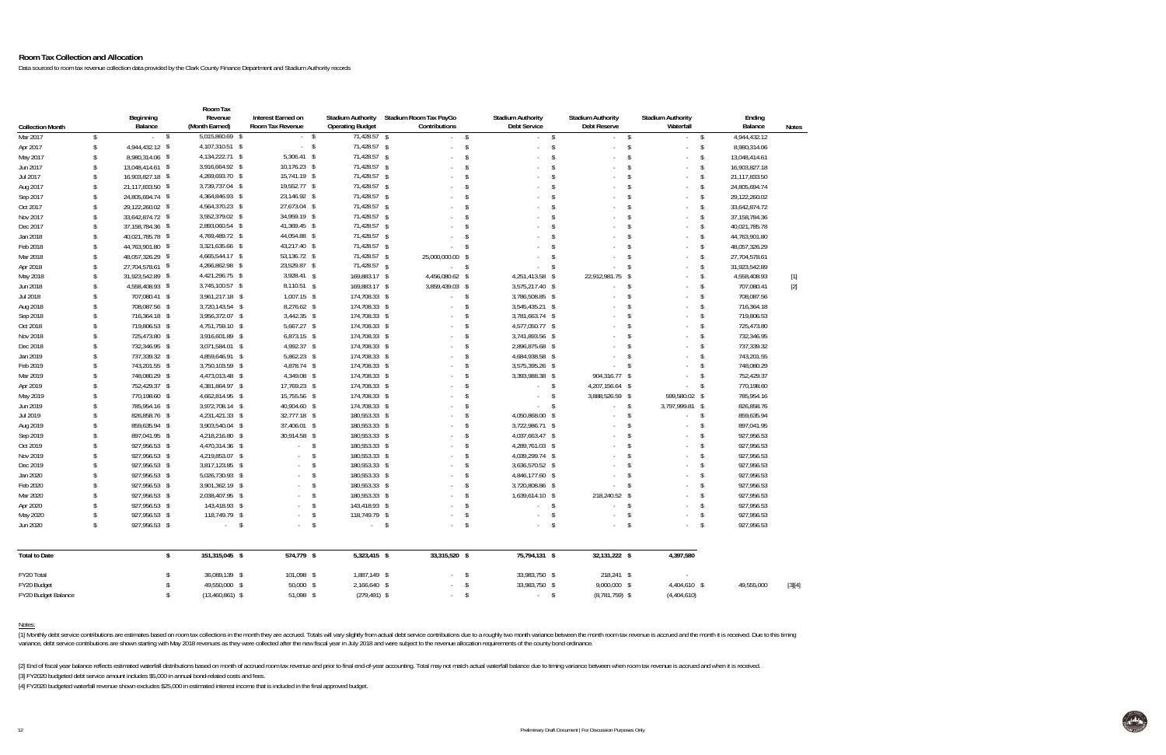#### **Room Tax Collection and Allocation**

Data sourced to room tax revenue collection data provided by the Clark County Finance Department and Stadium Authority records

|                         |                     | Beginning<br>Balance | Room Tax<br>Revenue<br>(Month Earned) | Interest Earned on<br>Room Tax Revenue | <b>Stadium Authority</b><br><b>Operating Budget</b> | Stadium Room Tax PayGo<br>Contributions  | <b>Stadium Authority</b><br><b>Debt Service</b>    | <b>Stadium Authority</b><br>Debt Reserve                 | <b>Stadium Authority</b><br>Waterfall                             | Ending<br>Balance                           |              |
|-------------------------|---------------------|----------------------|---------------------------------------|----------------------------------------|-----------------------------------------------------|------------------------------------------|----------------------------------------------------|----------------------------------------------------------|-------------------------------------------------------------------|---------------------------------------------|--------------|
| <b>Collection Month</b> |                     | $-5$                 | 5,015,860.69 \$                       | $-5$                                   | $71,428.57$ \$                                      |                                          |                                                    |                                                          |                                                                   |                                             | <b>Notes</b> |
| Mar 2017                | \$                  | 4,944,432.12 \$      | 4,107,310.51 \$                       | $-5$                                   | 71,428.57 \$                                        | $-5$<br>÷.                               | $\mathcal{L}^{\pm}$<br>$\sqrt{2}$<br>$\mathcal{L}$ | $\mathsf{\$}$<br>$\sim$<br>$\sqrt[6]{\frac{1}{2}}$<br>х. | $\mathsf{\$}$<br>$-5$<br>$\sqrt{3}$<br>ä,                         | 4,944,432.12<br>$\mathbb{S}$                |              |
| Apr 2017                | \$<br>$\sqrt[6]{2}$ | 8,980,314.06 \$      | 4,134,222.71 \$                       | $5,306.41$ \$                          | 71,428.57 \$                                        |                                          | $\sqrt{2}$<br>÷                                    | $\sqrt[6]{\frac{1}{2}}$                                  | $\sqrt{3}$<br>÷.                                                  | 8,980,314.06<br>$\sqrt{2}$<br>13,048,414.61 |              |
| May 2017                | $\mathbf{\hat{S}}$  | 13.048.414.61 \$     | 3,916,664.92 \$                       | 10,176.23 \$                           | 71,428.57 \$                                        |                                          | $\mathbf{\hat{S}}$                                 | $\mathsf{\$}$                                            | $\mathsf{\$}$                                                     | $\mathbb{S}$                                |              |
| Jun 2017<br>Jul 2017    | $\mathbf{\hat{S}}$  | 16,903,827.18 \$     | 4,269,693.70 \$                       | 15,741.19 \$                           | 71,428.57 \$                                        |                                          | $\mathbf{\hat{S}}$                                 | $\mathsf{\$}$                                            | $\mathcal{L}_{\mathcal{A}}$<br>-\$<br>$\mathcal{L}_{\mathcal{A}}$ | 16,903,827.18<br>21,117,833.50<br>\$        |              |
| Aug 2017                | \$                  | 21,117,833.50 \$     | 3,739,737.04 \$                       | 19,552.77 \$                           | 71,428.57 \$                                        |                                          | $\mathbf{\hat{S}}$                                 | $\mathsf{\$}$                                            | -\$<br>$\mathcal{L}_{\mathcal{A}}$                                | \$<br>24,805,694.74                         |              |
| Sep 2017                | \$                  | 24,805,694.74 \$     | 4,364,846.93 \$                       | 23,146.92 \$                           | 71,428.57 \$                                        |                                          | $\mathbf{\hat{S}}$                                 | $\mathsf{\$}$                                            | <sub>\$</sub><br>÷.                                               | $\sqrt{2}$<br>29,122,260.02                 |              |
| Oct 2017                | $\mathbf{\hat{S}}$  | 29,122,260.02 \$     | 4,564,370.23 \$                       | 27,673.04 \$                           | 71,428.57 \$                                        |                                          | $\mathbf{\hat{S}}$                                 | $\mathsf{\$}$                                            | - S<br>$\mathcal{L}_{\mathcal{A}}$                                | $\mathbb{S}$<br>33,642,874.72               |              |
| Nov 2017                | $\mathbf{\hat{S}}$  | 33,642,874.72 \$     | 3,552,379.02 \$                       | 34,959.19 \$                           | 71,428.57 \$                                        |                                          | $\mathbf{\hat{S}}$                                 | $\mathsf{\$}$                                            | $\mathbf{\hat{S}}$<br>$\mathcal{L}_{\mathcal{A}}$                 | 37,158,784.36<br>\$                         |              |
| Dec 2017                | $\mathbf{\hat{S}}$  | 37, 158, 784. 36 \$  | 2,893,060.54 \$                       | 41,369.45 \$                           | 71,428.57 \$                                        |                                          | $\mathbf{\hat{S}}$                                 | $\mathsf{\$}$                                            | - S<br>$\mathcal{L}_{\mathcal{A}}$                                | \$<br>40,021,785.78                         |              |
| Jan 2018                | \$                  | 40,021,785.78 \$     | 4,769,489.72 \$                       | 44,054.88 \$                           | 71,428.57 \$                                        |                                          | $\mathbf{\hat{S}}$                                 | $\mathsf{\$}$                                            | <sub>\$</sub><br>÷.                                               | $\sqrt{2}$<br>44,763,901.80                 |              |
| Feb 2018                | $\mathbf{\hat{S}}$  | 44,763,901.80 \$     | 3,321,635.66 \$                       | 43,217.40 \$                           | 71,428.57 \$                                        |                                          | $\mathcal{S}$                                      | $\mathsf{\$}$                                            | - S<br>$\mathcal{L}_{\mathcal{A}}$                                | $\mathbb{S}$<br>48,057,326.29               |              |
| Mar 2018                | $\mathbf{\hat{S}}$  | 48,057,326.29 \$     | 4,665,544.17 \$                       | 53,136.72 \$                           | 71,428.57 \$                                        | 25.000.000.00<br>\$                      |                                                    | $\mathsf{\$}$                                            | - S<br>$\mathcal{L}_{\mathcal{A}}$                                | $\sqrt{2}$<br>27,704,578.61                 |              |
| Apr 2018                | $\mathbf{\hat{S}}$  | 27,704,578.61 \$     | 4,266,862.98 \$                       | 23,529.87 \$                           | 71,428.57 \$                                        | $\mathsf{\$}$<br>$\sim 10^{-1}$          |                                                    | $\mathbb{S}$                                             | - \$<br>÷.                                                        | $\sqrt{2}$<br>31,923,542.89                 |              |
| May 2018                | $\hat{\mathbf{S}}$  | 31,923,542.89 \$     | 4,421,296.75 \$                       | 3,928.41 \$                            | 169,883.17 \$                                       | 4,456,080.62 \$                          | 4,251,413.58 \$                                    | 22,912,981.75 \$                                         |                                                                   | $\sqrt{2}$<br>4,558,408.93                  | $[1]$        |
| Jun 2018                | $\mathbf{\hat{S}}$  | 4,558,408.93 \$      | 3,745,100.57 \$                       | $8,110.51$ \$                          | 169,883.17 \$                                       | 3,859,439.03 \$                          | 3,575,217.40 \$                                    |                                                          | $\mathsf{\$}$                                                     | $\sqrt{2}$<br>707,080.41                    | $[2]$        |
| Jul 2018                | $\mathbf{\hat{S}}$  | 707,080.41 \$        | 3,961,217.18 \$                       | $1,007.15$ \$                          | 174,708.33 \$                                       | $\sqrt{5}$<br>$\mathcal{L}^{\text{max}}$ | 3,786,508.85 \$                                    |                                                          | - S<br>÷.                                                         | 708,087.56<br>\$                            |              |
| Aug 2018                | $\mathbf{\hat{S}}$  | 708,087.56 \$        | 3,720,143.54 \$                       | 8,276.62 \$                            | 174,708.33 \$                                       |                                          | $\mathcal{S}$<br>3,545,435.21 \$                   |                                                          | - S<br>÷.                                                         | \$<br>716,364.18                            |              |
| Sep 2018                | $\hat{\mathbf{S}}$  | 716,364.18 \$        | 3,956,372.07 \$                       | $3,442.35$ \$                          | 174,708.33 \$                                       |                                          | $\sqrt{2}$<br>3,781,663.74 \$                      |                                                          | $\mathbf{\hat{S}}$                                                | $\sqrt{2}$<br>719,806.53                    |              |
| Oct 2018                | $\mathbf{\hat{S}}$  | 719,806.53 \$        | 4,751,759.10 \$                       | 5,667.27 \$                            | 174,708.33 \$                                       |                                          | $\mathcal{S}$<br>4,577,050.77 \$                   |                                                          | $\mathbf{s}$<br>÷.                                                | $\mathbb{S}$<br>725,473.80                  |              |
| Nov 2018                | $\hat{\mathbf{S}}$  | 725,473.80 \$        | 3,916,601.89 \$                       | $6,873.15$ \$                          | 174,708.33 \$                                       |                                          | $\mathcal{S}$<br>3,741,893.56 \$                   |                                                          | $\mathbf{\hat{s}}$                                                | $\sqrt{2}$<br>732,346.95                    |              |
| Dec 2018                | $\mathbf{\hat{S}}$  | 732,346.95 \$        | 3,071,584.01 \$                       | 4,992.37 \$                            | 174,708.33 \$                                       |                                          | $\mathcal{S}$<br>2,896,875.68 \$                   |                                                          | $\mathsf{\$}$<br>÷.                                               | $\sqrt{2}$<br>737,339.32                    |              |
| Jan 2019                | $\mathbf{\hat{S}}$  | 737,339.32 \$        | 4,859,646.91 \$                       | 5,862.23 \$                            | 174,708.33 \$                                       |                                          | $\sqrt[6]{\frac{1}{2}}$<br>4,684,938.58 \$         |                                                          | \$<br>÷.                                                          | \$<br>743,201.55                            |              |
| Feb 2019                | $\mathbf{\hat{S}}$  | 743,201.55 \$        | 3,750,103.59 \$                       | 4,878.74 \$                            | 174,708.33 \$                                       |                                          | $\mathcal{S}$<br>3,575,395.26 \$                   | $\sim$                                                   | $\mathsf{\$}$<br>÷.                                               | $\mathbb{S}$<br>748,080.29                  |              |
| Mar 2019                | $\hat{\mathbf{S}}$  | 748,080.29 \$        | 4,473,013.48 \$                       | 4,349.08 \$                            | 174,708.33 \$                                       | $\mathcal{S}$                            | 3,393,988.38 \$                                    | 904,316.77 \$                                            | ÷                                                                 | $\sqrt{2}$<br>752,429.37                    |              |
| Apr 2019                | $\mathbf{\hat{S}}$  | 752,429.37 \$        | 4,381,864.97 \$                       | 17,769.23 \$                           | 174,708.33 \$                                       |                                          | $\mathbf{\hat{S}}$<br>$-5$                         | 4,207,156.64 \$                                          | $\mathcal{L}^{\pm}$                                               | $\sqrt{2}$<br>770,198.60                    |              |
| May 2019                | $\mathbb{S}$        | 770,198.60 \$        | 4,662,814.95 \$                       | 15,755.56 \$                           | 174,708.33 \$                                       |                                          | $\mathsf{\$}$<br>$\sim$                            | $\sqrt{5}$<br>3,888,526.59 \$                            | 599,580.02 \$                                                     | 785,954.16                                  |              |
| Jun 2019                | $\mathbf{\hat{S}}$  | 785,954.16 \$        | 3,972,708.14 \$                       | 40,904.60 \$                           | 174,708.33 \$                                       |                                          | $\mathbf{\hat{S}}$<br>$\mathcal{L}^{\text{max}}$   | $\sqrt{3}$<br>$-5$                                       | 3,797,999.81 \$                                                   | 826,858.76                                  |              |
| Jul 2019                | $\mathbf{\hat{S}}$  | 826,858.76 \$        | 4,231,421.33 \$                       | 32,777.18 \$                           | 180,553.33 \$                                       |                                          | 4,050,868.00 \$<br>$\mathbf{\hat{S}}$              | $\sim$                                                   | $\mathsf{\$}$<br>a.                                               | $\sqrt{2}$<br>859,635.94                    |              |
| Aug 2019                | $\mathbf{\hat{S}}$  | 859,635.94 \$        | 3,903,540.04 \$                       | 37,406.01 \$                           | 180,553.33 \$                                       |                                          | $\mathbf{\hat{S}}$<br>3,722,986.71 \$              |                                                          | $\mathsf{\$}$<br>÷                                                | $\sqrt{2}$<br>897,041.95                    |              |
| Sep 2019                | $\hat{\mathbf{S}}$  | 897,041.95 \$        | 4,218,216.80 \$                       | 30,914.58 \$                           | 180,553.33 \$                                       |                                          | $\sqrt{2}$<br>4,037,663.47 \$                      |                                                          | $\sqrt{3}$<br>÷.                                                  | $\sqrt{2}$<br>927,956.53                    |              |
| Oct 2019                | $\mathbf{\hat{S}}$  | 927,956.53 \$        | 4,470,314.36 \$                       | $-5$                                   | 180,553.33 \$                                       |                                          | $\sqrt{2}$<br>4,289,761.03 \$                      |                                                          | $\mathbf{s}$<br>÷.                                                | \$<br>927,956.53                            |              |
| Nov 2019                | $\mathbb{S}$        | 927,956.53 \$        | 4,219,853.07 \$                       | $\sqrt{2}$<br>$\sim$                   | 180,553.33 \$                                       |                                          | $\mathcal{S}$<br>4,039,299.74 \$                   |                                                          | $\mathsf{\$}$<br>÷                                                | $\sqrt{2}$<br>927,956.53                    |              |
| Dec 2019                | \$                  | 927,956.53 \$        | 3,817,123.85 \$                       | $\sqrt{2}$                             | 180,553.33 \$                                       |                                          | $\mathcal{S}$<br>3,636,570.52 \$                   |                                                          | -\$<br>÷.                                                         | $\sqrt{2}$<br>927,956.53                    |              |
| Jan 2020                | \$                  | 927,956.53 \$        | 5,026,730.93 \$                       | $\sqrt{2}$                             | 180,553.33 \$                                       |                                          | $\sqrt[6]{\frac{1}{2}}$<br>4,846,177.60 \$         |                                                          | \$<br>÷                                                           | \$<br>927,956.53                            |              |
| Feb 2020                | \$                  | 927,956.53 \$        | 3,901,362.19 \$                       | $\mathbb{S}$                           | 180,553.33 \$                                       |                                          | $\mathcal{S}$<br>3,720,808.86 \$                   | $\sim$                                                   | $\mathsf{\$}$<br>÷.                                               | $\mathbb{S}$<br>927,956.53                  |              |
| Mar 2020                | $\mathbb{S}$        | 927,956.53 \$        | 2,038,407.95 \$                       | $\mathsf{\$}$                          | 180,553.33 \$                                       |                                          | $\sqrt[6]{\frac{1}{2}}$<br>1,639,614.10 \$         | 218,240.52 \$                                            | ÷                                                                 | $\sqrt{2}$<br>927,956.53                    |              |
| Apr 2020                | \$                  | 927,956.53 \$        | 143,418.93 \$                         | $\mathsf{\$}$                          | 143,418.93 \$                                       |                                          | $\mathbf{\hat{S}}$<br>$\mathcal{L}^{\text{max}}$   | $\sqrt{5}$                                               | - \$<br>÷.                                                        | $\sqrt{2}$<br>927,956.53                    |              |
| May 2020                | \$                  | 927,956.53 \$        | 118,749.79<br>\$                      | $\sqrt{2}$                             | 118,749.79 \$                                       | $\sim$                                   | \$<br>÷                                            | \$                                                       | \$<br>÷.                                                          | \$<br>927,956.53                            |              |
| Jun 2020                | $\mathbf{\hat{S}}$  | 927,956.53 \$        | $-5$                                  | $\sqrt{2}$                             | $-5$                                                | $\mathcal{S}$<br>$\sim$                  | $\mathcal{L}_{\mathcal{A}}$                        | $\sqrt{2}$                                               | $\sqrt{2}$<br>÷.                                                  | $\sqrt{2}$<br>927,956.53                    |              |
| <b>Total to Date</b>    |                     | $\sqrt{2}$           | 151,315,045 \$                        | 574,779 \$                             | 5,323,415 \$                                        | 33,315,520 \$                            | 75,794,131 \$                                      | 32,131,222 \$                                            | 4,397,580                                                         |                                             |              |
| FY20 Total              |                     | $\mathbf{\hat{S}}$   | 36,089,139 \$                         | 101,098 \$                             | 1,887,149 \$                                        | $\sim$                                   | $\sqrt{2}$<br>33,983,750 \$                        | 218,241 \$                                               | ÷.                                                                |                                             |              |
| FY20 Budget             |                     | $\mathsf{\$}$        | 49,550,000 \$                         | 50,000 \$                              | 2,166,640 \$                                        |                                          | $\mathbf{\hat{S}}$<br>33,983,750 \$                | 9,000,000 \$                                             | 4,404,610 \$                                                      | 49,555,000                                  | $[3][4]$     |
| FY20 Budget Balance     |                     | \$                   | $(13,460,861)$ \$                     | 51,098 \$                              | $(279, 491)$ \$                                     | $\sim$                                   | $\sqrt[6]{\frac{1}{2}}$<br>$-5$                    | $(8,781,759)$ \$                                         | (4,404,610)                                                       |                                             |              |

Notes:

[1] Monthly debt service contributions are estimates based on room tax collections in the month they are accrued. Totals will vary slightly from actual debt service contributions due to a roughly two month variance between variance, debt service contributions are shown starting with May 2018 revenues as they were collected after the new fiscal year in July 2018 and were subject to the revenue allocation requirements of the county bond ordina

[2] End of fiscal year balance reflects estimated waterfall distributions based on month of accrued room tax revenue and prior to final end-of-year accounting. Total may not match actual waterfall balance due to timing var

[3] FY2020 budgeted debt service amount includes \$5,000 in annual bond-related costs and fees.

[4] FY2020 budgeted waterfall revenue shown excludes \$25,000 in estimated interest income that is included in the final approved budget.

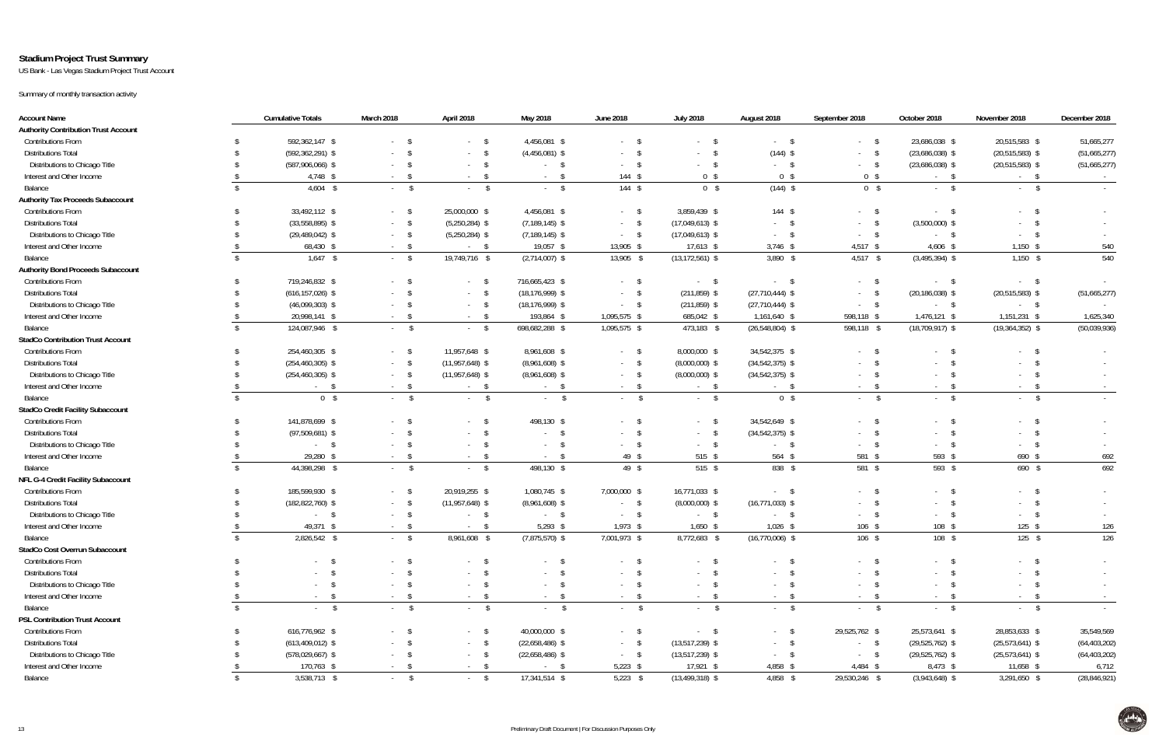### **Stadium Project Trust Summary**

US Bank - Las Vegas Stadium Project Trust Account

Summary of monthly transaction activity

| <b>Account Name</b>                         | <b>Cumulative Totals</b>       | March 2018               | April 2018        | May 2018              | <b>June 2018</b>      | <b>July 2018</b>              | August 2018                | September 2018             | October 2018             | November 2018       | December 2018   |
|---------------------------------------------|--------------------------------|--------------------------|-------------------|-----------------------|-----------------------|-------------------------------|----------------------------|----------------------------|--------------------------|---------------------|-----------------|
| <b>Authority Contribution Trust Account</b> |                                |                          |                   |                       |                       |                               |                            |                            |                          |                     |                 |
| <b>Contributions From</b>                   | 592,362,147 \$                 | $-5$                     | $-5$              | 4,456,081 \$          | $-$ \$                | $\mathsf{\$}$                 | $-$ \$                     | - \$<br>$\Delta \sim 10^4$ | 23,686,038 \$            | 20,515,583 \$       | 51,665,277      |
| <b>Distributions Total</b>                  | $(592, 362, 291)$ \$           | $-$ \$                   | $-5$              | $(4,456,081)$ \$      | $\sim 10^{-11}$       | $\mathsf{\$}$                 | $(144)$ \$                 | - \$<br>$\sim 100$         | $(23,686,038)$ \$        | $(20, 515, 583)$ \$ | (51,665,277)    |
| Distributions to Chicago Title              | $(587,906,066)$ \$             | $-5$                     | $-5$              | $-$ \$                | $-5$                  | $-$ \$                        | $-$ \$                     | - \$<br>$\sim 100$         | $(23,686,038)$ \$        | $(20,515,583)$ \$   | (51,665,277)    |
| Interest and Other Income                   | 4,748 \$                       | $\mathsf{S}$<br>$\sim$   | $-5$              | \$<br>$\sim 100$      | $144$ \$              | 0 <sup>5</sup>                | 0 <sup>5</sup>             | 0 <sup>5</sup>             | $-5$                     | $-$ \$              |                 |
| Balance                                     | $4,604$ \$                     | $-$ \$                   | $-$ \$            | $-$ \$                | $144$ \$              | 0 <sup>5</sup>                | $(144)$ \$                 | $0 \quad$                  | $-5$                     | $-$ \$              | $\sim 10^{-11}$ |
| <b>Authority Tax Proceeds Subaccount</b>    |                                |                          |                   |                       |                       |                               |                            |                            |                          |                     |                 |
| <b>Contributions From</b>                   | 33,492,112 \$                  | $-5$                     | 25,000,000 \$     | 4,456,081 \$          | $-$ \$                | 3,859,439 \$                  | $144$ \$                   | \$<br>$\sim 100$           | $-5$                     | $-5$                |                 |
| <b>Distributions Total</b>                  | $(33,558,895)$ \$              | $-5$                     | $(5,250,284)$ \$  | $(7, 189, 145)$ \$    | $-5$                  | $(17,049,613)$ \$             | $-5$                       |                            | $(3,500,000)$ \$         | $^{\circ}$          |                 |
| Distributions to Chicago Title              | $(29,489,042)$ \$              | $-5$                     | $(5,250,284)$ \$  | $(7, 189, 145)$ \$    | $-$ \$                | $(17,049,613)$ \$             | $-5$                       | $\sim 100$                 | $-5$                     | $-5$                |                 |
| Interest and Other Income                   | 68,430 \$                      | $-$ \$                   | $-$ \$            | 19,057 \$             | 13,905 \$             | $17,613$ \$                   | $3,746$ \$                 | $4,517$ \$                 | $4,606$ \$               | $1,150$ \$          | 540             |
| Balance                                     | $1,647$ \$                     | $-$ \$                   | 19,749,716 \$     | $(2,714,007)$ \$      | 13,905 \$             | $(13, 172, 561)$ \$           | $3,890$ \$                 | $4,517$ \$                 | $(3,495,394)$ \$         | $1,150$ \$          | 540             |
| <b>Authority Bond Proceeds Subaccount</b>   |                                |                          |                   |                       |                       |                               |                            |                            |                          |                     |                 |
| <b>Contributions From</b>                   | 719,246,832 \$                 | $-5$                     | $-5$              | 716,665,423 \$        | $-5$                  | $-$ \$                        | $-5$                       | - \$<br>$\sim 100$         | $-5$                     | $-$ \$              |                 |
| <b>Distributions Total</b>                  | $(616, 157, 026)$ \$           |                          | $-5$              | $(18, 176, 999)$ \$   | $-5$                  | $(211, 859)$ \$               | $(27, 710, 444)$ \$        | $\sim$                     | $(20, 186, 038)$ \$      | $(20,515,583)$ \$   | (51,665,277)    |
| Distributions to Chicago Title              | $(46,099,303)$ \$              |                          | $-5$              | $(18, 176, 999)$ \$   | $-5$                  | $(211, 859)$ \$               | $(27, 710, 444)$ \$        | $\sim 10^{-1}$             | $-5$                     | $-$ \$              |                 |
| Interest and Other Income                   | 20,998,141 \$                  | $-5$                     | $-5$              | 193,864 \$            | 1,095,575 \$          | 685,042 \$                    | 1,161,640 \$               | 598,118 \$                 | 1,476,121 \$             | 1,151,231 \$        | 1,625,340       |
| Balance                                     | 124,087,946 \$                 | $-$ \$                   | $-5$              | 698,682,288 \$        | 1,095,575 \$          | 473,183 \$                    | $(26, 548, 804)$ \$        | 598,118 \$                 | $(18, 709, 917)$ \$      | $(19,364,352)$ \$   | (50,039,936)    |
| <b>StadCo Contribution Trust Account</b>    |                                |                          |                   |                       |                       |                               |                            |                            |                          |                     |                 |
| <b>Contributions From</b>                   | 254,460,305 \$                 | $-5$                     | 11,957,648 \$     | 8,961,608 \$          | $-5$                  | 8,000,000 \$                  | 34,542,375 \$              | $\sim 100$                 | $\mathsf{s}$             | $-5$                |                 |
| <b>Distributions Total</b>                  | $(254, 460, 305)$ \$           | $-$ \$                   | $(11,957,648)$ \$ | $(8,961,608)$ \$      | $-$ \$                | $(8,000,000)$ \$              | $(34,542,375)$ \$          | - \$<br>$\sim 100$         | $-5$                     | $-5$                | $\sim$          |
| Distributions to Chicago Title              | $(254, 460, 305)$ \$           | $-5$                     | $(11,957,648)$ \$ | $(8,961,608)$ \$      | $-$ \$                | $(8,000,000)$ \$              | $(34, 542, 375)$ \$        | $\sim$                     | \$<br>$\sim$             | - \$<br>$\sim 100$  | $\sim$          |
| Interest and Other Income                   | $-$ \$                         | $-$ \$                   | $-$ \$            | $-$ \$                | $-$ \$                | $-$ \$                        | $-5$                       | \$<br>$\sim 100$           | $-5$                     | $-5$                | $\sim$ $-$      |
| Balance                                     | $0 \quad$ \$                   | $-$ \$                   | $-$ \$            | $\mathbf{s}$          | $-$ \$                | $-$ \$                        | 0 <sup>5</sup>             | $-$ \$                     | $^{\circ}$               | $-$ \$              |                 |
| <b>StadCo Credit Facility Subaccount</b>    |                                |                          |                   |                       |                       |                               |                            |                            |                          |                     |                 |
| <b>Contributions From</b>                   | 141,878,699 \$                 | $-5$                     | $-5$              | 498,130 \$            | $-5$                  | $-$ \$                        | 34,542,649 \$              | - S<br>$\sim$              | $-5$                     | $-5$                |                 |
| <b>Distributions Total</b>                  | $(97,509,681)$ \$              | $-5$                     | $-$ \$            | - \$<br>$\sim$        | $-5$                  | $-$ \$                        | $(34,542,375)$ \$          | - \$<br>$\sim$             | $-$ \$                   | $-5$                |                 |
| Distributions to Chicago Title              | $\frac{1}{2}$                  | $\sim$                   | $-5$              | \$<br>$\sim 100$      | $-5$                  | $-$ \$                        | $-$ \$                     | $\sim 100$                 | $-5$                     | - \$                |                 |
| Interest and Other Income                   | 29,280 \$                      | $-$ \$                   | $-$ \$            | \$<br>$\sim 100$      | 49 \$                 | 515 \$                        | 564 \$                     | 581 \$                     | 593 \$                   | 690 \$              | 692             |
| Balance                                     | 44,398,298 \$                  | $-$ \$                   | $-5$              | 498,130 \$            | 49 \$                 | 515 \$                        | 838 \$                     | 581 \$                     | 593 \$                   | $690$ \$            | 692             |
| NFL G-4 Credit Facility Subaccount          |                                |                          |                   |                       |                       |                               |                            |                            |                          |                     |                 |
| <b>Contributions From</b>                   | 185,599,930 \$                 | $-5$                     | 20,919,255 \$     | 1,080,745 \$          | 7,000,000 \$          | 16,771,033 \$                 | $-5$                       | - S<br>$\sim$ $-$          | $^{\circ}$               | $-5$                |                 |
| <b>Distributions Total</b>                  | $(182, 822, 760)$ \$           | $-5$                     | $(11,957,648)$ \$ | $(8,961,608)$ \$      | $-5$                  | $(8,000,000)$ \$              | $(16, 771, 033)$ \$        | $\sim$ 10 $\pm$            | $^{\circ}$<br>$\sim 100$ | $-5$                | $\sim$          |
| Distributions to Chicago Title              | $\mathsf{s}$                   | $-5$                     | $-5$              | $-$ \$                | $-$ \$                | $-$ \$                        | $-5$                       | $\sim 100$                 | $^{\circ}$<br>$\sim 100$ | - \$                |                 |
| Interest and Other Income                   | 49,371 \$                      | $-5$                     | $-$ S             | $5,293$ \$            | $1,973$ \$            | $1,650$ \$                    | $1,026$ \$                 | 106 \$                     | 108 \$                   | $125$ \$            | 126             |
| Balance                                     | 2,826,542 \$                   | $\sqrt{3}$               | 8,961,608 \$      | $(7,875,570)$ \$      | 7,001,973 \$          | 8,772,683 \$                  | $(16,770,006)$ \$          | $106$ \$                   | $108$ \$                 | $125$ \$            | 126             |
| StadCo Cost Overrun Subaccount              |                                |                          |                   |                       |                       |                               |                            |                            |                          |                     |                 |
| <b>Contributions From</b>                   | $\mathbb{S}$                   | $-5$                     | $-$ \$            | $-5$                  | $-$ \$                | <sup>S</sup>                  | $-5$                       | - \$<br>$\sim 100$         | $-5$                     | $-5$                |                 |
| <b>Distributions Total</b>                  | - \$                           | $-$ \$                   | $-5$              | - \$                  | $-5$                  | $\sqrt{5}$                    | \$<br>$\sim$               | $\sim 100$                 | $-$ \$                   | - \$<br>$\sim$      |                 |
| Distributions to Chicago Title              | - \$                           | $-$ \$                   | $-5$              | $-5$                  | $-5$                  | $^{\circ}$<br>$\sim 10^{-11}$ | $^{\circ}$<br>$\sim$       | $\sim$                     | $-5$                     | $-5$                |                 |
| Interest and Other Income                   | $\sqrt{3}$<br>$\sim$           | $-5$                     | $-$ \$            | $-$ \$                | $-$ \$                | $-$ \$                        | $\mathsf{S}$<br>$\sim 100$ | - \$<br>$\sim 100$         | $-5$                     | $-5$                | $\sim$          |
| Balance                                     | $\mathsf{s}$<br>$\sim 10^{-1}$ | $-$ \$                   | $-$ \$            | \$<br>$\sim 10^{-11}$ | \$<br>$\sim 10^{-11}$ | $-$ \$                        | $-$ \$                     | $\sqrt{3}$<br>$\sim 100$   | $^{\circ}$<br>$\sim 100$ | $-5$                | $\sim 10^{-1}$  |
| <b>PSL Contribution Trust Account</b>       |                                |                          |                   |                       |                       |                               |                            |                            |                          |                     |                 |
| <b>Contributions From</b>                   | 616,776,962 \$                 | $-$ \$                   | $-$ \$            | 40,000,000 \$         | $-$ \$                | $-$ \$                        | $-5$                       | 29,525,762 \$              | 25,573,641 \$            | 28,853,633 \$       | 35,549,569      |
| <b>Distributions Total</b>                  | $(613, 409, 012)$ \$           | $-$ \$                   | $-$ \$            | $(22,658,486)$ \$     | $-$ \$                | $(13,517,239)$ \$             | $-5$                       | $-$ \$                     | $(29,525,762)$ \$        | $(25,573,641)$ \$   | (64, 403, 202)  |
| Distributions to Chicago Title              | $(578,029,667)$ \$             | $^{\circ}$<br>$\sim 100$ | $-5$              | $(22,658,486)$ \$     | $-$ \$                | $(13,517,239)$ \$             | \$<br>$\sigma_{\rm{max}}$  | \$<br>$\sim 100$           | $(29,525,762)$ \$        | $(25,573,641)$ \$   | (64, 403, 202)  |
| Interest and Other Income                   | 170,763 \$                     | $-5$                     | $-$ \$            | $-5$                  | $5,223$ \$            | 17,921 \$                     | 4,858 \$                   | 4,484 \$                   | 8,473 \$                 | 11,658 \$           | 6,712           |
| Balance                                     | 3,538,713 \$                   | $-$ \$                   | $-5$              | 17,341,514 \$         | $5,223$ \$            | $(13, 499, 318)$ \$           | 4,858 \$                   | 29,530,246 \$              | $(3,943,648)$ \$         | 3,291,650 \$        | (28, 846, 921)  |

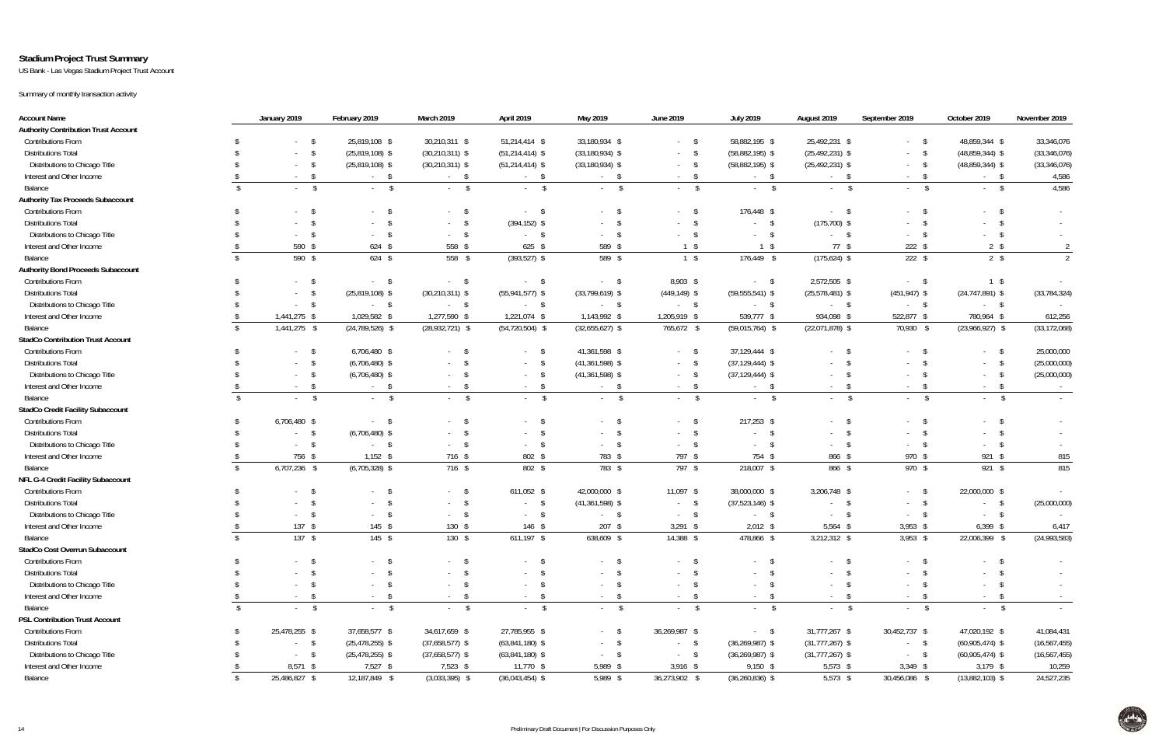### **Stadium Project Trust Summary**

US Bank - Las Vegas Stadium Project Trust Account

Summary of monthly transaction activity

| <b>Account Name</b>                         | January 2019                                | February 2019              | March 2019          | April 2019                  | May 2019                | June 2019       | <b>July 2019</b>        | August 2019                                    | September 2019              | October 2019         | November 2019  |
|---------------------------------------------|---------------------------------------------|----------------------------|---------------------|-----------------------------|-------------------------|-----------------|-------------------------|------------------------------------------------|-----------------------------|----------------------|----------------|
| <b>Authority Contribution Trust Account</b> |                                             |                            |                     |                             |                         |                 |                         |                                                |                             |                      |                |
| <b>Contributions From</b>                   | $-$ \$                                      | 25,819,108 \$              | 30,210,311 \$       | 51,214,414 \$               | 33,180,934 \$           | $-5$            | 58,882,195 \$           | 25,492,231 \$                                  | $-5$                        | 48,859,344 \$        | 33,346,076     |
| <b>Distributions Total</b>                  | $\sqrt{3}$<br>$\sim 100$                    | $(25,819,108)$ \$          | $(30, 210, 311)$ \$ | $(51, 214, 414)$ \$         | $(33, 180, 934)$ \$     | $-5$            | $(58,882,195)$ \$       | $(25,492,231)$ \$                              | $-5$                        | $(48,859,344)$ \$    | (33, 346, 076) |
| Distributions to Chicago Title              | $-$ \$                                      | $(25,819,108)$ \$          | $(30, 210, 311)$ \$ | $(51, 214, 414)$ \$         | $(33, 180, 934)$ \$     | $-5$            | $(58,882,195)$ \$       | $(25,492,231)$ \$                              | $-5$                        | $(48,859,344)$ \$    | (33, 346, 076) |
| Interest and Other Income                   | - \$<br>$\sim$ 10 $\pm$                     | $-5$                       | $-$ \$              | $-$ \$                      | $-5$                    | $-5$            | $-5$                    | $-5$                                           | <b>S</b><br>$\sim$ 10 $\pm$ | $-5$                 | 4,586          |
| Balance                                     | $\mathbb{S}$<br>$\mathcal{S}$<br>$\sim 100$ | $\mathsf{s}$<br>$\sim 100$ | $-5$                | $\mathsf{S}$<br>$\sim 100$  | $\sqrt{3}$<br>$\sim 10$ | $-5$            | $-5$                    | $-5$                                           | $\sqrt{3}$<br>$\sim 100$    | $-5$                 | 4,586          |
| <b>Authority Tax Proceeds Subaccount</b>    |                                             |                            |                     |                             |                         |                 |                         |                                                |                             |                      |                |
| <b>Contributions From</b>                   | $-5$                                        | $\sim 100$                 | $-5$                | <b>S</b><br>$\sim 100$      | - S<br>$\sim$ .         | $-5$            | 176,448 \$              | $-5$                                           | - \$<br>$\sim 10^{-11}$     | $-$ \$               |                |
| <b>Distributions Total</b>                  | -\$                                         |                            | $-5$                | $(394, 152)$ \$             |                         | $-5$            | $-$ \$                  | $(175, 700)$ \$                                |                             | $\mathsf{s}$         |                |
| Distributions to Chicago Title              | $-$ \$                                      | $\sim 100$                 | $-5$                | $-5$                        | $\sim$                  | $-5$            | <b>S</b><br>$\sim 100$  | $-5$                                           | $\sim 100$                  | $\mathbb{S}$         |                |
| Interest and Other Income                   | 590 \$                                      | $624$ \$                   | 558 \$              | $625$ \$                    | 589 \$                  | $1 \quad$       | $1 \sqrt$               | 77S                                            | $222$ \$                    | $2 \sqrt{s}$         |                |
| Balance                                     | 590 \$<br>$\mathcal{S}$                     | $624$ \$                   | 558 \$              | $(393,527)$ \$              | 589 \$                  | $1 \sqrt{3}$    | 176,449 \$              | $(175, 624)$ \$                                | $222$ \$                    | $2 \sqrt{3}$         | 2              |
| <b>Authority Bond Proceeds Subaccount</b>   |                                             |                            |                     |                             |                         |                 |                         |                                                |                             |                      |                |
| <b>Contributions From</b>                   | $-$ \$                                      | - \$<br>$\sim 100$         | $-$ \$              | $-$ \$                      | $-5$                    | 8,903 \$        | $-5$                    | 2,572,505 \$                                   | $-5$                        | $1 \sqrt{3}$         |                |
| <b>Distributions Total</b>                  | $\mathsf{\$}$                               | $(25,819,108)$ \$          | $(30, 210, 311)$ \$ | $(55, 941, 577)$ \$         | $(33,799,619)$ \$       | $(449, 149)$ \$ | $(59, 555, 541)$ \$     | $(25,578,481)$ \$                              | $(451, 947)$ \$             | $(24, 747, 891)$ \$  | (33, 784, 324) |
| Distributions to Chicago Title              | $-$ \$                                      | $-5$                       | $-$ \$              | $-5$                        | $-$ \$                  | $-5$            | $-5$                    | $-5$                                           | $-$ \$                      | $-$ \$               |                |
| Interest and Other Income                   | 1,441,275 \$                                | 1,029,582 \$               | 1,277,590 \$        | 1,221,074 \$                | 1,143,992 \$            | 1,205,919 \$    | 539,777 \$              | 934,098 \$                                     | 522,877 \$                  | 780,964 \$           | 612,256        |
| Balance                                     | 1,441,275 \$<br>\$                          | $(24, 789, 526)$ \$        | $(28,932,721)$ \$   | $(54, 720, 504)$ \$         | $(32,655,627)$ \$       | 765,672 \$      | $(59,015,764)$ \$       | $(22,071,878)$ \$                              | 70,930 \$                   | $(23,966,927)$ \$    | (33, 172, 068) |
| <b>StadCo Contribution Trust Account</b>    |                                             |                            |                     |                             |                         |                 |                         |                                                |                             |                      |                |
| <b>Contributions From</b>                   | $-$ \$                                      | 6,706,480 \$               | $-5$                | $-5$                        | 41,361,598 \$           | $-5$            | 37,129,444 \$           | $-5$                                           | - S                         | $^{\circ}$<br>$\sim$ | 25,000,000     |
| <b>Distributions Total</b>                  | $-$ \$                                      | $(6,706,480)$ \$           | $-$ \$              | $-$ \$                      | $(41,361,598)$ \$       | $-$ \$          | $(37, 129, 444)$ \$     | $-5$                                           | - \$<br>$\sim$              | $-5$                 | (25,000,000)   |
| Distributions to Chicago Title              | $\sqrt{3}$<br>$\sim 100$                    | $(6,706,480)$ \$           | $-5$                | $-$ \$                      | $(41,361,598)$ \$       | $-$ \$          | $(37, 129, 444)$ \$     | $^{\circ}$<br>$\sim$ 10 $\pm$                  | -S<br>$\sim$                | \$<br>$\sim 100$     | (25,000,000)   |
| Interest and Other Income                   | \$<br>$\sim 100$                            | - \$<br>$\sim 100$         | $-$ \$              | $\sqrt{3}$<br>$\sim 100$    | \$<br>$\sim$            | $-$ \$          | $-5$                    | $-$ \$                                         | $\sqrt{3}$                  | $-$ \$               | $\sim$ $-$     |
| Balance                                     | $\sqrt{2}$<br>$\mathcal{S}$                 | $\sqrt{2}$                 | $-5$                | $\mathsf{\$}$               | $\mathsf{\$}$           | $\mathsf{\$}$   | $\mathsf{\$}$<br>$\sim$ | $\mathsf{\$}$<br>$\mathbf{a}$ and $\mathbf{a}$ | $\mathsf{\$}$               | $\sqrt{2}$<br>$\sim$ |                |
| <b>StadCo Credit Facility Subaccount</b>    |                                             |                            |                     |                             |                         |                 |                         |                                                |                             |                      |                |
| <b>Contributions From</b>                   | 6,706,480 \$                                | - S<br>$\sim$              | $-5$                | $\mathsf{\$}$               | \$                      | $-5$            | 217,253 \$              | $-5$                                           | $-5$                        | $-5$                 |                |
| <b>Distributions Total</b>                  | $-$ \$                                      | $(6,706,480)$ \$           | $-5$                | $-$ \$                      | $\sqrt{5}$<br>$\sim$    | $-5$            | \$<br>$\sim$ $-$        | $-5$                                           | $-$ \$                      | $-5$                 |                |
| Distributions to Chicago Title              | $-$ \$                                      | - \$<br>$\sim 100$         | $-5$                | $-5$                        | <b>S</b><br>$\sim$      | $-5$            | \$<br>$\sim 100$        | $-5$                                           | $-5$                        | $-5$                 |                |
| Interest and Other Income                   | 756 \$                                      | $1,152$ \$                 | 716 \$              | 802 \$                      | 783 \$                  | 797 \$          | 754 \$                  | 866 \$                                         | 970 \$                      | 921 \$               | 815            |
| Balance                                     | 6,707,236 \$<br>\$                          | $(6,705,328)$ \$           | 716 \$              | 802 \$                      | 783 \$                  | 797 \$          | 218,007 \$              | 866 \$                                         | 970 \$                      | $921$ \$             | 815            |
| NFL G-4 Credit Facility Subaccount          |                                             |                            |                     |                             |                         |                 |                         |                                                |                             |                      |                |
| <b>Contributions From</b>                   | $-5$                                        | $\sim$                     | $-5$                | 611,052 \$                  | 42,000,000 \$           | $11,097$ \$     | 38,000,000 \$           | 3,206,748 \$                                   | $-5$                        | 22,000,000 \$        |                |
| <b>Distributions Total</b>                  | - \$                                        | $\sim 100$                 | $-5$                | $\mathsf{\$}$<br>$\sim 100$ | $(41,361,598)$ \$       | $-5$            | $(37,523,146)$ \$       | $-5$                                           | $\sqrt{3}$<br>$\sim$ $-$    | $-5$                 | (25,000,000)   |
| Distributions to Chicago Title              |                                             | $\sim 100$                 | $-5$                | \$<br>$\sim 100$            | $\mathsf{S}$            | $-5$            | $-5$                    | $-5$                                           |                             | $-5$                 |                |
| Interest and Other Income                   | $137$ \$                                    | $145$ \$                   | $130*$              | 146 \$                      | $\sim 100$<br>$207$ \$  | $3,291$ \$      | $2,012$ \$              | $5,564$ \$                                     | $\sim 100$<br>$3,953$ \$    | $6,399$ \$           | 6,417          |
| <b>Balance</b>                              | $137$ \$                                    | $145$ \$                   | $130*$              | $611,197$ \$                | 638,609 \$              | 14,388 \$       | 478,866 \$              | 3,212,312 \$                                   | $3,953$ \$                  | 22,006,399 \$        | (24,993,583)   |
| StadCo Cost Overrun Subaccount              |                                             |                            |                     |                             |                         |                 |                         |                                                |                             |                      |                |
| <b>Contributions From</b>                   | $-5$                                        | - \$<br>$\sim 100$         | $-5$                | $-5$                        | $\mathsf{S}$            | $-5$            | S.                      | $-$ \$                                         | $-5$                        | $-5$                 |                |
| <b>Distributions Total</b>                  | - \$                                        | $\sim$                     | $-5$                | $\mathsf{\$}$               | - \$<br>$\sim$          | $-$ \$          | - \$                    |                                                | - \$<br>$\sim 100$          | $-5$                 |                |
| Distributions to Chicago Title              | - \$                                        | $\sim 100$                 | $-5$                | $-5$                        | \$<br>$\sim$            | $-5$            | - \$<br>$\sim 100$      | $-5$                                           | - \$<br>$\sim 100$          | $-5$                 |                |
| Interest and Other Income                   | - \$<br>$\sim$ 10 $\pm$                     |                            | $-5$                | $-$ \$                      | \$                      | $-5$            | $-5$                    |                                                | $\sim 10^{-11}$             | $-$ \$               |                |
| Balance                                     | $\mathsf{\$}$<br>$\mathcal{S}$              | \$<br>$\sim 100$           | $-5$                | \$                          | $\sim$<br>$\sqrt{3}$    | $-$ \$          | $-5$                    | $-5$<br>$-5$                                   | $\sqrt{3}$<br>\$            | $-$ \$               |                |
| <b>PSL Contribution Trust Account</b>       | $\sim 100$                                  | $\sqrt{2}$<br>$\sim 100$   |                     | $\sim 100$                  | $\sim 100$              |                 |                         |                                                | $\sim$                      |                      | $\sim$         |
|                                             |                                             |                            |                     |                             |                         |                 |                         |                                                |                             |                      |                |
| <b>Contributions From</b>                   | 25,478,255 \$                               | 37,658,577 \$              | 34,617,659 \$       | 27,785,955 \$               | $-$ \$                  | 36,269,987 \$   | $-5$                    | 31,777,267 \$                                  | 30,452,737 \$               | 47,020,192 \$        | 41,084,431     |
| <b>Distributions Total</b>                  | $-$ \$                                      | $(25, 478, 255)$ \$        | $(37,658,577)$ \$   | $(63,841,180)$ \$           | $-$ \$                  | $-$ \$          | $(36, 269, 987)$ \$     | $(31,777,267)$ \$                              | $-$ \$                      | $(60,905,474)$ \$    | (16, 567, 455) |
| Distributions to Chicago Title              | $-$ \$                                      | $(25, 478, 255)$ \$        | $(37,658,577)$ \$   | $(63,841,180)$ \$           | $\sqrt{3}$<br>$\sim$    | $-$ \$          | $(36, 269, 987)$ \$     | $(31,777,267)$ \$                              | $-$ \$                      | $(60,905,474)$ \$    | (16, 567, 455) |
| Interest and Other Income                   | $8,571$ \$                                  | 7,527 \$                   | $7,523$ \$          | 11,770 \$                   | 5,989 \$                | $3,916$ \$      | $9,150$ \$              | $5,573$ \$                                     | $3,349$ \$                  | $3,179$ \$           | 10,259         |
| Balance                                     | 25,486,827 \$                               | 12,187,849 \$              | $(3,033,395)$ \$    | $(36,043,454)$ \$           | 5,989 \$                | 36,273,902 \$   | $(36, 260, 836)$ \$     | $5,573$ \$                                     | 30,456,086 \$               | $(13,882,103)$ \$    | 24,527,235     |

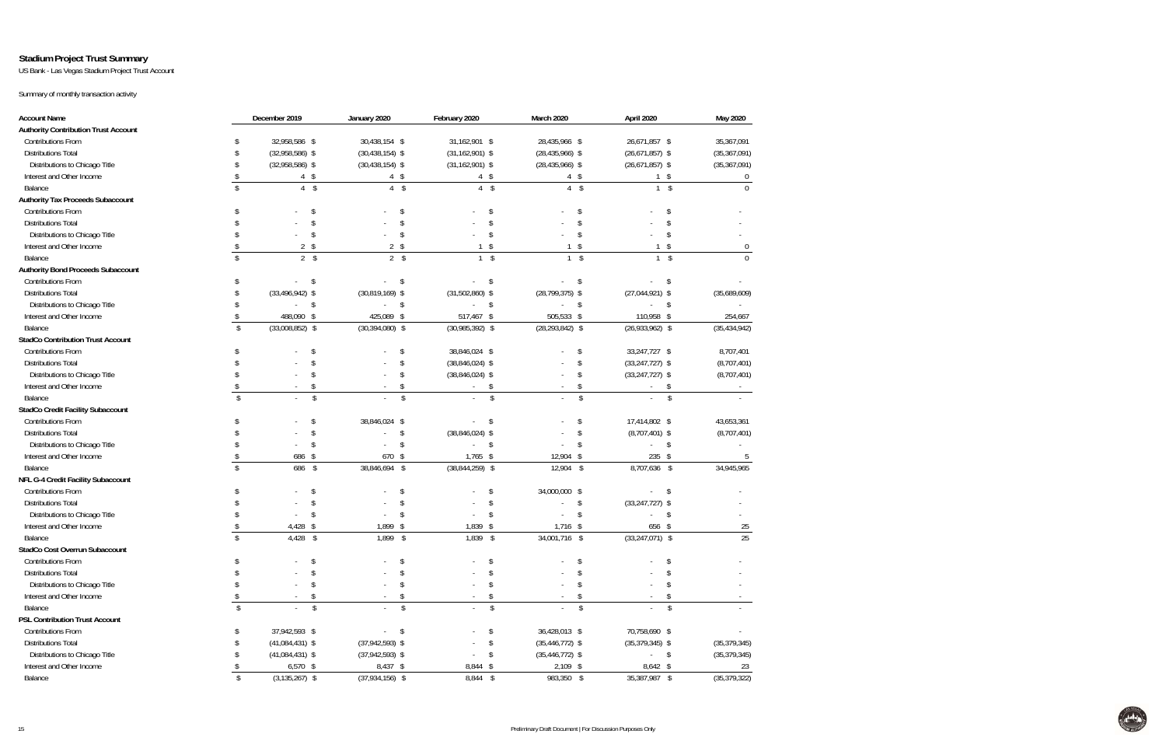### **Stadium Project Trust Summary**

US Bank - Las Vegas Stadium Project Trust Account

Summary of monthly transaction activity

| <b>Account Name</b>                         |                    | December 2019<br>January 2020    |                                | February 2020<br>March 2020 |                                | April 2020          | May 2020               |
|---------------------------------------------|--------------------|----------------------------------|--------------------------------|-----------------------------|--------------------------------|---------------------|------------------------|
| <b>Authority Contribution Trust Account</b> |                    |                                  |                                |                             |                                |                     |                        |
| <b>Contributions From</b>                   |                    | 32,958,586 \$                    | 30,438,154 \$                  | 31,162,901 \$               | 28,435,966 \$                  | 26,671,857 \$       | 35,367,091             |
| <b>Distributions Total</b>                  |                    | $(32,958,586)$ \$                | $(30, 438, 154)$ \$            | $(31, 162, 901)$ \$         | $(28, 435, 966)$ \$            | $(26,671,857)$ \$   | (35, 367, 091)         |
| Distributions to Chicago Title              |                    | $(32,958,586)$ \$                | $(30, 438, 154)$ \$            | $(31, 162, 901)$ \$         | $(28, 435, 966)$ \$            | $(26,671,857)$ \$   | (35, 367, 091)         |
| Interest and Other Income                   |                    | $4 \quad$                        | $4 \quad$                      | $4 \quad$                   | $4 \text{ }$                   | $1 \quad$           | $\mathbf 0$            |
| Balance                                     | \$                 | $4 \quad$                        | $\overline{4}$<br>$\sqrt[6]{}$ | $4 \quad$                   | $\overline{4}$<br>$\sqrt[6]{}$ | $1 \quad$           | $\Omega$               |
| <b>Authority Tax Proceeds Subaccount</b>    |                    |                                  |                                |                             |                                |                     |                        |
| Contributions From                          |                    | \$                               | \$                             | $\mathcal{S}$               | \$                             | \$                  |                        |
| <b>Distributions Total</b>                  |                    | $\mathfrak{L}$                   | $\mathbf{\hat{S}}$             | $\mathcal{S}$               | $\mathsf{\$}$                  | $\mathbf{\hat{S}}$  |                        |
| Distributions to Chicago Title              |                    | \$                               | \$                             | $\mathsf{\$}$               | $\mathsf{\$}$                  | \$                  |                        |
| Interest and Other Income                   |                    | $2 \sqrt{s}$                     | $2 \sqrt$                      | \$                          | $\sqrt[6]{}$                   | \$                  | 0                      |
| Balance                                     | \$                 | $2 \sqrt{3}$                     | $2 \sqrt{3}$                   | $\sqrt{2}$<br>$\mathbf{1}$  | $\mathcal{S}$<br>$\mathbf{1}$  |                     | $\sqrt{2}$<br>$\Omega$ |
| <b>Authority Bond Proceeds Subaccount</b>   |                    |                                  |                                |                             |                                |                     |                        |
| Contributions From                          |                    | $\sqrt{5}$                       | -\$                            | -\$                         | \$                             | -\$                 |                        |
| <b>Distributions Total</b>                  | S                  | $(33, 496, 942)$ \$              | $(30,819,169)$ \$              | $(31,502,860)$ \$           | $(28, 799, 375)$ \$            | $(27,044,921)$ \$   | (35,689,609)           |
| Distributions to Chicago Title              |                    | \$                               | \$                             | \$                          | \$                             | - \$                |                        |
| Interest and Other Income                   | S                  | 488,090 \$                       | 425,089 \$                     | 517,467 \$                  | 505,533 \$                     | 110,958 \$          | 254,667                |
| Balance                                     | $\sqrt{2}$         | $(33,008,852)$ \$                | $(30, 394, 080)$ \$            | $(30,985,392)$ \$           | $(28, 293, 842)$ \$            | $(26,933,962)$ \$   | (35, 434, 942)         |
| <b>StadCo Contribution Trust Account</b>    |                    |                                  |                                |                             |                                |                     |                        |
| <b>Contributions From</b>                   |                    | \$                               | \$                             | 38,846,024 \$               | \$                             | 33,247,727 \$       | 8,707,401              |
| <b>Distributions Total</b>                  |                    | $\mathfrak{L}$                   | $\mathsf{\$}$                  | $(38,846,024)$ \$           | \$                             | $(33, 247, 727)$ \$ | (8,707,401)            |
| Distributions to Chicago Title              |                    | \$                               | \$                             | $(38,846,024)$ \$           | \$                             | $(33, 247, 727)$ \$ | (8,707,401)            |
| Interest and Other Income                   |                    | \$                               | \$                             | \$                          | \$                             | \$                  |                        |
| Balance                                     | $\mathbf{\hat{S}}$ | \$                               | $\sqrt{2}$                     | $\sqrt{2}$                  | $\mathcal{S}$                  |                     | $\sqrt{2}$             |
| <b>StadCo Credit Facility Subaccount</b>    |                    |                                  |                                |                             |                                |                     |                        |
| <b>Contributions From</b>                   |                    | \$                               | 38,846,024 \$                  | \$                          | \$                             | 17,414,802 \$       | 43,653,361             |
| <b>Distributions Total</b>                  |                    | \$                               | \$                             | $(38,846,024)$ \$           | \$                             | $(8,707,401)$ \$    | (8,707,401)            |
| Distributions to Chicago Title              |                    | \$                               | \$                             | \$                          | \$                             | \$                  |                        |
| Interest and Other Income                   |                    | 686 \$                           | 670 \$                         | $1,765$ \$                  | 12,904 \$                      | 235 \$              | 5                      |
| Balance                                     | $\mathcal{S}$      | 686 \$                           | 38,846,694 \$                  | $(38,844,259)$ \$           | 12,904 \$                      | 8,707,636 \$        | 34,945,965             |
| NFL G-4 Credit Facility Subaccount          |                    |                                  |                                |                             |                                |                     |                        |
| <b>Contributions From</b>                   |                    | S,                               | \$                             | \$                          | 34,000,000 \$                  | -\$                 |                        |
| <b>Distributions Total</b>                  |                    | \$                               | \$                             | \$                          | \$                             | $(33, 247, 727)$ \$ |                        |
| Distributions to Chicago Title              |                    | $\mathcal{S}$                    | $\mathsf{\$}$                  | $\mathsf{\$}$               | \$                             | $\mathsf{\$}$       |                        |
| Interest and Other Income                   |                    | 4,428<br>\$                      | 1,899<br>\$                    | 1,839<br>- \$               | $1,716$ \$                     | 656 \$              | 25                     |
| Balance                                     | \$                 | $\sqrt[6]{\frac{1}{2}}$<br>4,428 | $1,899$ \$                     | 1,839 \$                    | 34,001,716 \$                  | $(33,247,071)$ \$   | 25                     |
| StadCo Cost Overrun Subaccount              |                    |                                  |                                |                             |                                |                     |                        |
| <b>Contributions From</b>                   | \$                 | \$                               |                                |                             | \$.                            |                     |                        |
| <b>Distributions Total</b>                  |                    |                                  |                                |                             |                                |                     |                        |
| Distributions to Chicago Title              | S.                 | \$                               | $\mathcal{S}$                  | \$                          | \$                             | $\mathbf{\hat{S}}$  |                        |
| Interest and Other Income                   | \$                 | \$                               | \$                             | \$                          | \$                             |                     | \$                     |
| Balance                                     | $\sqrt{2}$         | $\sqrt{2}$                       | $\mathfrak{S}$                 | $\sqrt{2}$                  | $\mathcal{L}$                  |                     | $\sqrt{2}$             |
| <b>PSL Contribution Trust Account</b>       |                    |                                  |                                |                             |                                |                     |                        |
| <b>Contributions From</b>                   | S.                 | 37,942,593 \$                    | $\mathsf{S}$<br>$\sim$         | \$                          | 36,428,013 \$                  | 70,758,690 \$       |                        |
| <b>Distributions Total</b>                  |                    | $(41,084,431)$ \$                | $(37,942,593)$ \$              | \$                          | $(35, 446, 772)$ \$            | $(35,379,345)$ \$   | (35, 379, 345)         |
| Distributions to Chicago Title              |                    | $(41,084,431)$ \$                | $(37,942,593)$ \$              | \$                          | $(35, 446, 772)$ \$            | $-5$                | (35, 379, 345)         |
| Interest and Other Income                   |                    | $6,570$ \$                       | 8,437 \$                       | 8,844 \$                    | $2,109$ \$                     | 8,642 \$            | 23                     |
| Balance                                     | $\,$               | $(3, 135, 267)$ \$               | $(37,934,156)$ \$              | 8,844 \$                    | 983,350 \$                     | 35,387,987 \$       | (35, 379, 322)         |

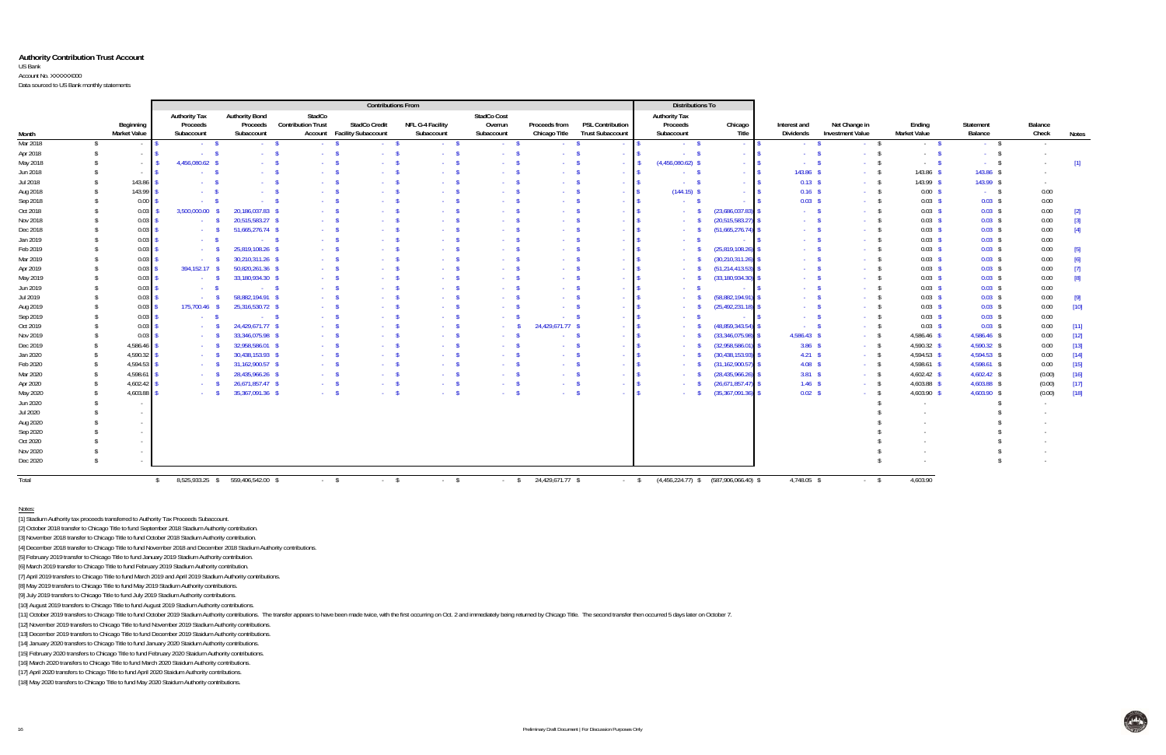#### **Authority Contribution Trust Account**

US Bank Account No. XXXXXX000

Data sourced to US Bank monthly statements

|          |               |                             | <b>Contributions From</b>             |                       |                           |                                    |                         |                             | <b>Distributions To</b> |                          |                                 |                                           |                   |                         |                     |                              |                  |                   |
|----------|---------------|-----------------------------|---------------------------------------|-----------------------|---------------------------|------------------------------------|-------------------------|-----------------------------|-------------------------|--------------------------|---------------------------------|-------------------------------------------|-------------------|-------------------------|---------------------|------------------------------|------------------|-------------------|
|          |               |                             | <b>Authority Tax</b>                  | <b>Authority Bond</b> | StadCo                    |                                    |                         | StadCo Cost                 |                         |                          | <b>Authority Tax</b>            |                                           |                   |                         |                     |                              |                  |                   |
|          |               | Beginning                   | Proceeds                              | Proceeds              | <b>Contribution Trust</b> | <b>StadCo Credit</b>               | <b>NFL G-4 Facility</b> | Overrun                     | Proceeds from           | <b>PSL Contribution</b>  | Proceeds                        | Chicago                                   | Interest and      | Net Change in           | Ending              | Statement                    | Balance          |                   |
| Month    |               | <b>Market Value</b>         | Subaccount                            | Subaccount            |                           | <b>Account</b> Facility Subaccount | Subaccount              | Subaccount                  | Chicago Title           | <b>Trust Subaccount</b>  | Subaccount                      | Title                                     | Dividends         | <b>Investment Value</b> | <b>Market Value</b> | Balance                      | Check            | Notes             |
| Mar 2018 | -S            | $\sim 10^{-1}$              | $\sim$ S                              | $-5$                  | $\sim$ S                  | $-5$                               | $-5$                    | $-8$                        | $-5$                    | $\sim 10^{-1}$           | $-5$                            | <b>Contract</b>                           | $\sim$ S          | $-$ \$                  | $-5$                | $-5$                         | $\sim$ 100 $\pm$ |                   |
| Apr 2018 |               | $\sim 10^{-1}$              | . . S                                 | $\sim$ $\sim$ \$      | $\sim$ 8                  | $\sim$                             | $\sim$ \$               | $\sim 10^{-10}$             | <b>Service</b>          | $\sim$ $ -$              | $-5$                            | <b>Contractor</b>                         | . <b>.</b> \$     | $\sim 10^{-10}$         | $\sim 100$          | $\sqrt{5}$<br>$\sim 10^{-1}$ |                  |                   |
| May 2018 |               | $\sim$ $\sim$ $\sim$ $\sim$ | 4.456.080.62 \$                       | $-8$                  | $\sim$ \$                 | $\sim 10^{-1}$                     | $-5$                    | $\sim$ S                    | $\sim$ $\sim$ $\sim$    | $-1$ S                   | $(4,456,080.62)$ \$             | $-1$ $\sqrt{S}$                           | $-5$              | $-$ \$                  | $-5$                | $-5$                         |                  | $[1]$             |
| Jun 2018 |               | $ \sim$ $\sim$              | - 5                                   | $\sim$ \$             | $\sim$ S                  | $\sim 100$                         | $-5$                    | $\sim$ S                    | $-5$                    | - 19                     | $-5$                            | $-1$ S                                    | 143.86 \$         | $-$ \$                  | $143.86$ \$         | 143.86 \$                    |                  |                   |
| Jul 2018 |               | $143.86$ \$                 | $\sim$ $\sim$ $\sim$                  | $\sim$ $\sqrt{2}$     | $\sim$ S                  | $\sim 10$                          | $-$ \$                  | $\sim$ S                    | $\sim$ \$               | <b>Section</b>           | - \$<br>$\sim 10^{-1}$          | <b>College</b>                            | $0.13$ \$         | $-5$                    | 143.99 \$           | 143.99 \$                    | $\sim$           |                   |
| Aug 2018 |               | $143.99$ \$                 | $ \sim$ $\sim$                        | $-$ \$                | $\sim$ $\sim$ $\sim$      | $\sim 10^{-1}$                     | $-$ \$                  | - 5                         | $\sim$ S                | $\sim$ 1                 | $(144.15)$ \$                   | $\sim$ $-$                                | $0.16$ \$         | $-5$                    | $0.00$ \$           | $-5$                         | 0.00             |                   |
| Sep 2018 |               | $0.00$ \$                   | $\sim$ 8                              | $-$ \$                | $\sim$ $\sim$ $\sim$      | <b>Section</b>                     | $-$ \$                  | $\sim$ S                    | $\sim$ $\sim$ $\sim$    | . <b>.</b> .             | $\sim$ \$                       | $\sim$ $-$                                | 0.03 <sup>5</sup> | $-5$                    | $0.03$ \$           | $0.03$ \$                    | 0.00             |                   |
| Oct 2018 |               | $0.03$ \$                   | 3,500,000.00                          | 20,186,037.83 \$      | . S                       | $\sim 100$                         | $-5$                    | $\sim$ S                    | $\sim$ $\sim$ \$        | $\sim$ $\sim$            | $-5$                            | (23,686,037.83)                           | $\sim$ S          | $-5$                    | $0.03$ \$           | $0.03$ \$                    | 0.00             | $\lceil 2 \rceil$ |
| Nov 2018 |               | $0.03$ \$                   | $ \sim$ $\sim$                        | 20,515,583.27 \$      | - \$                      | $\sim 10^{-1}$                     | $-5$                    | $\sim$ S                    | $\sim$ $\sim$ $\sim$    | $\sim$ 1                 | $-5$                            | (20, 515, 583.27)                         | $\sim$ \$         | $-5$                    | $0.03$ \$           | $0.03$ \$                    | 0.00             | $[3]$             |
| Dec 2018 |               | $0.03 \,$ \$                | $-5$                                  | 51,665,276.74 \$      | $\sim$ \$                 | $\sim 10^{-1}$                     | $-5$                    | - 8                         | $-5$                    | <b>Contract Contract</b> | <b>Contract</b>                 | (51,665,276.74)                           | $\sim$ S          | $-5$                    | $0.03$ \$           | $0.03$ \$                    | 0.00             | $[4]$             |
| Jan 2019 | Ŝ.            | $0.03$ \$                   | $\sim$ $\sim$ $\sim$ $\sim$           | $-5$                  | $\sim$ S                  | $\sim$ S                           | $-5$                    | $\sim$ S                    | $-5$                    | <b>Service</b>           | $\sim 10^{-10}$                 | $\sim$                                    | $\sim$ S          | $-5$                    | 0.03 <sup>5</sup>   | $0.03$ \$                    | 0.00             |                   |
| Feb 2019 |               | $0.03$ \$                   | $\sim$ $\sim$ $\sim$ $\sim$           | 25,819,108.26 \$      | $\sim$ S                  | <b>Section</b>                     | $-$ \$                  | $\sim$ S                    | $\sim$ \$               | <b>Service</b>           | $\sim 100$                      | (25,819,108.26)                           | $\sim$ S          | $\sim$ \$               | $0.03$ \$           | $0.03$ \$                    | 0.00             | $[5]$             |
| Mar 2019 |               | $0.03 \, \text{S}$          | - 5                                   | 30,210,311.26 \$      | . S                       | <b>Section</b>                     | $-$ \$                  | $\sim$ $\sim$ 8             | $\sim$ $\sim$ $\sim$    | <b>Service</b>           | $\sim 100$                      | (30, 210, 311.26)                         | . 9               | $-5$                    | 0.03 <sup>5</sup>   | $0.03$ \$                    | 0.00             | $[6]$             |
| Apr 2019 |               | $0.03$ \$                   | 394,152.17 \$                         | 50,820,261.36 \$      | $\sim$ S                  | <b>Section</b>                     |                         | . <b>. .</b>                | $\sim$ $\sim$ $\sim$    | <b>Contract Contract</b> | $\sim 100$                      | (51, 214, 413.53)                         | $\sim$ \$         | $-5$                    | $0.03$ \$           | $0.03$ \$                    | 0.00             | $[7]$             |
| May 2019 |               | $0.03 \,$ \$                | $ \sim$ $\sim$                        | 33,180,934.30 \$      | $\sim$ S                  | $\sim 10^{-1}$                     | $\sim$ S                | - 5                         | $\sim$ $\sim$ $\sim$    | <b>Section</b>           | $\sim 10^{-1}$                  | (33, 180, 934.30)                         | $\sim$ S          | $\sim$ \$               | $0.03$ \$           | $0.03$ \$                    | 0.00             | [8]               |
| Jun 2019 |               | $0.03$ \$                   | $ \sim$ $\sim$                        | $-$ \$                | $\sim$ S                  | $\sim 10^{-1}$                     | $-$ \$                  | $\sim$ S                    | $\sim$ $\sim$ $\sim$    | $\sim$ 1                 | $\mathbf{s}$<br><b>Contract</b> | <b>College</b>                            | $\sim$ S          | $\sim$ \$               | $0.03$ \$           | $0.03$ \$                    | 0.00             |                   |
| Jul 2019 |               | $0.03$ \$                   | $ \sim$ $\sim$                        | 58,882,194.91 \$      | $\sim$ \$                 | $\sim 10^{-1}$                     | $-5$                    | - 8                         | <b>Contract</b>         |                          | <b>Contract</b>                 | $(58,882,194.91)$ \$                      | $\sim$ $\sim$     | $-5$                    | $0.03$ \$           | $0.03$ \$                    | 0.00             | $[9]$             |
| Aug 2019 |               | $0.03$ \$                   | 175,700.46 \$                         | 25,316,530.72 \$      | $\sim$ \$                 | $\sim 10^{-10}$                    | $-5$<br><b>S</b>        | $\sim$ $\sim$ \$            | $\sim$ S                | 14 O.N.                  | $\sim 10^{-1}$                  | $(25, 492, 231.18)$ \$                    | $\sim$ $\sim$     | $\sim$ \$               | 0.03 <sup>5</sup>   | $0.03$ \$                    | 0.00             | $[10]$            |
| Sep 2019 |               | $0.03$ \$                   | $\sim$ S                              | $-$ \$                | $\sim$ S                  | $\sim 100$                         | $-$ \$                  | $\sim$ S                    | $\sim$ \$               |                          | $\sim 100$                      |                                           | . S               | $-5$                    | $0.03$ \$           | $0.03$ \$                    | 0.00             |                   |
| Oct 2019 |               | $0.03$ \$                   | $ \sim$ $\sim$                        | 24,429,671.77 \$      | $\sim$ S                  | $\sim 10^{-1}$                     | $-5$                    | $\sim$ $\sim$ $\sim$ $\sim$ | 24,429,671.77 \$        | <b>Contract Contract</b> | $\sim 100$                      | $(48,859,343.54)$ \$                      | . 9               | $-5$                    | 0.03 <sup>5</sup>   | $0.03$ \$                    | 0.00             | $[11]$            |
| Nov 2019 |               | $0.03$ \$                   | $-5$                                  | 33,346,075.98 \$      | $\sim$ S                  | <b>Section</b>                     | $-$ \$                  | $\sim$ S                    | <b>Service</b>          | - \$<br>- 1              | $\sim 100$                      | (33, 346, 075.98)                         | 4,586.43 \$       | $-5$                    | 4,586.46 \$         | 4,586.46 \$                  | 0.00             | $[12]$            |
| Dec 2019 | -S            | 4,586.46 \$                 | $\sim$ $\sim$ $\sim$                  | 32,958,586.01 \$      | $\sim$ S                  | $\sim 100$                         | $-5$                    | $\sim$ S                    | <b>Contract</b>         | $\sim$ $\sim$            | $\sim 10^{-10}$                 | (32,958,586.01)                           | $3.86$ \$         | $-5$                    | 4,590.32 \$         | 4,590.32 \$                  | 0.00             | $[13]$            |
| Jan 2020 | <sup>\$</sup> | $4,590.32$ \$               | $\sim$ $\sim$ $\sim$                  | 30,438,153.93 \$      | - \$                      | $\sim 10^{-1}$                     | $-5$                    | $\sim$ S                    | $\sim$ $\sim$ $\sim$    | $\sim$ 1                 | <b>S</b><br>$\sim 10^{-1}$      | $(30, 438, 153.93)$ \$                    | $4.21$ \$         | $-5$                    | 4,594.53 \$         | 4,594.53 \$                  | 0.00             | $[14]$            |
| Feb 2020 |               | 4,594.53 \$                 | $-$ \$                                | 31,162,900.57 \$      | $\sim$ \$                 | $\sim 10^{-1}$                     | $-5$                    | $\sim$ S                    | $\sim$ $\sim$ $\sim$    | . <b>.</b>               | $\sim 10^{-1}$                  | $(31, 162, 900.57)$ \$                    | 4.08 <sup>°</sup> | $-5$                    | 4,598.61 \$         | 4,598.61 \$                  | 0.00             | $[15]$            |
| Mar 2020 |               | $4,598.61$ \$               | $\sim$ S                              | 28,435,966.26 \$      | - \$                      | $\sim$ S                           | $-$ \$                  | $\sim$ $\sim$ \$            | $\sim$ $\sim$ $\sim$    | . .                      | $-5$                            | $(28, 435, 966.26)$ \$                    | 3.81 S            | $-5$                    | $4,602.42$ \$       | $4,602.42$ \$                | (0.00)           | $[16]$            |
| Apr 2020 |               | $4,602.42$ \$               | $\sim$ $\sim$ $\sim$                  | 26.671.857.47 \$      | $\sim$ S                  | $\sim 100$                         | $\sim$ S                | $\sim$ S                    | $\sim$ \$               | <b>Service</b>           | $\sim 10^{-10}$                 | (26,671,857.47)                           | $1.46$ \$         | $-$ \$                  | 4,603.88 \$         | 4,603.88 \$                  | (0.00)           | [17]              |
| May 2020 |               | $4,603.88$ \$               | $\sim$ $\sim$ $\sim$                  | 35,367,091.36 \$      | - \$                      | <b>Section</b>                     | $-5$<br>- \$            | $\sim$ $\sim$ $\sim$        | $-5$                    | <b>Contract Contract</b> | <b>S</b><br><b>College</b>      | $(35,367,091.36)$ \$                      | $0.02$ \$         | $\sim$ \$               | 4,603.90 \$         | 4.603.90 \$                  | (0.00)           | $[18]$            |
| Jun 2020 |               |                             |                                       |                       |                           |                                    |                         |                             |                         |                          |                                 |                                           |                   |                         | $\sim$              |                              |                  |                   |
| Jul 2020 |               | $\sim 10^{-1}$              |                                       |                       |                           |                                    |                         |                             |                         |                          |                                 |                                           |                   |                         |                     |                              |                  |                   |
| Aug 2020 |               | $\sim 10^{-1}$              |                                       |                       |                           |                                    |                         |                             |                         |                          |                                 |                                           |                   |                         |                     |                              |                  |                   |
| Sep 2020 |               | $\sim 10^{-1}$              |                                       |                       |                           |                                    |                         |                             |                         |                          |                                 |                                           |                   |                         |                     |                              |                  |                   |
| Oct 2020 |               | $\sim$                      |                                       |                       |                           |                                    |                         |                             |                         |                          |                                 |                                           |                   |                         |                     |                              |                  |                   |
| Nov 2020 |               | $\sim$                      |                                       |                       |                           |                                    |                         |                             |                         |                          |                                 |                                           |                   |                         |                     |                              |                  |                   |
| Dec 2020 |               |                             |                                       |                       |                           |                                    |                         |                             |                         |                          |                                 |                                           |                   |                         |                     |                              |                  |                   |
|          |               |                             |                                       |                       |                           |                                    |                         |                             |                         |                          |                                 |                                           |                   |                         |                     |                              |                  |                   |
| Total    |               |                             | 8,525,933.25 \$<br>$\mathbf{\hat{s}}$ | 559,406,542.00 \$     | $-$ \$                    | $-$ \$                             | $-5$                    | $\sim$ \$                   | 24,429,671.77 \$        | $-$ \$                   |                                 | $(4,456,224.77)$ \$ $(587,906,066.40)$ \$ | 4,748.05 \$       | $\sim$ \$               | 4.603.90            |                              |                  |                   |

Notes:

[1] Stadium Authority tax proceeds transferred to Authority Tax Proceeds Subaccount.

[2] October 2018 transfer to Chicago Title to fund September 2018 Stadium Authority contribution.

[3] November 2018 transfer to Chicago Title to fund October 2018 Stadium Authority contribution.

[4] December 2018 transfer to Chicago Title to fund November 2018 and December 2018 Stadium Authority contributions.

[5] February 2019 transfer to Chicago Title to fund January 2019 Stadium Authority contribution.

[6] March 2019 transfer to Chicago Title to fund February 2019 Stadium Authority contribution.

[7] April 2019 transfers to Chicago Title to fund March 2019 and April 2019 Stadium Authority contributions.

[8] May 2019 transfers to Chicago Title to fund May 2019 Stadium Authority contributions.

[9] July 2019 transfers to Chicago Title to fund July 2019 Stadium Authority contributions.

[10] August 2019 transfers to Chicago Title to fund August 2019 Stadium Authority contributions.

[11] October 2019 transfers to Chicago Title to fund October 2019 Stadium Authority contributions. The transfer appears to have been made twice, with the first occurring on Oct. 2 and immediately being returned by Chicago

[12] November 2019 transfers to Chicago Title to fund November 2019 Stadium Authority contributions.

[13] December 2019 transfers to Chicago Title to fund December 2019 Staidum Authority contributions.

[14] January 2020 transfers to Chicago Title to fund January 2020 Staidum Authority contributions.

[15] February 2020 transfers to Chicago Title to fund February 2020 Staidum Authority contributions.

[16] March 2020 transfers to Chicago Title to fund March 2020 Staidum Authority contributions.

[17] April 2020 transfers to Chicago Title to fund April 2020 Staidum Authority contributions.

[18] May 2020 transfers to Chicago Title to fund May 2020 Staidum Authority contributions.

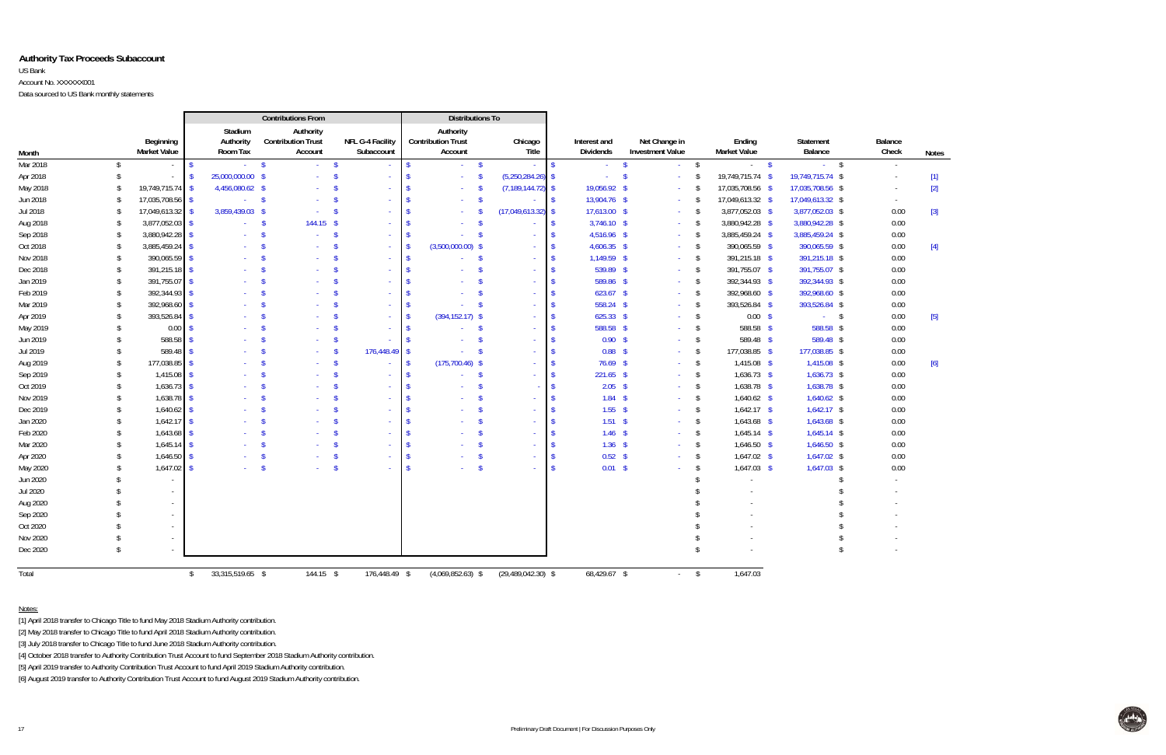#### **Authority Tax Proceeds Subaccount**

#### US Bank

Account No. XXXXXX001

Data sourced to US Bank monthly statements

| Balance        |                                                                                                                                                            |
|----------------|------------------------------------------------------------------------------------------------------------------------------------------------------------|
| Check          | <b>Notes</b>                                                                                                                                               |
|                |                                                                                                                                                            |
|                |                                                                                                                                                            |
|                | $[2]$                                                                                                                                                      |
| $\overline{a}$ |                                                                                                                                                            |
| 0.00           | $[3] % \includegraphics[width=0.9\columnwidth]{figures/fig_1a} \caption{Schematic diagram of the top of the top of the top of the right.} \label{fig:1} %$ |
| 0.00           |                                                                                                                                                            |
| 0.00           |                                                                                                                                                            |
| 0.00           | $[4]$                                                                                                                                                      |
| 0.00           |                                                                                                                                                            |
| 0.00           |                                                                                                                                                            |
| 0.00           |                                                                                                                                                            |
| 0.00           |                                                                                                                                                            |
| 0.00           |                                                                                                                                                            |
| 0.00           | $[5]$                                                                                                                                                      |
| 0.00           |                                                                                                                                                            |
| 0.00           |                                                                                                                                                            |
| 0.00           |                                                                                                                                                            |
| 0.00           | [6]                                                                                                                                                        |
| 0.00           |                                                                                                                                                            |
| 0.00           |                                                                                                                                                            |
| 0.00           |                                                                                                                                                            |
| 0.00           |                                                                                                                                                            |
| 0.00           |                                                                                                                                                            |
| 0.00           |                                                                                                                                                            |
| 0.00           |                                                                                                                                                            |
| 0.00           |                                                                                                                                                            |
| 0.00           |                                                                                                                                                            |
|                |                                                                                                                                                            |
|                |                                                                                                                                                            |
|                |                                                                                                                                                            |
| $\overline{a}$ |                                                                                                                                                            |
| $\frac{1}{2}$  |                                                                                                                                                            |
|                |                                                                                                                                                            |
| -              |                                                                                                                                                            |



|          |               |                                  |                         |         | <b>Contributions From</b>                         |                                |                    | <b>Distributions To</b>                           |                                           |                                  |                                          |            |                    |                               |                             |                         |             |
|----------|---------------|----------------------------------|-------------------------|---------|---------------------------------------------------|--------------------------------|--------------------|---------------------------------------------------|-------------------------------------------|----------------------------------|------------------------------------------|------------|--------------------|-------------------------------|-----------------------------|-------------------------|-------------|
| Month    |               | Beginning<br><b>Market Value</b> | Authority<br>Room Tax   | Stadium | Authority<br><b>Contribution Trust</b><br>Account | NFL G-4 Facility<br>Subaccount |                    | Authority<br><b>Contribution Trust</b><br>Account | Chicago<br>Title                          | Interest and<br><b>Dividends</b> | Net Change in<br><b>Investment Value</b> |            |                    | Ending<br><b>Market Value</b> | <b>Statement</b><br>Balance | <b>Balance</b><br>Check | <b>Note</b> |
| Mar 2018 | \$            |                                  | $\mathsf{\$}$           | $-5$    | $\sim 10^{-1}$                                    | $\mathbf{s}$<br>$\sim$         | \$.                | $-5$                                              |                                           | $\sim$                           | $\mathbf{\hat{S}}$                       | $\sim$     | $\mathbf{\hat{S}}$ | $-5$                          | $-5$                        | $\sim$                  |             |
| Apr 2018 | $\mathsf{\$}$ |                                  | 25,000,000.00 \$<br>-\$ |         |                                                   | -\$                            |                    |                                                   | $(5,250,284.26)$ \$<br>$\mathbf{\hat{S}}$ |                                  | - \$                                     |            | $\mathbf{\hat{S}}$ | 19,749,715.74 \$              | 19,749,715.74 \$            |                         | $[1]$       |
| May 2018 | S.            | 19,749,715.74                    | 4,456,080.62 \$<br>- \$ |         |                                                   | - \$                           | <b>S</b>           |                                                   | $(7, 189, 144.72)$ \$<br>$\sqrt{2}$       | 19,056.92 \$                     |                                          | $\sim$     | -\$                | 17,035,708.56 \$              | 17,035,708.56 \$            |                         | $[2]$       |
| Jun 2018 | \$            | 17,035,708.56                    | $\sqrt{2}$              | $-5$    | $\Delta \phi$                                     | $\mathbf{\hat{s}}$             |                    |                                                   | $\mathbf{\hat{s}}$                        | 13,904.76 \$                     |                                          | $\sim$     | -\$                | 17,049,613.32 \$              | 17,049,613.32 \$            | $\sim$                  |             |
| Jul 2018 | -S            | 17,049,613.32                    | 3,859,439.03 \$<br>- \$ |         | <b>College</b>                                    | - \$                           |                    |                                                   | (17,049,613.32)<br>$\mathbf{\hat{S}}$     | 17,613.00 \$                     |                                          |            | -\$                | 3,877,052.03 \$               | 3,877,052.03 \$             | 0.00                    | $[3]$       |
| Aug 2018 | -\$           | 3,877,052.03                     | $\mathbf{\hat{S}}$      |         | $144.15$ \$<br>$\mathbf{s}$                       |                                |                    |                                                   | $\mathbf{\hat{S}}$                        | $3,746.10$ \$                    |                                          |            | -\$                | 3,880,942.28 \$               | 3,880,942.28 \$             | 0.00                    |             |
| Sep 2018 | \$            | 3,880,942.28                     | $\mathbf{\hat{S}}$      | a.      | $\mathbf{\hat{S}}$<br>$\sim$                      | - \$<br>$\sim$                 |                    |                                                   | -\$                                       | 4,516.96 \$                      |                                          | $\sim$     | -\$                | 3,885,459.24 \$               | 3,885,459.24 \$             | 0.00                    |             |
| Oct 2018 | \$            | 3,885,459.24                     | $\mathbf{\hat{S}}$      |         | $\mathbf{\hat{S}}$                                |                                |                    | $(3,500,000.00)$ \$                               |                                           | $4,606.35$ \$                    |                                          |            | -\$                | 390,065.59 \$                 | 390,065.59 \$               | 0.00                    | $[4]$       |
| Nov 2018 | \$            | 390,065.59                       | - \$                    |         | $\mathcal{S}$                                     | $\sim$                         | -S                 |                                                   | $\mathbf{\hat{s}}$<br>$\sim$              | 1,149.59 \$                      |                                          |            | -\$                | 391,215.18 \$                 | 391,215.18 \$               | 0.00                    |             |
| Dec 2018 | \$            | 391,215.18                       | - \$                    |         |                                                   |                                |                    |                                                   | $\mathbf{\hat{S}}$                        | 539.89 \$                        |                                          | $\sim$     | \$                 | 391,755.07 \$                 | 391,755.07 \$               | 0.00                    |             |
| Jan 2019 | $\sqrt{2}$    | 391,755.07                       | $\mathbf{\hat{S}}$      |         | $\mathbf{\hat{S}}$                                | - \$<br>a.                     | -S                 |                                                   | $\mathbf{\hat{S}}$<br>$\sim$              | 589.86 \$                        |                                          | $\sim$     | $\sqrt[6]{}$       | 392,344.93 \$                 | 392,344.93 \$               | 0.00                    |             |
| Feb 2019 | \$            | 392,344.93                       | $\mathbf{\hat{S}}$      |         | $\mathbf{\hat{S}}$                                | $\mathbf{\hat{S}}$             |                    |                                                   | $\mathbf{\hat{S}}$                        | $623.67$ \$                      |                                          |            | $\sqrt{2}$         | 392,968.60 \$                 | 392,968.60 \$               | 0.00                    |             |
| Mar 2019 | \$            | 392,968.60                       | - \$                    |         | -S                                                | ୍ମ                             |                    |                                                   | $\mathbf{\hat{S}}$                        | 558.24 \$                        |                                          |            | $\sqrt{2}$         | 393,526.84 \$                 | 393,526.84 \$               | 0.00                    |             |
| Apr 2019 | Ŝ.            | 393,526.84                       | -\$                     |         |                                                   |                                |                    | $(394, 152.17)$ \$                                |                                           | $625.33$ \$                      |                                          |            | -\$                | $0.00$ \$                     | $-5$                        | 0.00                    | $[5]$       |
| May 2019 | \$            | 0.00                             |                         |         |                                                   |                                | $\mathbf{\hat{s}}$ |                                                   | $\mathbf{\hat{S}}$                        | 588.58 \$                        |                                          |            | -\$                | 588.58 \$                     | 588.58 \$                   | 0.00                    |             |
| Jun 2019 | -S            | 588.58                           |                         |         |                                                   |                                |                    |                                                   | $\mathbf{\hat{S}}$                        | $0.90$ \$                        |                                          |            | $\mathbf{\hat{S}}$ | 589.48 \$                     | 589.48 \$                   | 0.00                    |             |
| Jul 2019 | S.            | 589.48                           |                         |         |                                                   | 176,448.49<br>- \$             |                    |                                                   | $\mathbf{\hat{S}}$                        | $0.88$ \$                        |                                          |            | \$                 | 177,038.85 \$                 | 177,038.85 \$               | 0.00                    |             |
| Aug 2019 | \$            | 177,038.85                       | -S                      |         | <sup>\$</sup><br>$\sim$                           | - \$                           | - \$               | $(175,700.46)$ \$                                 |                                           | $76.69$ \$                       |                                          |            | -\$                | $1,415.08$ \$                 | $1,415.08$ \$               | 0.00                    | [6]         |
| Sep 2019 | \$            | 1,415.08                         | -S                      |         | $\mathbf{\hat{S}}$                                | $\mathbf{\hat{s}}$<br>$\sim$   | $\mathbf{\hat{S}}$ |                                                   | $\mathbf{\hat{S}}$<br>÷                   | $221.65$ \$                      |                                          |            | $\sqrt{2}$         | $1,636.73$ \$                 | $1,636.73$ \$               | 0.00                    |             |
| Oct 2019 | $\mathcal{S}$ | 1,636.73                         | -\$                     |         | - \$                                              | $\mathbf{\hat{S}}$<br>$\sim$   |                    |                                                   | $\mathbf{\hat{s}}$                        | $2.05$ \$                        |                                          |            | \$                 | $1,638.78$ \$                 | 1,638.78 \$                 | 0.00                    |             |
| Nov 2019 | $\mathcal{S}$ | 1,638.78                         | -S                      |         |                                                   |                                |                    |                                                   | -\$                                       | $1.84$ \$                        |                                          |            | -\$                | $1,640.62$ \$                 | $1,640.62$ \$               | 0.00                    |             |
| Dec 2019 | Ŝ.            | 1,640.62                         | - \$                    |         | -S                                                | $\sim$                         |                    |                                                   | -S                                        | $1.55$ \$                        |                                          |            | -\$                | $1,642.17$ \$                 | $1,642.17$ \$               | 0.00                    |             |
| Jan 2020 | \$            | 1,642.17                         | $\mathbf{\hat{S}}$      |         |                                                   |                                |                    |                                                   |                                           | $1.51$ \$                        |                                          |            | -\$                | $1,643.68$ \$                 | 1,643.68 \$                 | 0.00                    |             |
| Feb 2020 | \$            | 1,643.68                         | - \$                    |         |                                                   |                                |                    |                                                   | -\$<br>$\sim$                             | $1.46$ \$                        |                                          |            | $\mathbf{\hat{S}}$ | $1,645.14$ \$                 | $1,645.14$ \$               | 0.00                    |             |
| Mar 2020 | \$            | $1,645.14$ \$                    |                         |         |                                                   |                                |                    |                                                   | $\mathbf{\hat{S}}$                        | $1.36$ \$                        |                                          |            | \$                 | $1,646.50$ \$                 | $1,646.50$ \$               | 0.00                    |             |
| Apr 2020 | \$            | 1,646.50                         | $\mathbf{\hat{S}}$      |         | $\mathbf{\hat{s}}$                                | - \$                           | - \$               |                                                   | $\mathbf{\hat{S}}$<br>$\sim$              | $0.52$ \$                        |                                          |            | \$                 | $1,647.02$ \$                 | $1,647.02$ \$               | 0.00                    |             |
| May 2020 |               | 1,647.02                         | - \$                    |         | $\mathbf{s}$                                      | $\mathbf{\hat{S}}$<br>$\sim$   | -\$                |                                                   | $\mathbf{\hat{S}}$<br>$\sim$              | $0.01 \quad$ \$                  |                                          |            | -\$                | $1,647.03$ \$                 | $1,647.03$ \$               | 0.00                    |             |
| Jun 2020 |               |                                  |                         |         |                                                   |                                |                    |                                                   |                                           |                                  |                                          |            |                    |                               | -\$                         |                         |             |
| Jul 2020 |               |                                  |                         |         |                                                   |                                |                    |                                                   |                                           |                                  |                                          |            |                    |                               |                             |                         |             |
| Aug 2020 |               |                                  |                         |         |                                                   |                                |                    |                                                   |                                           |                                  |                                          |            |                    |                               |                             |                         |             |
| Sep 2020 |               |                                  |                         |         |                                                   |                                |                    |                                                   |                                           |                                  |                                          |            |                    |                               |                             |                         |             |
| Oct 2020 |               |                                  |                         |         |                                                   |                                |                    |                                                   |                                           |                                  |                                          |            |                    |                               |                             |                         |             |
| Nov 2020 |               |                                  |                         |         |                                                   |                                |                    |                                                   |                                           |                                  |                                          |            |                    |                               |                             |                         |             |
| Dec 2020 | \$            |                                  |                         |         |                                                   |                                |                    |                                                   |                                           |                                  |                                          |            | $\mathbf{\hat{S}}$ |                               | $\mathsf{\$}$               |                         |             |
| Total    |               |                                  | 33,315,519.65 \$<br>\$  |         | 144.15 \$                                         | 176,448.49 \$                  |                    | $(4,069,852.63)$ \$                               | $(29,489,042.30)$ \$                      | 68,429.67 \$                     |                                          | $\sim 100$ | $\sqrt{2}$         | 1,647.03                      |                             |                         |             |

Notes:

[1] April 2018 transfer to Chicago Title to fund May 2018 Stadium Authority contribution.

[2] May 2018 transfer to Chicago Title to fund April 2018 Stadium Authority contribution.

[3] July 2018 transfer to Chicago Title to fund June 2018 Stadium Authority contribution.

[4] October 2018 transfer to Authority Contribution Trust Account to fund September 2018 Stadium Authority contribution.

[5] April 2019 transfer to Authority Contribution Trust Account to fund April 2019 Stadium Authority contribution.

[6] August 2019 transfer to Authority Contribution Trust Account to fund August 2019 Stadium Authority contribution.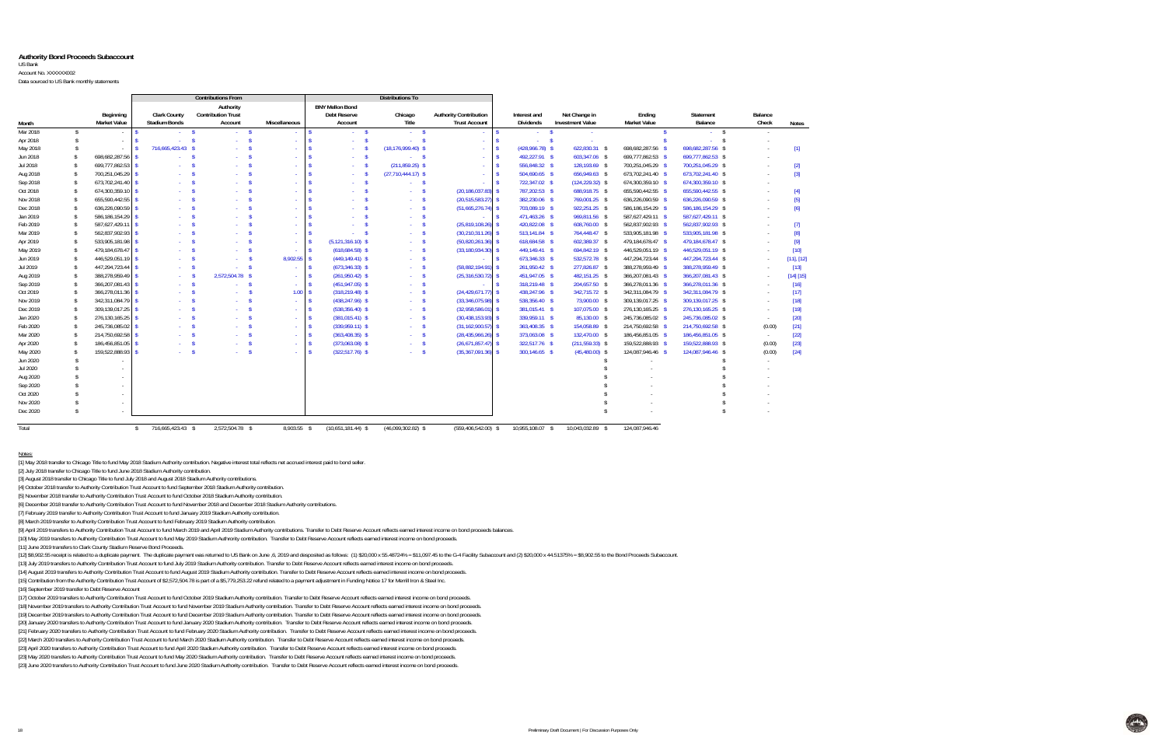#### **Authority Bond Proceeds Subaccount**

US Bank

Account No. XXXXXX002

Data sourced to US Bank monthly statements

Notes:

|          |                    |                     |                      | <b>Contributions From</b>              |                              |                                               | Distributions To                   |                               |                  |                         |                                     |                      |                     |          |                 |
|----------|--------------------|---------------------|----------------------|----------------------------------------|------------------------------|-----------------------------------------------|------------------------------------|-------------------------------|------------------|-------------------------|-------------------------------------|----------------------|---------------------|----------|-----------------|
|          |                    | Beginning           | <b>Clark County</b>  | Authority<br><b>Contribution Trust</b> |                              | <b>BNY Mellon Bond</b><br><b>Debt Reserve</b> | Chicago                            | <b>Authority Contribution</b> | Interest and     |                         | Net Change in                       | Ending               | Statement           | Balance  |                 |
| Month    |                    | <b>Market Value</b> | <b>Stadium Bonds</b> | Account                                | <b>Miscellaneous</b>         | Account                                       | Title                              | <b>Trust Account</b>          | Dividends        |                         | <b>Investment Value</b>             | <b>Market Value</b>  | Balance             | Check    | <b>Notes</b>    |
| Mar 2018 | - \$               |                     |                      | - \$                                   | $-5$<br>$\sim$               | $-5$                                          | $-5$                               |                               |                  | - \$<br>$\sim$          |                                     |                      | - \$                |          |                 |
| Apr 2018 | $\mathsf{\$}$      | $\sim$              |                      | $\mathbf{s}$<br><b>Service</b>         | $\mathbf{\hat{S}}$<br>$\sim$ |                                               | -\$<br>- \$<br>$\omega_{\rm{eff}}$ | $\sim$                        |                  | <sup>\$</sup><br>$\sim$ |                                     |                      | $\mathbf{s}$        |          |                 |
| May 2018 | -\$                |                     | 716,665,423.43 \$    |                                        | $\sim$                       |                                               | $(18, 176, 999.40)$ \$             |                               |                  | $(428,966.78)$ \$       | 622,830.31 \$                       | 698,682,287.56 \$    | 698,682,287.56 \$   |          | $[1]$           |
| Jun 2018 | $\mathbf{\hat{S}}$ | 698,682,287.56 \$   |                      |                                        | $\sim$                       |                                               | $-5$<br>- \$                       | $\sim$                        |                  | 492,227.91 \$           | 603,347.06 \$                       | 699,777,862.53 \$    | 699,777,862.53 \$   | $\sim$   |                 |
| Jul 2018 | <sup>\$</sup>      | 699,777,862.53 \$   |                      |                                        | $\sim$                       |                                               | $(211, 859.25)$ \$                 |                               |                  | 556,848.32 \$           | 128,193.69 \$                       | 700,251,045.29 \$    | 700,251,045.29 \$   | $\sim$   | $[2]$           |
| Aug 2018 | -\$                | 700,251,045.29 \$   |                      |                                        | $\sim$                       |                                               | $(27,710,444.17)$ \$               |                               |                  | 504,690.65 \$           | 656,949.63 \$                       | 673,702,241.40 \$    | 673,702,241.40 \$   | $\sim$   | $[3]$           |
| Sep 2018 | $\mathbf{\hat{S}}$ | 673,702,241.40      |                      |                                        | $\sim$                       |                                               | - \$                               |                               |                  | 722,347.02 \$           | $(124, 229.32)$ \$                  | 674,300,359.10 \$    | 674,300,359.10 \$   | $\sim$   |                 |
| Oct 2018 | $\mathbf{\hat{s}}$ | 674,300,359.10      |                      |                                        | $\sim$                       |                                               | <b>Service</b>                     | (20, 186, 037.83)             |                  | 787,202.53 \$           | 688,918.75 \$                       | 655,590,442.55 \$    | 655,590,442.55 \$   |          | $[4]$           |
| Nov 2018 | $\mathbf{\hat{S}}$ | 655,590,442.55 \$   |                      |                                        | $\sim$                       |                                               | - \$<br>$\sim 10$                  | (20, 515, 583.27)             |                  | 382,230.06 \$           | 769,001.25 \$                       | 636,226,090.59 \$    | 636,226,090.59 \$   |          | $[5]$           |
| Dec 2018 | $\mathbf{\hat{S}}$ | 636,226,090.59 \$   |                      |                                        | $\sim$                       |                                               | -\$<br>$\sim$                      | $(51,665,276.74)$ \$          |                  | 703,089.19 \$           | 922,251.25 \$                       | 586, 186, 154. 29 \$ | 586, 186, 154.29 \$ |          | [6]             |
| Jan 2019 | $\mathbf{\hat{S}}$ | 586,186,154.29 \$   |                      |                                        | $\omega_{\rm c}$             |                                               | -S<br>$\sim$                       |                               |                  | 471,463.26 \$           | 969,811.56 \$                       | 587,627,429.11 \$    | 587,627,429.11 \$   | $\sim$   |                 |
| Feb 2019 | $\mathbf{\hat{S}}$ | 587,627,429.11 \$   |                      |                                        | $\sim$                       |                                               | - \$<br>$\sim$                     | $(25,819,108.26)$ \$          |                  | 420,822.08 \$           | 608,760.00 \$                       | 562,837,902.93 \$    | 562,837,902.93 \$   | $\sim$   | $[7]$           |
| Mar 2019 | $\mathbf{\hat{S}}$ | 562,837,902.93 \$   |                      |                                        | $\sim$                       |                                               | - \$<br>$\sim$                     | $(30, 210, 311.26)$ \$        |                  | 513,141.84 \$           | 764,448.47 \$                       | 533,905,181.98 \$    | 533,905,181.98 \$   | in 1919. | [8]             |
| Apr 2019 | $\mathbf{\hat{S}}$ | 533,905,181.98 \$   |                      |                                        | $\sim$                       | $(5, 121, 316.10)$ \$                         | $\sim 10$                          | $(50, 820, 261, 36)$ \$       |                  | 618,684.58 \$           | 602,389.37 \$                       | 479,184,678.47 \$    | 479,184,678.47 \$   |          | $[9]$           |
| May 2019 | $\mathbf{\hat{s}}$ | 479,184,678.47      |                      |                                        |                              | $(618, 684.58)$ \$                            | $\Delta \sim 10^4$                 | $(33, 180, 934, 30)$ \$       |                  | 449,149.41 \$           | 694,842.19 \$                       | 446,529,051.19 \$    | 446,529,051.19 \$   | in 1919. | $[10]$          |
| Jun 2019 | $\mathbf{\hat{S}}$ | 446,529,051.19      |                      |                                        | 8,902.55                     | $(449, 149.41)$ \$                            | $\sim$                             |                               |                  | 673,346.33 \$           | 532,572.78 \$                       | 447,294,723.44 \$    | 447,294,723.44 \$   |          | $[11]$ , $[12]$ |
| Jul 2019 | $\mathbf{\hat{S}}$ | 447,294,723.44      |                      |                                        | $\sim$                       | $(673, 346.33)$ \$                            | $\sim$                             | (58,882,194.91)               |                  | 261,950.42 \$           | 277.826.87 \$                       | 388,278,959.49 \$    | 388,278,959.49 \$   |          | $[13]$          |
| Aug 2019 | $\mathbf{\hat{s}}$ | 388,278,959.49      |                      | 2,572,504.78 \$                        | $\sim$                       | $(261,950.42)$ \$                             | $\mathbf{\hat{S}}$<br>$\sim 10$    | (25, 316, 530.72)             |                  | 451,947.05 \$           | 482,151.25 \$                       | 366,207,081.43 \$    | 366,207,081.43 \$   |          | [14] [15]       |
| Sep 2019 | \$                 | 366,207,081.43      |                      | - \$                                   | $\sim$                       | $(451, 947.05)$ \$                            | -\$<br>$\sim$                      |                               |                  | 318,219.48 \$           | 204,657.50 \$                       | 366,278,011.36 \$    | 366,278,011.36 \$   |          | $[16]$          |
| Oct 2019 | $\mathbf{\hat{S}}$ | 366,278,011.36      |                      | $\mathbf{s}$<br><b>Service</b>         |                              | 1.00 S<br>$(318, 219.48)$ \$                  | -\$<br>$\sim 10^{-1}$              | $(24, 429, 671.77)$ \$        |                  | 438,247.96 \$           | 342,715.72 \$                       | 342,311,084.79 \$    | 342,311,084.79 \$   | $\sim$   | [17]            |
| Nov 2019 | $\mathbf{\hat{S}}$ | 342,311,084.79 \$   |                      |                                        | $\sim$ \$<br>$\sim$          | $(438, 247.96)$ \$                            | - \$<br>$\Delta \sim 10^4$         | $(33,346,075.98)$ \$          |                  | 538,356.40 \$           | 73,900.00 \$                        | 309,139,017.25 \$    | 309,139,017.25 \$   | $\sim$   | $[18]$          |
| Dec 2019 | $\mathbf{\hat{S}}$ | 309,139,017.25 \$   |                      |                                        | $\sim$                       | $(538, 356.40)$ \$                            | - \$<br><b>Service</b>             | (32,958,586.01)               |                  | 381,015.41 \$           | 107,075.00 \$                       | 276,130,165.25 \$    | 276,130,165.25 \$   | $\sim$   | $[19]$          |
| Jan 2020 | <sup>\$</sup>      | 276,130,165.25      |                      |                                        | $\sim$                       | $(381, 015.41)$ \$                            | -S<br>$\sim 10$                    | $(30, 438, 153.93)$ \$        |                  | 339,959.11 \$           | 85.130.00 \$                        | 245,736,085.02 \$    | 245,736,085.02 \$   | $\sim$   | $[20]$          |
| Feb 2020 | $\mathbf{\hat{S}}$ | 245,736,085.02      |                      |                                        | $\sim$                       | $(339,959.11)$ \$                             | -\$<br><b>Service</b>              | (31, 162, 900.57)             |                  | 363,408.35 \$           | 154,058.89 \$                       | 214,750,692.58 \$    | 214,750,692.58 \$   | (0.00)   | $[21]$          |
| Mar 2020 | $\mathbf{\hat{S}}$ | 214,750,692.58      |                      |                                        | $\sim$                       | $(363, 408.35)$ \$                            | $\sim 10^{-1}$                     | (28, 435, 966.26)             |                  | 373,063.08 \$           | 132.470.00 \$                       | 186,456,851.05 \$    | 186,456,851.05 \$   | $\sim$   | $[22]$          |
| Apr 2020 | $\mathbf{\hat{s}}$ | 186,456,851.05      |                      |                                        | $\sim$                       | $(373,063.08)$ \$                             | -\$<br>$\sim 10$                   | (26,671,857.47)               |                  | 322,517.76 \$           | $(211, 559.33)$ \$                  | 159,522,888.93 \$    | 159,522,888.93 \$   | (0.00)   | $[23]$          |
| May 2020 | -\$                | 159,522,888.93 \$   |                      | - \$                                   | $\sim$                       | $(322,517.76)$ \$                             | -S<br>$\sim 10$                    | (35, 367, 091.36)             |                  | 300,146.65 \$           | $(45,480.00)$ \$                    | 124,087,946.46 \$    | 124,087,946.46 \$   | (0.00)   | $[24]$          |
| Jun 2020 |                    |                     |                      |                                        |                              |                                               |                                    |                               |                  |                         |                                     |                      |                     |          |                 |
| Jul 2020 |                    | $\sim$              |                      |                                        |                              |                                               |                                    |                               |                  |                         |                                     |                      |                     |          |                 |
| Aug 2020 | $\mathbf{\hat{S}}$ |                     |                      |                                        |                              |                                               |                                    |                               |                  |                         |                                     |                      |                     |          |                 |
| Sep 2020 |                    |                     |                      |                                        |                              |                                               |                                    |                               |                  |                         |                                     |                      |                     |          |                 |
| Oct 2020 |                    |                     |                      |                                        |                              |                                               |                                    |                               |                  |                         |                                     |                      |                     |          |                 |
| Nov 2020 |                    |                     |                      |                                        |                              |                                               |                                    |                               |                  |                         |                                     |                      |                     |          |                 |
| Dec 2020 | $\mathcal{L}$      |                     |                      |                                        |                              |                                               |                                    |                               |                  |                         |                                     |                      |                     |          |                 |
| Total    |                    |                     | 716.665.423.43 \$    | 2.572.504.78 \$                        | 8.903.55 \$                  | $(10,651,181.44)$ \$                          | $(46,099,302.82)$ \$               | (559.406.542.00) \$           | 10.955.108.07 \$ |                         | 10.043.032.89<br>$\mathbf{\hat{S}}$ | 124.087.946.46       |                     |          |                 |

[1] May 2018 transfer to Chicago Title to fund May 2018 Stadium Authority contribution. Negative interest total reflects net accrued interest paid to bond seller.

[2] July 2018 transfer to Chicago Title to fund June 2018 Stadium Authority contribution.

[3] August 2018 transfer to Chicago Title to fund July 2018 and August 2018 Stadium Authority contributions.

[4] October 2018 transfer to Authority Contribution Trust Account to fund September 2018 Stadium Authority contribution.

[5] November 2018 transfer to Authority Contribution Trust Account to fund October 2018 Stadium Authority contribution.

[6] December 2018 transfer to Authority Contribution Trust Account to fund November 2018 and December 2018 Stadium Authority contributions.

[7] February 2019 transfer to Authority Contribution Trust Account to fund January 2019 Stadium Authority contribution.

[8] March 2019 transfer to Authority Contribution Trust Account to fund February 2019 Stadium Authority contribution.

.<br>[9] April 2019 transfers to Authority Contribution Trust Account to fund March 2019 and April 2019 Stadium Authority contributions. Transfer to Debt Reserve Account reflects earned interest income on bond proceeds balanc

[10] May 2019 transfers to Authority Contribution Trust Account to fund May 2019 Stadium Authrority contribution. Transfer to Debt Reserve Account reflects earned interest income on bond proceeds.

[11] June 2019 transfers to Clark County Stadium Reserve Bond Proceeds.

[12] \$8,902.55 receipt is related to a duplicate payment. The duplicate payment was returned to US Bank on June ,6, 2019 and desposited as follows: (1) \$20,000 x 55.48724% = \$11,097.45 to the G-4 Facility Subaccount and (2

[13] July 2019 transfers to Authority Contribution Trust Account to fund July 2019 Stadium Authority contribution. Transfer to Debt Reserve Account reflects earned interest income on bond proceeds.

[14] August 2019 transfers to Authority Contribution Trust Account to fund August 2019 Stadium Authority contribution. Transfer to Debt Reserve Account reflects earned interest income on bond proceeds.

[15] Contribution from the Authority Contribution Trust Account of \$2,572,504.78 is part of a \$5,779,253.22 refund related to a payment adjustment in Funding Notice 17 for Merrill Iron & Steel Inc.

[16] September 2019 transfer to Debt Reserve Account

[17] October 2019 transfers to Authority Contribution Trust Account to fund October 2019 Stadium Authority contribution. Transfer to Debt Reserve Account reflects earned interest income on bond proceeds.

[18] November 2019 transfers to Authority Contribution Trust Account to fund November 2019 Stadium Authority contribution. Transfer to Debt Reserve Account reflects earned interest income on bond proceeds.

[19] December 2019 transfers to Authority Contribution Trust Account to fund December 2019 Stadium Authority contribution. Transfer to Debt Reserve Account reflects earned interest income on bond proceeds. [20] January 2020 transfers to Authority Contribution Trust Account to fund January 2020 Stadium Authority contribution. Transfer to Debt Reserve Account reflects earned interest income on bond proceeds.

[21] February 2020 transfers to Authority Contribution Trust Account to fund February 2020 Stadium Authority contribution. Transfer to Debt Reserve Account reflects earned interest income on bond proceeds.

[22] March 2020 transfers to Authority Contribution Trust Account to fund March 2020 Stadium Authority contribution. Transfer to Debt Reserve Account reflects earned interest income on bond proceeds.

[23] April 2020 transfers to Authority Contribution Trust Account to fund April 2020 Stadium Authority contribution. Transfer to Debt Reserve Account reflects earned interest income on bond proceeds.

[23] May 2020 transfers to Authority Contribution Trust Account to fund May 2020 Stadium Authority contribution. Transfer to Debt Reserve Account reflects earned interest income on bond proceeds.

[23] June 2020 transfers to Authority Contribution Trust Account to fund June 2020 Stadium Authority contribution. Transfer to Debt Reserve Account reflects earned interest income on bond proceeds.

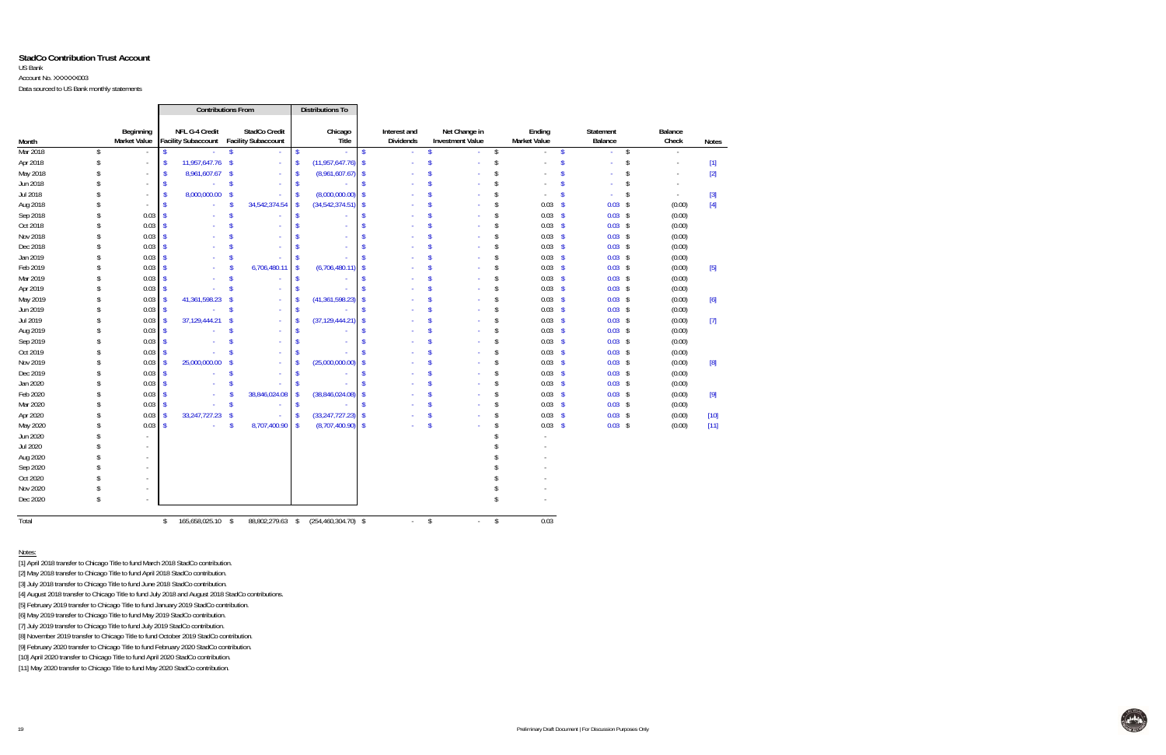#### **StadCo Contribution Trust Account**

#### US Bank

Account No. XXXXXX003

Data sourced to US Bank monthly statements

|          |                    |                           |                    |                  | <b>Contributions From</b>                                       |                    | Distributions To        |                    |                                  |                    |                                          |                         |                               |                    |                      |                         |                          |                                                                                                                                                                                                                                                                                                                                                                                                                                                                                                                                                                                                                                                                                                                                                                                                                                                                     |
|----------|--------------------|---------------------------|--------------------|------------------|-----------------------------------------------------------------|--------------------|-------------------------|--------------------|----------------------------------|--------------------|------------------------------------------|-------------------------|-------------------------------|--------------------|----------------------|-------------------------|--------------------------|---------------------------------------------------------------------------------------------------------------------------------------------------------------------------------------------------------------------------------------------------------------------------------------------------------------------------------------------------------------------------------------------------------------------------------------------------------------------------------------------------------------------------------------------------------------------------------------------------------------------------------------------------------------------------------------------------------------------------------------------------------------------------------------------------------------------------------------------------------------------|
| Month    |                    | Beginning<br>Market Value |                    | NFL G-4 Credit   | <b>StadCo Credit</b><br>Facility Subaccount Facility Subaccount |                    | Chicago<br>Title        |                    | Interest and<br><b>Dividends</b> |                    | Net Change in<br><b>Investment Value</b> |                         | Ending<br><b>Market Value</b> |                    | Statement<br>Balance |                         | Balance<br>Check         | <b>Notes</b>                                                                                                                                                                                                                                                                                                                                                                                                                                                                                                                                                                                                                                                                                                                                                                                                                                                        |
| Mar 2018 | \$                 |                           | $\sqrt{2}$         |                  | $\sqrt{2}$                                                      | $\mathbf{\hat{S}}$ |                         | $\mathsf{\$}$      |                                  | $\mathbf{\hat{S}}$ | $\mathbf{r}$                             | $\sqrt[6]{\frac{1}{2}}$ | ×.                            | $\sqrt{2}$         | ä,                   | $\sqrt[6]{\frac{1}{2}}$ | ä,                       |                                                                                                                                                                                                                                                                                                                                                                                                                                                                                                                                                                                                                                                                                                                                                                                                                                                                     |
| Apr 2018 | \$                 | $\sim$                    | $\sqrt[6]{3}$      | 11,957,647.76 \$ |                                                                 | $\sqrt{2}$         | $(11,957,647.76)$ \$    |                    |                                  | <sup>\$</sup>      | ÷.                                       | \$                      | ÷,                            | $\mathsf{\$}$      | ä,                   | $\boldsymbol{\$}$       | ä,                       | $[1]$                                                                                                                                                                                                                                                                                                                                                                                                                                                                                                                                                                                                                                                                                                                                                                                                                                                               |
| May 2018 |                    | $\sim$                    | - \$               | 8,961,607.67 \$  | $\sim$                                                          |                    | (8,961,607.67)          | -\$                |                                  | <b>S</b>           |                                          | \$                      | $\sim$                        | <sup>\$</sup>      | ÷                    | \$                      | $\sim$                   | $[2]$                                                                                                                                                                                                                                                                                                                                                                                                                                                                                                                                                                                                                                                                                                                                                                                                                                                               |
| Jun 2018 |                    |                           | -S                 | $\omega$         | $\mathsf{\$}$                                                   | -8                 |                         |                    |                                  | Ŝ                  |                                          | \$                      |                               | $\mathbf{\hat{S}}$ |                      | \$                      | $\overline{\phantom{a}}$ |                                                                                                                                                                                                                                                                                                                                                                                                                                                                                                                                                                                                                                                                                                                                                                                                                                                                     |
| Jul 2018 |                    |                           | -S                 | 8,000,000.00 \$  |                                                                 |                    | (8,000,000.00)          | -\$                |                                  |                    |                                          | \$                      |                               | S                  | ä,                   | $\sqrt{2}$              | $\sim$                   | $[3]$                                                                                                                                                                                                                                                                                                                                                                                                                                                                                                                                                                                                                                                                                                                                                                                                                                                               |
| Aug 2018 |                    |                           |                    | $\sim$           | 34,542,374.54                                                   |                    | (34, 542, 374.51)       |                    |                                  |                    |                                          | $\mathsf{\$}$           | $0.03$ \$                     |                    | $0.03$ \$            |                         | (0.00)                   | $[4] % \includegraphics[width=0.9\columnwidth]{figures/fig_4} \caption{A graph shows a function of the number of times, and the number of times, in the right, the number of times, in the right, the number of times, in the right, the number of times, in the right, the number of times, in the right, the number of times, in the right, the number of times, in the right, the number of times, in the right, the number of times, in the right, the number of times, in the right, the number of times, in the right, the number of times, in the right, the number of times, in the right, the number of times, in the right, the number of times, in the right, the number of times, in the right, the number of times, in the right, the number of times, in the right, the number of times, in the right, the number of times, in the right, the number$ |
| Sep 2018 | $\mathbf{\hat{S}}$ | 0.03                      |                    |                  | <sup>\$</sup>                                                   |                    |                         |                    |                                  |                    |                                          | \$                      | $0.03$ \$                     |                    | $0.03$ \$            |                         | (0.00)                   |                                                                                                                                                                                                                                                                                                                                                                                                                                                                                                                                                                                                                                                                                                                                                                                                                                                                     |
| Oct 2018 | \$                 | 0.03                      |                    | $\sim$           |                                                                 |                    |                         |                    |                                  |                    |                                          | \$                      | $0.03$ \$                     |                    | $0.03$ \$            |                         | (0.00)                   |                                                                                                                                                                                                                                                                                                                                                                                                                                                                                                                                                                                                                                                                                                                                                                                                                                                                     |
| Nov 2018 | \$                 | 0.03                      |                    |                  |                                                                 |                    |                         |                    |                                  | Ŝ                  |                                          | \$                      | $0.03$ \$                     |                    | $0.03$ \$            |                         | (0.00)                   |                                                                                                                                                                                                                                                                                                                                                                                                                                                                                                                                                                                                                                                                                                                                                                                                                                                                     |
| Dec 2018 | \$                 | 0.03                      |                    |                  |                                                                 |                    |                         |                    |                                  | Ŝ                  |                                          | \$                      | $0.03$ \$                     |                    | $0.03$ \$            |                         | (0.00)                   |                                                                                                                                                                                                                                                                                                                                                                                                                                                                                                                                                                                                                                                                                                                                                                                                                                                                     |
| Jan 2019 | \$                 | 0.03                      |                    |                  | <sup>\$</sup>                                                   |                    |                         |                    |                                  | $\mathbf S$        |                                          | \$                      | $0.03$ \$                     |                    | $0.03$ \$            |                         | (0.00)                   |                                                                                                                                                                                                                                                                                                                                                                                                                                                                                                                                                                                                                                                                                                                                                                                                                                                                     |
| Feb 2019 | \$                 | 0.03                      |                    | $\sim$           | 6,706,480.11<br><sup>\$</sup>                                   | -\$                | (6,706,480.11)          |                    |                                  | Ŝ                  | ×.                                       | \$                      | $0.03$ \$                     |                    | $0.03$ \$            |                         | (0.00)                   |                                                                                                                                                                                                                                                                                                                                                                                                                                                                                                                                                                                                                                                                                                                                                                                                                                                                     |
| Mar 2019 | \$                 | 0.03                      |                    |                  | <sup>\$</sup>                                                   |                    |                         |                    |                                  | <b>S</b>           |                                          | \$                      | $0.03$ \$                     |                    | $0.03$ \$            |                         | (0.00)                   |                                                                                                                                                                                                                                                                                                                                                                                                                                                                                                                                                                                                                                                                                                                                                                                                                                                                     |
| Apr 2019 | $\mathsf{\$}$      | 0.03                      |                    |                  | $\mathsf{\$}$                                                   |                    |                         |                    |                                  |                    |                                          | \$                      | $0.03$ \$                     |                    | $0.03$ \$            |                         | (0.00)                   |                                                                                                                                                                                                                                                                                                                                                                                                                                                                                                                                                                                                                                                                                                                                                                                                                                                                     |
| May 2019 | \$                 | 0.03                      |                    | 41,361,598.23 \$ | $\sim$                                                          |                    | (41, 361, 598.23)       |                    |                                  |                    |                                          | \$                      | $0.03$ \$                     |                    | $0.03$ \$            |                         | (0.00)                   | [6]                                                                                                                                                                                                                                                                                                                                                                                                                                                                                                                                                                                                                                                                                                                                                                                                                                                                 |
| Jun 2019 | \$                 | 0.03                      |                    | $\omega$         | $\mathsf{\$}$<br>$\sim$                                         |                    |                         |                    |                                  |                    |                                          | \$                      | $0.03$ \$                     |                    | $0.03$ \$            |                         | (0.00)                   |                                                                                                                                                                                                                                                                                                                                                                                                                                                                                                                                                                                                                                                                                                                                                                                                                                                                     |
| Jul 2019 | \$                 | 0.03                      |                    | 37,129,444.21    | $\mathbf{\hat{s}}$<br>$\sim$                                    |                    | (37, 129, 444.21)       |                    |                                  |                    |                                          | $\mathsf{\$}$           | $0.03$ \$                     |                    | $0.03$ \$            |                         | (0.00)                   | $[7]$                                                                                                                                                                                                                                                                                                                                                                                                                                                                                                                                                                                                                                                                                                                                                                                                                                                               |
| Aug 2019 | \$                 | 0.03                      | - \$               |                  | <b>S</b>                                                        |                    |                         |                    |                                  | <b>S</b>           |                                          | \$                      | $0.03$ \$                     |                    | $0.03$ \$            |                         | (0.00)                   |                                                                                                                                                                                                                                                                                                                                                                                                                                                                                                                                                                                                                                                                                                                                                                                                                                                                     |
| Sep 2019 | \$                 | 0.03                      |                    | $\sim$           | Ŝ<br>$\sim$                                                     |                    |                         |                    |                                  | Ŝ                  | a.                                       | $\mathsf{\$}$           | $0.03$ \$                     |                    | $0.03$ \$            |                         | (0.00)                   |                                                                                                                                                                                                                                                                                                                                                                                                                                                                                                                                                                                                                                                                                                                                                                                                                                                                     |
| Oct 2019 | \$                 | 0.03                      |                    |                  | $\sqrt{2}$<br>$\omega$                                          |                    |                         |                    |                                  | Ŝ                  |                                          | \$                      | $0.03$ \$                     |                    | $0.03$ \$            |                         | (0.00)                   |                                                                                                                                                                                                                                                                                                                                                                                                                                                                                                                                                                                                                                                                                                                                                                                                                                                                     |
| Nov 2019 | \$                 | 0.03                      |                    | 25,000,000.00 \$ | $\sim$                                                          |                    | (25,000,000.00)         |                    |                                  | S                  | ×.                                       | \$                      | $0.03$ \$                     |                    | $0.03$ \$            |                         | (0.00)                   |                                                                                                                                                                                                                                                                                                                                                                                                                                                                                                                                                                                                                                                                                                                                                                                                                                                                     |
| Dec 2019 | \$                 | 0.03                      |                    | $\sim$           | $\mathsf{\$}$                                                   |                    |                         |                    |                                  | Ŝ                  |                                          | \$                      | $0.03$ \$                     |                    | $0.03$ \$            |                         | (0.00)                   |                                                                                                                                                                                                                                                                                                                                                                                                                                                                                                                                                                                                                                                                                                                                                                                                                                                                     |
| Jan 2020 | Ŝ                  | 0.03                      |                    | ÷.               | <b>S</b>                                                        |                    |                         |                    |                                  |                    |                                          | \$                      | $0.03$ \$                     |                    | $0.03$ \$            |                         | (0.00)                   |                                                                                                                                                                                                                                                                                                                                                                                                                                                                                                                                                                                                                                                                                                                                                                                                                                                                     |
| Feb 2020 | \$                 | 0.03                      |                    | $\sim$           | 38,846,024.08                                                   |                    | (38,846,024.08)         | $\mathbf{\hat{S}}$ |                                  |                    |                                          | \$                      | $0.03$ \$                     |                    | $0.03$ \$            |                         | (0.00)                   | $[9]$                                                                                                                                                                                                                                                                                                                                                                                                                                                                                                                                                                                                                                                                                                                                                                                                                                                               |
| Mar 2020 | Ŝ                  | 0.03                      |                    |                  | $\mathsf{\$}$                                                   | <sup>\$</sup>      |                         | \$.                |                                  |                    |                                          | \$                      | $0.03$ \$                     |                    | $0.03$ \$            |                         | (0.00)                   |                                                                                                                                                                                                                                                                                                                                                                                                                                                                                                                                                                                                                                                                                                                                                                                                                                                                     |
| Apr 2020 | \$                 | 0.03                      |                    | 33,247,727.23 \$ |                                                                 | -\$                | (33, 247, 727.23)       | $\mathbf{\hat{S}}$ |                                  | S                  | ×                                        | \$                      | $0.03$ \$                     |                    | $0.03$ \$            |                         | (0.00)                   | $[10]$                                                                                                                                                                                                                                                                                                                                                                                                                                                                                                                                                                                                                                                                                                                                                                                                                                                              |
| May 2020 | \$                 | 0.03                      | $\mathbf{\hat{s}}$ | ÷.               | 8,707,400.90 \$<br>$\mathbf{\hat{S}}$                           |                    | $(8,707,400.90)$ \$     |                    |                                  | $\mathbf{\hat{s}}$ |                                          | \$                      | $0.03$ \$                     |                    | $0.03$ \$            |                         | (0.00)                   | $[11]$                                                                                                                                                                                                                                                                                                                                                                                                                                                                                                                                                                                                                                                                                                                                                                                                                                                              |
| Jun 2020 |                    |                           |                    |                  |                                                                 |                    |                         |                    |                                  |                    |                                          |                         |                               |                    |                      |                         |                          |                                                                                                                                                                                                                                                                                                                                                                                                                                                                                                                                                                                                                                                                                                                                                                                                                                                                     |
| Jul 2020 |                    | $\sim$                    |                    |                  |                                                                 |                    |                         |                    |                                  |                    |                                          |                         |                               |                    |                      |                         |                          |                                                                                                                                                                                                                                                                                                                                                                                                                                                                                                                                                                                                                                                                                                                                                                                                                                                                     |
| Aug 2020 |                    |                           |                    |                  |                                                                 |                    |                         |                    |                                  |                    |                                          |                         |                               |                    |                      |                         |                          |                                                                                                                                                                                                                                                                                                                                                                                                                                                                                                                                                                                                                                                                                                                                                                                                                                                                     |
| Sep 2020 |                    | $\sim$                    |                    |                  |                                                                 |                    |                         |                    |                                  |                    |                                          |                         |                               |                    |                      |                         |                          |                                                                                                                                                                                                                                                                                                                                                                                                                                                                                                                                                                                                                                                                                                                                                                                                                                                                     |
| Oct 2020 |                    |                           |                    |                  |                                                                 |                    |                         |                    |                                  |                    |                                          |                         |                               |                    |                      |                         |                          |                                                                                                                                                                                                                                                                                                                                                                                                                                                                                                                                                                                                                                                                                                                                                                                                                                                                     |
| Nov 2020 |                    |                           |                    |                  |                                                                 |                    |                         |                    |                                  |                    |                                          |                         |                               |                    |                      |                         |                          |                                                                                                                                                                                                                                                                                                                                                                                                                                                                                                                                                                                                                                                                                                                                                                                                                                                                     |
| Dec 2020 | ፍ                  |                           |                    |                  |                                                                 |                    |                         |                    |                                  |                    |                                          | \$.                     |                               |                    |                      |                         |                          |                                                                                                                                                                                                                                                                                                                                                                                                                                                                                                                                                                                                                                                                                                                                                                                                                                                                     |
| Total    |                    |                           | $\mathfrak{L}$     | 165,658,025.10   | 88,802,279.63<br>- \$                                           | \$                 | $(254, 460, 304.70)$ \$ |                    |                                  | \$                 |                                          | \$                      | 0.03                          |                    |                      |                         |                          |                                                                                                                                                                                                                                                                                                                                                                                                                                                                                                                                                                                                                                                                                                                                                                                                                                                                     |

Notes:

[1] April 2018 transfer to Chicago Title to fund March 2018 StadCo contribution.

[2] May 2018 transfer to Chicago Title to fund April 2018 StadCo contribution.

[3] July 2018 transfer to Chicago Title to fund June 2018 StadCo contribution.

[4] August 2018 transfer to Chicago Title to fund July 2018 and August 2018 StadCo contributions.

[5] February 2019 transfer to Chicago Title to fund January 2019 StadCo contribution.

[6] May 2019 transfer to Chicago Title to fund May 2019 StadCo contribution.

[7] July 2019 transfer to Chicago Title to fund July 2019 StadCo contribution.

[8] November 2019 transfer to Chicago Title to fund October 2019 StadCo contribution.

[9] February 2020 transfer to Chicago Title to fund February 2020 StadCo contribution.

[10] April 2020 transfer to Chicago Title to fund April 2020 StadCo contribution.

[11] May 2020 transfer to Chicago Title to fund May 2020 StadCo contribution.

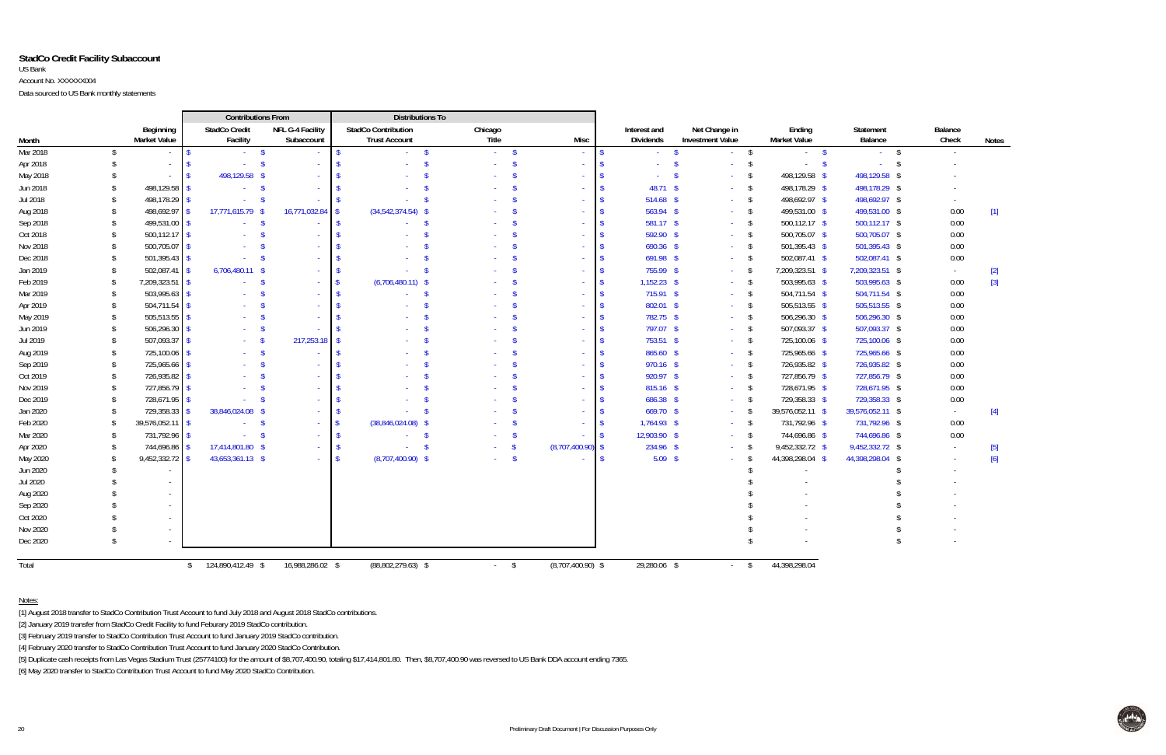#### **StadCo Credit Facility Subaccount** US Bank Account No. XXXXXX004Data sourced to US Bank monthly statements

|          |                    |                                  |                                    | <b>Contributions From</b>      |                    | <b>Distributions To</b>                            |                    |                           |                     |                           |    |                                          |               |                               |                             |                  |              |
|----------|--------------------|----------------------------------|------------------------------------|--------------------------------|--------------------|----------------------------------------------------|--------------------|---------------------------|---------------------|---------------------------|----|------------------------------------------|---------------|-------------------------------|-----------------------------|------------------|--------------|
| Month    |                    | Beginning<br><b>Market Value</b> | <b>StadCo Credit</b><br>Facility   | NFL G-4 Facility<br>Subaccount |                    | <b>StadCo Contribution</b><br><b>Trust Account</b> |                    | Chicago<br>Title          | Misc                | Interest and<br>Dividends |    | Net Change in<br><b>Investment Value</b> |               | Ending<br><b>Market Value</b> | <b>Statement</b><br>Balance | Balance<br>Check | <b>Notes</b> |
| Mar 2018 | \$                 | $\sim$                           |                                    | <b>S</b>                       | $\mathbf{\hat{S}}$ |                                                    | $\mathbf{\hat{s}}$ | <b>S</b><br>$\sim$        |                     | $\sim$                    | -S |                                          | \$            | $\mathbf{s}$<br>$\sim$        | - \$<br>$\Delta \sim 10^4$  | $\sim$           |              |
| Apr 2018 | £.                 | $\sim$                           |                                    |                                |                    |                                                    |                    |                           |                     |                           |    |                                          | - \$          | - \$<br>$\sim$                |                             |                  |              |
| May 2018 | S                  |                                  | 498,129.58                         | - \$                           |                    |                                                    |                    |                           |                     |                           |    |                                          | - \$          | 498,129.58 \$                 | 498,129.58<br>- S           |                  |              |
| Jun 2018 | \$                 | 498,129.58                       |                                    | $\mathbf{\hat{s}}$             |                    |                                                    |                    |                           |                     | 48.71 \$                  |    |                                          | \$            | 498,178.29 \$                 | 498,178.29 \$               |                  |              |
| Jul 2018 | \$                 | 498,178.29                       |                                    | -\$                            |                    |                                                    |                    |                           |                     | 514.68 \$                 |    |                                          | \$            | 498,692.97 \$                 | 498,692.97 \$               |                  |              |
| Aug 2018 | \$                 | 498,692.97                       | 17,771,615.79                      | 16,771,032.84                  |                    | $(34,542,374.54)$ \$                               |                    |                           |                     | 563.94 \$                 |    |                                          | $\sqrt{2}$    | 499,531.00 \$                 | 499,531.00 \$               | 0.00             | $[1]$        |
| Sep 2018 | \$                 | 499,531.00                       |                                    |                                |                    |                                                    |                    |                           |                     | $581.17$ \$               |    |                                          | \$            | 500,112.17 \$                 | $500,112.17$ \$             | 0.00             |              |
| Oct 2018 | \$                 | 500,112.17                       |                                    |                                |                    |                                                    |                    |                           |                     | 592.90 \$                 |    |                                          | \$            | 500,705.07 \$                 | 500,705.07 \$               | 0.00             |              |
| Nov 2018 | -\$                | 500,705.07                       |                                    |                                |                    |                                                    |                    |                           |                     | $690.36$ \$               |    |                                          | \$            | 501,395.43 \$                 | 501,395.43 \$               | 0.00             |              |
| Dec 2018 | -\$                | 501,395.43                       |                                    |                                |                    |                                                    |                    |                           |                     | $691.98$ \$               |    |                                          | \$            | 502,087.41 \$                 | 502,087.41 \$               | 0.00             |              |
| Jan 2019 | -\$                | 502,087.4                        | 6,706,480.11 \$                    |                                |                    |                                                    |                    |                           |                     | 755.99 \$                 |    |                                          | \$            | 7,209,323.51 \$               | 7,209,323.51 \$             | $\sim$           | $[2]$        |
| Feb 2019 | -\$                | 7,209,323.51                     |                                    |                                |                    | $(6,706,480.11)$ \$                                |                    |                           |                     | $1,152.23$ \$             |    |                                          | - \$          | 503,995.63 \$                 | 503,995.63 \$               | 0.00             | $[3]$        |
| Mar 2019 | -\$                | 503,995.63                       |                                    |                                |                    |                                                    |                    |                           |                     | $715.91$ \$               |    |                                          | \$            | 504,711.54 \$                 | 504,711.54 \$               | 0.00             |              |
| Apr 2019 | -\$                | 504,711.54                       |                                    |                                |                    |                                                    |                    |                           |                     | 802.01 \$                 |    |                                          | \$            | 505,513.55 \$                 | 505,513.55 \$               | 0.00             |              |
| May 2019 | -\$                | 505,513.55                       |                                    |                                |                    |                                                    |                    |                           |                     | 782.75 \$                 |    |                                          | \$            | 506,296.30 \$                 | 506,296.30 \$               | 0.00             |              |
| Jun 2019 | -\$                | 506,296.30                       |                                    |                                |                    |                                                    |                    |                           |                     | 797.07 \$                 |    |                                          | $\mathsf{\$}$ | 507,093.37 \$                 | 507,093.37 \$               | 0.00             |              |
| Jul 2019 | -\$                | 507,093.37                       |                                    | 217,253.18                     |                    |                                                    |                    |                           |                     | 753.51 \$                 |    |                                          | \$            | 725,100.06 \$                 | 725,100.06 \$               | 0.00             |              |
| Aug 2019 | -\$                | 725,100.06                       |                                    | -\$                            |                    |                                                    |                    |                           |                     | 865.60 \$                 |    |                                          | $\mathsf{\$}$ | 725,965.66 \$                 | 725,965.66 \$               | 0.00             |              |
| Sep 2019 | \$                 | 725,965.66                       |                                    |                                |                    |                                                    |                    |                           |                     | 970.16 \$                 |    |                                          | $\sqrt{3}$    | 726,935.82 \$                 | 726,935.82 \$               | 0.00             |              |
| Oct 2019 | -\$                | 726,935.82                       |                                    |                                |                    |                                                    |                    |                           |                     | 920.97 \$                 |    |                                          | \$            | 727,856.79 \$                 | 727,856.79 \$               | 0.00             |              |
| Nov 2019 | -\$                | 727,856.79                       |                                    |                                |                    |                                                    |                    |                           |                     | $815.16$ \$               |    |                                          | \$            | 728,671.95 \$                 | 728,671.95 \$               | 0.00             |              |
| Dec 2019 | -\$                | 728,671.95                       |                                    |                                |                    |                                                    |                    |                           |                     | 686.38 \$                 |    |                                          | \$            | 729,358.33 \$                 | 729,358.33 \$               | 0.00             |              |
| Jan 2020 | -\$                | 729,358.33                       | 38,846,024.08                      |                                |                    |                                                    |                    |                           |                     | 669.70 \$                 |    |                                          | - \$          | 39,576,052.11 \$              | 39,576,052.11 \$            | $\sim$           | $[4]$        |
| Feb 2020 | -\$                | 39,576,052.11                    |                                    |                                |                    | $(38,846,024.08)$ \$                               |                    |                           |                     | $1,764.93$ \$             |    |                                          | - \$          | 731,792.96 \$                 | 731,792.96 \$               | 0.00             |              |
| Mar 2020 | $\mathbf{\hat{S}}$ | 731,792.96                       |                                    |                                |                    |                                                    |                    |                           |                     | 12,903.90 \$              |    |                                          | - \$          | 744,696.86 \$                 | 744,696.86 \$               | 0.00             |              |
| Apr 2020 | -\$                | 744,696.86                       | 17,414,801.80 \$                   |                                |                    |                                                    |                    |                           | $(8,707,400.90)$ \$ | 234.96 \$                 |    |                                          | - \$          | 9,452,332.72 \$               | 9,452,332.72 \$             |                  | $[5]$        |
| May 2020 | -S                 | 9,452,332.72                     | 43,653,361.13 \$                   |                                |                    | $(8,707,400.90)$ \$                                |                    | -\$                       |                     | $5.09$ \$                 |    |                                          |               | 44,398,298.04 \$              | 44,398,298.04 \$            |                  | $[6]$        |
| Jun 2020 |                    |                                  |                                    |                                |                    |                                                    |                    |                           |                     |                           |    |                                          |               |                               |                             |                  |              |
| Jul 2020 |                    |                                  |                                    |                                |                    |                                                    |                    |                           |                     |                           |    |                                          |               |                               |                             |                  |              |
| Aug 2020 |                    | $\sim$                           |                                    |                                |                    |                                                    |                    |                           |                     |                           |    |                                          |               |                               |                             |                  |              |
| Sep 2020 |                    | $\sim$                           |                                    |                                |                    |                                                    |                    |                           |                     |                           |    |                                          |               |                               |                             |                  |              |
| Oct 2020 |                    | $\sim$                           |                                    |                                |                    |                                                    |                    |                           |                     |                           |    |                                          |               |                               |                             |                  |              |
| Nov 2020 |                    |                                  |                                    |                                |                    |                                                    |                    |                           |                     |                           |    |                                          |               |                               |                             |                  |              |
| Dec 2020 |                    |                                  |                                    |                                |                    |                                                    |                    |                           |                     |                           |    |                                          |               |                               |                             |                  |              |
| Total    |                    |                                  | 124,890,412.49 \$<br>$\mathsf{\$}$ | 16,988,286.02 \$               |                    | $(88,802,279.63)$ \$                               |                    | \$<br>$\omega_{\rm{max}}$ | $(8,707,400.90)$ \$ | 29,280.06 \$              |    | <b>Service</b>                           | $\mathsf{\$}$ | 44,398,298.04                 |                             |                  |              |

Notes:

[1] August 2018 transfer to StadCo Contribution Trust Account to fund July 2018 and August 2018 StadCo contributions.

[2] January 2019 transfer from StadCo Credit Facility to fund Feburary 2019 StadCo contribution.

[3] February 2019 transfer to StadCo Contribution Trust Account to fund January 2019 StadCo contribution.

[4] February 2020 transfer to StadCo Contribution Trust Account to fund January 2020 StadCo Contribution.

[5] Duplicate cash receipts from Las Vegas Stadium Trust (25774100) for the amount of \$8,707,400.90, totaling \$17,414,801.80. Then, \$8,707,400.90 was reversed to US Bank DDA account ending 7365.

[6] May 2020 transfer to StadCo Contribution Trust Account to fund May 2020 StadCo Contribution.

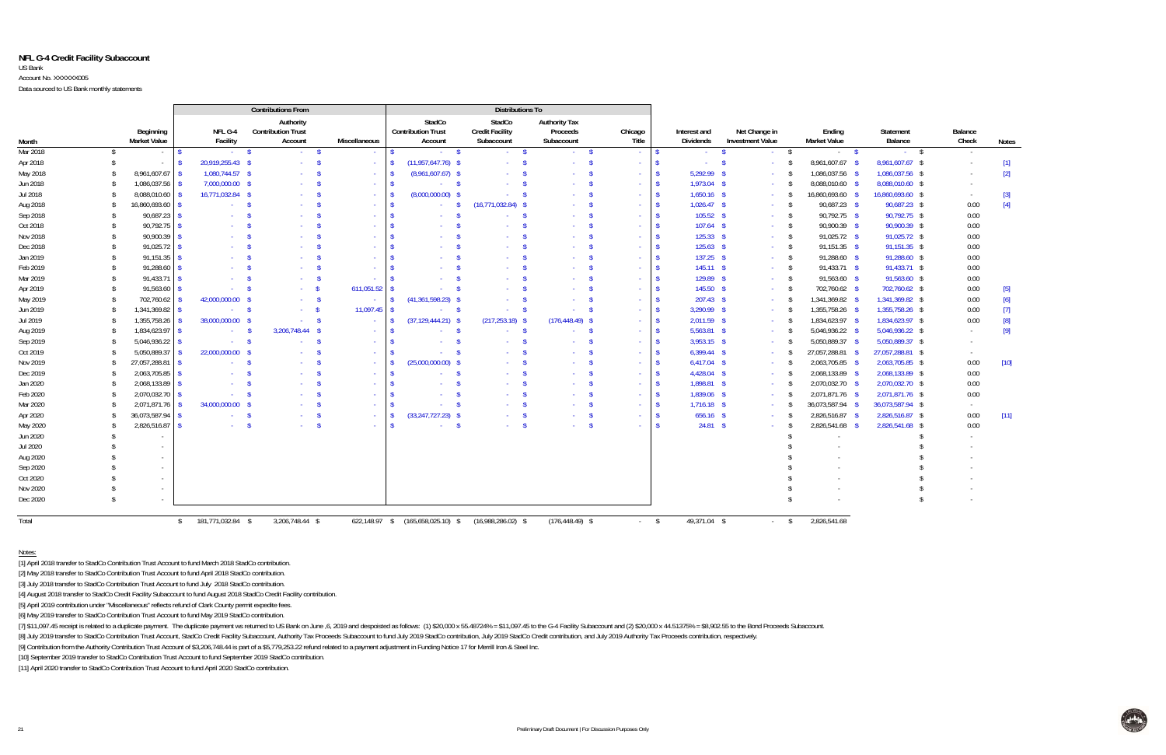#### **NFL G-4 Credit Facility Subaccount** US Bank

Account No. XXXXXX005

Data sourced to US Bank monthly statements

|          |               |                                  |                                    | <b>Contributions From</b>                         |                         |                          |                                                      | <b>Distributions To</b>                        |                                                |                  |                    |                           |                                          |                                  |                      |                  |                                                                                                                                                                                                |
|----------|---------------|----------------------------------|------------------------------------|---------------------------------------------------|-------------------------|--------------------------|------------------------------------------------------|------------------------------------------------|------------------------------------------------|------------------|--------------------|---------------------------|------------------------------------------|----------------------------------|----------------------|------------------|------------------------------------------------------------------------------------------------------------------------------------------------------------------------------------------------|
| Month    |               | Beginning<br><b>Market Value</b> | NFL G-4<br>Facility                | Authority<br><b>Contribution Trust</b><br>Account |                         | <b>Miscellaneous</b>     | StadCo<br><b>Contribution Trust</b><br>Account       | StadCo<br><b>Credit Facility</b><br>Subaccount | <b>Authority Tax</b><br>Proceeds<br>Subaccount | Chicago<br>Title |                    | Interest and<br>Dividends | Net Change in<br><b>Investment Value</b> | Endina<br><b>Market Value</b>    | Statement<br>Balance | Balance<br>Check | <b>Notes</b>                                                                                                                                                                                   |
| Mar 2018 | \$            | $\sim$                           |                                    | $\mathbf{s}$                                      | $-5$                    | $\sim$                   | $-5$                                                 | $-5$                                           | $\mathbf{\hat{s}}$<br>$\Delta \sim 10$         | $\sim 10^{-1}$   |                    | $\sim 100$                | $-5$<br>- \$                             | $-5$                             | $-5$                 | $\sim$           |                                                                                                                                                                                                |
| Apr 2018 | -S            | $\sim$                           | 20,919,255.43 \$                   |                                                   | <b>Service</b>          |                          | $(11,957,647.76)$ \$                                 | $\mathbf{\hat{s}}$<br>$\sim 100$               | $\ddot{\mathbf{r}}$                            | $\sim$           |                    | $\sim$                    | -S<br>$\sim 100$                         | 8,961,607.67                     | 8,961,607.67 \$      |                  | $[1]$                                                                                                                                                                                          |
| May 2018 | - S           | 8,961,607.67                     | 1,080,744.57 \$                    |                                                   | $\sim$                  | - 4                      | $(8,961,607.67)$ \$                                  | $^{\circ}$<br>$\Delta \sim 10$                 |                                                |                  | - \$               | 5,292.99                  | $\sim 100$                               | 1,086,037.56 \$                  | 1,086,037.56 \$      |                  | $[2]$                                                                                                                                                                                          |
| Jun 2018 | - \$          | 1,086,037.56                     | 7,000,000.00 \$                    |                                                   | $\sim$                  | <b>COL</b>               | $\mathbf{\hat{s}}$                                   | $-5$                                           | $\mathbf{\hat{s}}$                             | <b>Service</b>   | -S                 | $1,973.04$ \$             | $\sim 10^{-1}$                           | 8,088,010.60 \$<br>- \$          | 8,088,010.60 \$      | $\sim$           |                                                                                                                                                                                                |
| Jul 2018 | -\$           | 8,088,010.60                     | 16,771,032.84 \$                   |                                                   |                         | $\sim$                   | $(8,000,000.00)$ \$                                  | $\mathbf{s}$<br>$\sim 10$                      | $\mathbf{\hat{S}}$                             | $\sim$           | $\mathbf{\hat{S}}$ | $1.650.16$ \$             | $\Delta \sim 10^4$                       | 16,860,693.60 \$<br><b>S</b>     | 16,860,693.60 \$     | $\sim$           | $[3]$                                                                                                                                                                                          |
| Aug 2018 | -S            | 16,860,693.60                    | <b>Service</b>                     | - \$                                              | $\sim$                  | $\sim$                   |                                                      | $(16,771,032.84)$ \$<br>- \$                   | - \$<br>$\sim$                                 | <b>Section</b>   |                    | $1,026.47$ \$             | <b>Service</b>                           | 90,687.23 \$<br>\$               | 90,687.23 \$         | 0.00             | $[4]$                                                                                                                                                                                          |
| Sep 2018 | - S           | 90,687.23                        |                                    |                                                   |                         |                          |                                                      | $\sim$ \$                                      |                                                |                  |                    | $105.52$ \$               | $\Delta \sim 100$                        | 90,792.75 \$<br>\$               | 90,792.75 \$         | 0.00             |                                                                                                                                                                                                |
| Oct 2018 | -\$           | 90,792.75                        |                                    |                                                   | $\sim$                  | <b><i><u>ALC</u></i></b> |                                                      |                                                | $\ddot{\mathbf{r}}$<br>$\sim$                  | <b>Section</b>   |                    | $107.64$ \$               | $\Delta \sim 100$                        | 90,900.39 \$<br>- \$             | 90,900.39 \$         | 0.00             |                                                                                                                                                                                                |
| Nov 2018 | - S           | 90,900.39                        | <b>Service</b>                     |                                                   | <b>Service</b>          | $\sim$                   |                                                      |                                                |                                                | <b>Section</b>   |                    | $125.33$ \$               | $-5$                                     | 91,025.72 \$                     | 91,025.72 \$         | 0.00             |                                                                                                                                                                                                |
| Dec 2018 | - S           | 91,025.72                        |                                    |                                                   |                         |                          |                                                      |                                                |                                                | <b>Section</b>   |                    | $125.63$ \$               | $-5$                                     | 91,151.35 \$                     | 91,151.35 \$         | 0.00             |                                                                                                                                                                                                |
| Jan 2019 | -\$           | 91,151.35                        |                                    |                                                   | $\sim$                  | <b>Card</b>              |                                                      | $\sqrt{ }$                                     |                                                | <b>Section</b>   |                    | $137.25$ \$               | <b>Service</b>                           | 91,288.60 \$<br>\$               | 91,288.60 \$         | 0.00             |                                                                                                                                                                                                |
| Feb 2019 | -\$           | 91,288.60                        |                                    | - \$                                              | $\sim$                  | - 4                      |                                                      | $\mathbf{s}$                                   | - \$                                           | $\sim$           | -S                 | $145.11$ \$               | <b>All College</b>                       | $\sqrt{3}$<br>91,433.71 \$       | 91,433.71 \$         | 0.00             |                                                                                                                                                                                                |
| Mar 2019 | $\mathcal{S}$ | 91,433.71                        |                                    |                                                   | $\sim 10$               |                          |                                                      | $\mathbf{s}$<br><b>Section</b>                 | $\sqrt{ }$<br><b>Section</b>                   | <b>Section</b>   |                    | 129.89 \$                 | <b>All College</b>                       | 91,563.60 \$<br>$^{\circ}$       | 91,563.60 \$         | 0.00             |                                                                                                                                                                                                |
| Apr 2019 | -\$           | 91,563.60                        |                                    |                                                   | $\sim$                  | 611,051.52               |                                                      | $\mathbf{S}$                                   | - \$                                           |                  |                    | 145.50 \$                 | $\sim 10^{-1}$                           | 702,760.62 \$<br>\$              | 702,760.62 \$        | 0.00             | $[5]$                                                                                                                                                                                          |
| May 2019 | -S            | 702,760.62                       | 42.000.000.00 \$                   |                                                   | ୍ଦ<br>$\sim 10$         |                          | $(41,361,598.23)$ \$                                 | $\Delta \sim 10$                               |                                                |                  |                    | $207.43$ \$               | $\sim 10^{-1}$                           | 1,341,369.82 \$<br>- \$          | 1,341,369.82 \$      | 0.00             | $[6] % \begin{center} \includegraphics[width=\linewidth]{imagesSupplemental/Imit} \caption{The image shows the image shows a function of the number of times.} \label{fig:limal} \end{center}$ |
| Jun 2019 | $\mathcal{S}$ | 1,341,369.82                     |                                    | $\mathcal{L}$                                     | $\Delta \sim 10$        | 11,097.45                | $\sim$ $\sim$ \$                                     | $\mathbf{\hat{s}}$                             | $\ddot{\mathbf{r}}$                            |                  |                    | 3,290.99 \$               | $\Delta \sim 10^4$                       | 1,355,758.26 \$                  | 1,355,758.26 \$      | 0.00             | $[7]$                                                                                                                                                                                          |
| Jul 2019 | - \$          | 1,355,758.26                     | 38,000,000.00                      | - \$                                              | ୍ଦ<br><b>Section</b>    |                          | $(37, 129, 444.21)$ \$                               | $(217, 253.18)$ \$                             | $(176, 448.49)$ \$                             | <b>Service</b>   | - \$               | $2,011.59$ \$             | $\sim 100$                               | 1,834,623.97 \$                  | 1,834,623.97 \$      | 0.00             | $[8] % \includegraphics[width=0.9\columnwidth]{figures/fig_1a} \caption{Schematic diagram of the top of the top of the top of the right.} \label{fig:1} %$                                     |
| Aug 2019 | -S            | 1,834,623.97                     |                                    | 3,206,748.44<br>$\mathcal{S}$                     |                         | <b>College</b>           |                                                      | $^{\circ}$                                     | - \$                                           | <b>Service</b>   | - \$               | $5,563.81$ \$             | $\sim 100$                               | 5,046,936.22 \$<br>- \$          | 5,046,936.22 \$      |                  | $[9]$                                                                                                                                                                                          |
| Sep 2019 | - S           | 5,046,936.22                     | <b>Section</b>                     | - \$                                              |                         | - 4                      |                                                      | $\mathbf{s}$<br>$\Delta \sim 10$               | $\mathbf{\hat{s}}$                             | <b>Service</b>   | -S                 | $3,953.15$ \$             | $\sim 10^{-1}$                           | 5,050,889.37 \$<br>- \$          | 5,050,889.37 \$      | $\sim$           |                                                                                                                                                                                                |
| Oct 2019 | - S           | 5,050,889.37                     | 22,000,000.00 \$                   |                                                   | $\sim$                  | $\sim$                   |                                                      | $\mathbf{s}$<br>$\sim 10$                      | - \$<br>$\sim$                                 | $\sim 10$        |                    | $6,399.44$ \$             | $\sigma_{\rm{max}}$                      | 27,057,288.81 \$<br>- \$         | 27,057,288.81 \$     | $\sim$           |                                                                                                                                                                                                |
| Nov 2019 | -S            | 27,057,288.81                    |                                    | $\mathcal{L}$                                     | $\sim$                  | $\sim$                   | $(25,000,000.00)$ \$                                 | $\mathbf{\hat{s}}$<br>$\sim 10$                | - \$<br>$\sim$                                 | <b>Section</b>   |                    | $6,417.04$ \$             | <b>Service</b>                           | 2,063,705.85<br>$\mathcal{S}$    | 2,063,705.85 \$      | 0.00             | $[10]$                                                                                                                                                                                         |
| Dec 2019 | - S           | 2,063,705.85                     |                                    |                                                   | $\sim$                  | $\sim$                   |                                                      | $\sqrt{ }$<br><b>Service</b>                   | $\mathbf{\hat{s}}$                             | $\sim$           |                    | 4,428.04 \$               | $\sim 10^{-1}$                           | 2,068,133.89 \$<br>- S           | 2,068,133.89 \$      | 0.00             |                                                                                                                                                                                                |
| Jan 2020 | - S           | 2,068,133.89                     |                                    |                                                   | $\sim$                  | $\sim$                   |                                                      | $\sim$                                         | $\mathbf{\hat{S}}$                             | <b>Section</b>   |                    | 1,898.81 \$               | $\sim 10^{-1}$                           | 2,070,032.70 \$                  | 2,070,032.70 \$      | 0.00             |                                                                                                                                                                                                |
| Feb 2020 | - \$          | 2,070,032.70                     |                                    |                                                   | <b>Service</b>          | <b>Card</b>              |                                                      |                                                |                                                | <b>Service</b>   |                    | 1,839.06 \$               | $\sim 10^{-1}$                           | 2,071,871.76 \$                  | 2,071,871.76 \$      | 0.00             |                                                                                                                                                                                                |
| Mar 2020 | - S           | 2,071,871.76                     | 34,000,000.00                      |                                                   |                         |                          |                                                      |                                                |                                                | <b>Section</b>   | - \$               | $1,716.18$ \$             | $\sim 100$                               | 36,073,587.94 \$                 | 36,073,587.94 \$     | $\sim$           |                                                                                                                                                                                                |
| Apr 2020 | -S            | 36,073,587.94                    |                                    | $\mathbf{\hat{S}}$                                | <b>Service</b>          | <b>Card</b>              | $(33, 247, 727.23)$ \$                               | $^{\circ}$<br><b>Service</b>                   | - \$                                           | <b>Service</b>   |                    | $656.16$ \$               | <b>Service</b>                           | 2,826,516.87<br>- \$             | 2,826,516.87 \$      | 0.00             | [11]                                                                                                                                                                                           |
| May 2020 | -\$           | 2,826,516.87                     |                                    | <b>S</b>                                          | $\mathcal{S}$<br>$\sim$ | na.                      | ¢.<br>$\ddot{\mathbf{S}}$<br><b>Carl Corporation</b> | $-5$                                           | $\mathbf{s}$<br>$\sim$                         | $\sim$           | $\hat{\mathbf{S}}$ | 24.81 S                   | <b>Service</b>                           | 2,826,541.68 \$<br>$\mathcal{S}$ | 2,826,541.68 \$      | 0.00             |                                                                                                                                                                                                |
| Jun 2020 |               |                                  |                                    |                                                   |                         |                          |                                                      |                                                |                                                |                  |                    |                           |                                          |                                  |                      |                  |                                                                                                                                                                                                |
| Jul 2020 |               | $\sim$                           |                                    |                                                   |                         |                          |                                                      |                                                |                                                |                  |                    |                           |                                          |                                  |                      |                  |                                                                                                                                                                                                |
| Aug 2020 |               | $\sim$                           |                                    |                                                   |                         |                          |                                                      |                                                |                                                |                  |                    |                           |                                          |                                  |                      |                  |                                                                                                                                                                                                |
| Sep 2020 |               | $\sim$                           |                                    |                                                   |                         |                          |                                                      |                                                |                                                |                  |                    |                           |                                          |                                  |                      |                  |                                                                                                                                                                                                |
| Oct 2020 |               | $\sim$                           |                                    |                                                   |                         |                          |                                                      |                                                |                                                |                  |                    |                           |                                          |                                  |                      |                  |                                                                                                                                                                                                |
| Nov 2020 |               | $\sim$                           |                                    |                                                   |                         |                          |                                                      |                                                |                                                |                  |                    |                           |                                          |                                  |                      |                  |                                                                                                                                                                                                |
| Dec 2020 | -S            |                                  |                                    |                                                   |                         |                          |                                                      |                                                |                                                |                  |                    |                           |                                          |                                  | $\mathcal{L}$        |                  |                                                                                                                                                                                                |
| Total    |               |                                  | 181,771,032.84 \$<br><sup>\$</sup> |                                                   | 3,206,748.44 \$         | 622,148.97               | $(165,658,025.10)$ \$<br>$\sqrt{2}$                  | $(16,988,286.02)$ \$                           | $(176, 448.49)$ \$                             | $\sim 10^{-11}$  | $\mathcal{S}$      | 49,371.04 \$              | $\mathcal{L}^{\text{max}}$               | 2,826,541.68<br>$\sqrt{2}$       |                      |                  |                                                                                                                                                                                                |

Notes:

[1] April 2018 transfer to StadCo Contribution Trust Account to fund March 2018 StadCo contribution.

[2] May 2018 transfer to StadCo Contribution Trust Account to fund April 2018 StadCo contribution.

[3] July 2018 transfer to StadCo Contribution Trust Account to fund July 2018 StadCo contribution.

[4] August 2018 transfer to StadCo Credit Facility Subaccount to fund August 2018 StadCo Credit Facility contribution.

[5] April 2019 contribution under "Miscellaneous" reflects refund of Clark County permit expedite fees.

[6] May 2019 transfer to StadCo Contribution Trust Account to fund May 2019 StadCo contribution.

[7] \$11,097.45 receipt is related to a duplicate payment. The duplicate payment ws returned to US Bank on June, 6, 2019 and despoisted as follows: (1) \$20,000 x 55.48724% = \$11,097.45 to the G-4 Facility Subaccount and (2) [8] July 2019 transfer to StadCo Contribution Trust Account, StadCo Credit Facility Subaccount, Authority Tax Proceeds Subaccount to fund July 2019 StadCo contribution, July 2019 StadCo Credit contribution, and July 2019 A

[9] Contribution from the Authority Contribution Trust Account of \$3,206,748.44 is part of a \$5,779,253.22 refund related to a payment adjustment in Funding Notice 17 for Merrill Iron & Steel Inc.

[10] September 2019 transfer to StadCo Contribution Trust Account to fund September 2019 StadCo contribution.

[11] April 2020 transfer to StadCo Contribution Trust Account to fund April 2020 StadCo contribution.

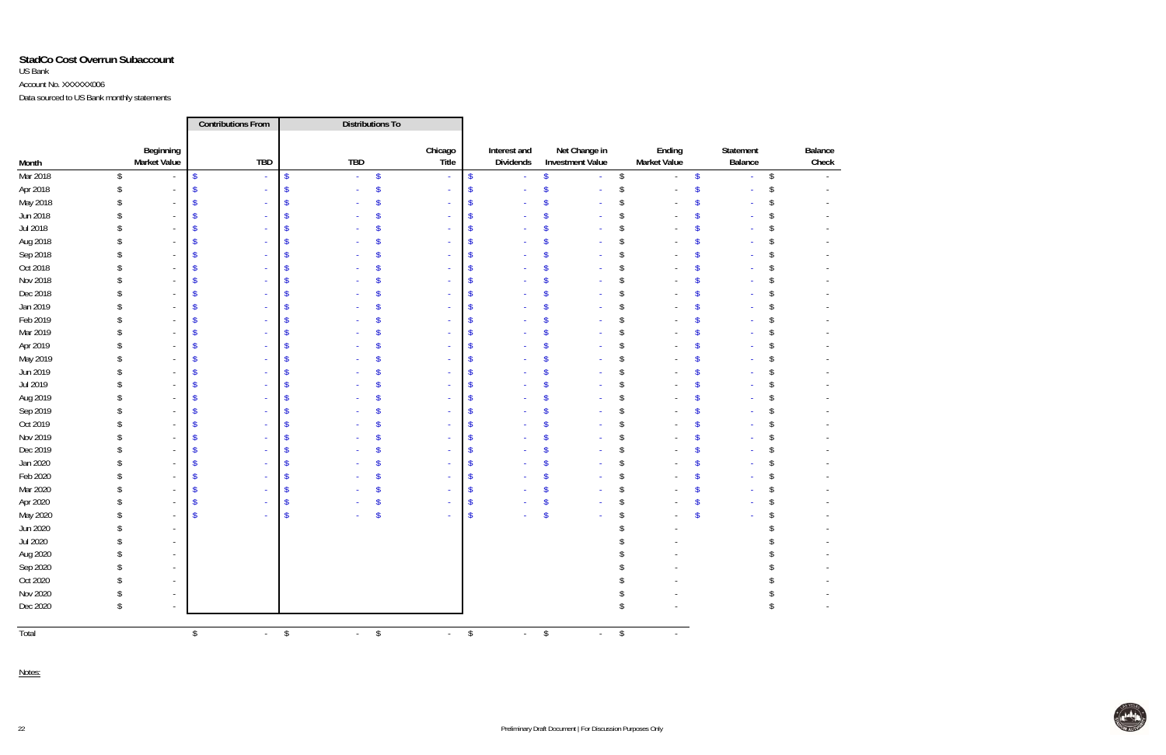# **StadCo Cost Overrun Subaccount** US Bank Account No. XXXXXX006

Data sourced to US Bank monthly statements

|          |                         |                                  | <b>Contributions From</b>         |                          | <b>Distributions To</b>        |                  |                           |                           |                                          |                         |                               |                         |                      |                         |                  |
|----------|-------------------------|----------------------------------|-----------------------------------|--------------------------|--------------------------------|------------------|---------------------------|---------------------------|------------------------------------------|-------------------------|-------------------------------|-------------------------|----------------------|-------------------------|------------------|
| Month    |                         | Beginning<br><b>Market Value</b> | <b>TBD</b>                        |                          | <b>TBD</b>                     | Chicago<br>Title |                           | Interest and<br>Dividends | Net Change in<br><b>Investment Value</b> |                         | Ending<br><b>Market Value</b> |                         | Statement<br>Balance |                         | Balance<br>Check |
| Mar 2018 | $\sqrt[6]{\frac{1}{2}}$ |                                  | $\sqrt[6]{\frac{1}{2}}$<br>$\sim$ | $\sqrt[6]{\frac{1}{2}}$  | \$<br>$\blacksquare$           |                  | $\boldsymbol{\$}$         |                           | \$<br>÷,                                 | \$                      |                               | $\sqrt[6]{\frac{1}{2}}$ |                      | $\sqrt[6]{\frac{1}{2}}$ |                  |
| Apr 2018 |                         |                                  |                                   |                          |                                |                  | $\boldsymbol{\mathsf{s}}$ |                           |                                          | S                       |                               | $\mathbf{\hat{S}}$      |                      |                         |                  |
| May 2018 |                         |                                  |                                   |                          |                                |                  |                           |                           |                                          | S                       |                               |                         |                      |                         |                  |
| Jun 2018 |                         |                                  |                                   |                          |                                |                  |                           |                           |                                          |                         |                               |                         |                      |                         |                  |
| Jul 2018 |                         |                                  |                                   |                          |                                |                  |                           |                           |                                          |                         |                               |                         |                      |                         |                  |
| Aug 2018 |                         |                                  |                                   |                          |                                |                  | <sup>\$</sup>             |                           |                                          |                         |                               |                         |                      |                         |                  |
| Sep 2018 |                         |                                  |                                   |                          |                                |                  |                           |                           |                                          |                         |                               |                         |                      |                         |                  |
| Oct 2018 |                         |                                  |                                   |                          |                                |                  |                           |                           |                                          |                         |                               |                         |                      |                         |                  |
| Nov 2018 |                         |                                  |                                   |                          |                                |                  |                           |                           |                                          |                         |                               |                         |                      |                         |                  |
| Dec 2018 |                         |                                  |                                   |                          |                                |                  |                           |                           |                                          |                         |                               |                         |                      |                         |                  |
| Jan 2019 |                         |                                  |                                   |                          |                                |                  |                           |                           |                                          |                         |                               |                         |                      |                         |                  |
| Feb 2019 |                         |                                  |                                   |                          |                                |                  |                           |                           |                                          |                         |                               |                         |                      |                         |                  |
| Mar 2019 |                         |                                  |                                   |                          |                                |                  |                           |                           |                                          |                         |                               |                         |                      |                         |                  |
| Apr 2019 |                         |                                  |                                   |                          |                                |                  |                           |                           |                                          |                         |                               |                         |                      |                         |                  |
| May 2019 |                         |                                  |                                   |                          |                                |                  |                           |                           |                                          |                         |                               |                         |                      |                         |                  |
| Jun 2019 |                         |                                  |                                   |                          |                                |                  |                           |                           |                                          |                         |                               |                         |                      |                         |                  |
| Jul 2019 |                         |                                  |                                   |                          |                                |                  |                           |                           |                                          |                         |                               |                         |                      |                         |                  |
| Aug 2019 |                         |                                  |                                   |                          |                                |                  |                           |                           |                                          |                         |                               |                         |                      |                         |                  |
| Sep 2019 |                         |                                  |                                   |                          |                                |                  |                           |                           |                                          |                         |                               |                         |                      |                         |                  |
| Oct 2019 |                         |                                  |                                   |                          |                                |                  | $\mathsf{\$}$             |                           |                                          |                         |                               |                         |                      |                         |                  |
| Nov 2019 |                         |                                  |                                   |                          |                                |                  |                           |                           |                                          |                         |                               |                         |                      |                         |                  |
| Dec 2019 |                         |                                  |                                   |                          |                                |                  |                           |                           |                                          |                         |                               |                         |                      |                         |                  |
| Jan 2020 |                         |                                  |                                   |                          |                                |                  |                           |                           |                                          |                         |                               |                         |                      |                         |                  |
| Feb 2020 |                         |                                  |                                   |                          |                                |                  |                           |                           |                                          |                         |                               |                         |                      |                         |                  |
| Mar 2020 |                         |                                  |                                   |                          |                                |                  |                           |                           |                                          |                         |                               |                         |                      |                         |                  |
| Apr 2020 |                         |                                  |                                   |                          |                                |                  | S                         |                           |                                          |                         |                               |                         |                      |                         |                  |
| May 2020 |                         |                                  |                                   |                          |                                |                  | $\sqrt[6]{\frac{1}{2}}$   |                           |                                          |                         |                               | Ŝ                       |                      |                         |                  |
| Jun 2020 |                         |                                  |                                   |                          |                                |                  |                           |                           |                                          |                         |                               |                         |                      |                         |                  |
| Jul 2020 |                         |                                  |                                   |                          |                                |                  |                           |                           |                                          |                         |                               |                         |                      |                         |                  |
| Aug 2020 |                         |                                  |                                   |                          |                                |                  |                           |                           |                                          |                         |                               |                         |                      |                         |                  |
| Sep 2020 |                         |                                  |                                   |                          |                                |                  |                           |                           |                                          |                         |                               |                         |                      |                         |                  |
| Oct 2020 |                         |                                  |                                   |                          |                                |                  |                           |                           |                                          |                         |                               |                         |                      |                         |                  |
| Nov 2020 |                         |                                  |                                   |                          |                                |                  |                           |                           |                                          |                         |                               |                         |                      |                         |                  |
| Dec 2020 |                         |                                  |                                   |                          |                                |                  |                           |                           |                                          |                         |                               |                         |                      |                         |                  |
| Total    |                         |                                  | \$                                | \$<br>$\Delta \sim 10^4$ | $\sqrt[6]{}$<br>$\sim 10^{-1}$ | $-$ \$           |                           | $-$ \$                    | $\sim$                                   | $\sqrt[6]{\frac{1}{2}}$ | $\sim$                        |                         |                      |                         |                  |

Notes:

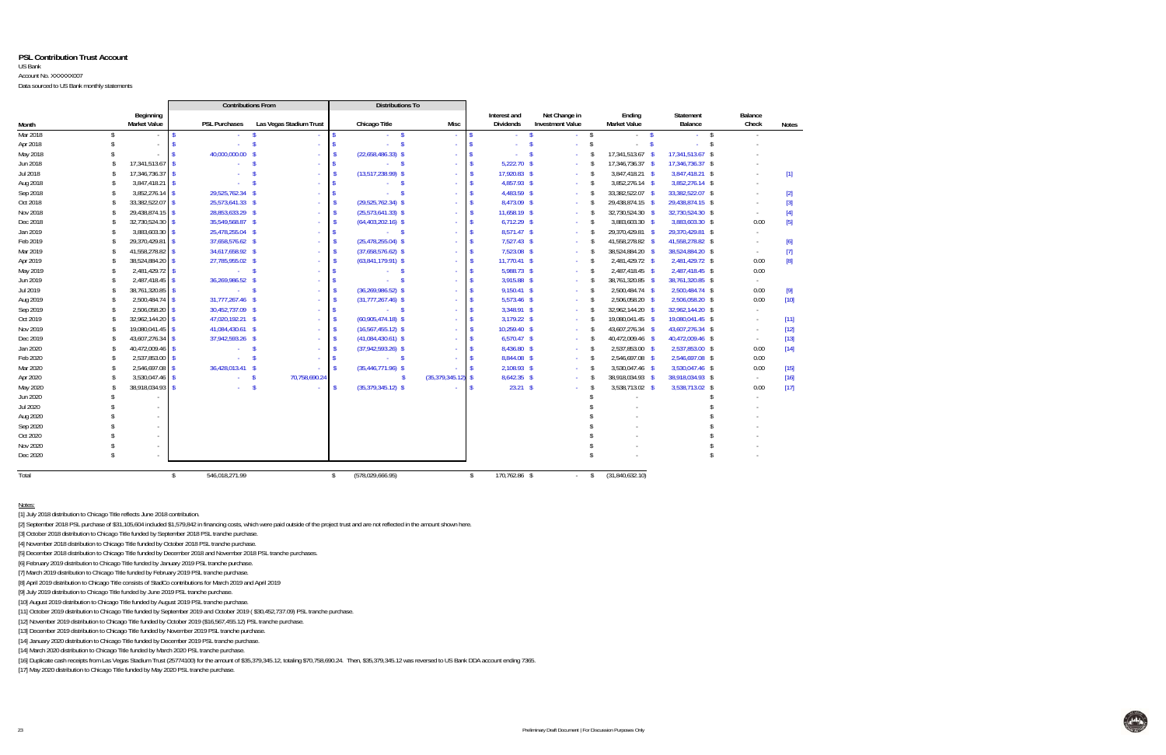#### **PSL Contribution Trust Account**

#### US Bank

Account No. XXXXXX007

Data sourced to US Bank monthly statements

|          |                    |                                  |              | <b>Contributions From</b> |                         |              | <b>Distributions To</b>  |                   |              |                                  |                                          |                    |                               |                           |                  |                                                                                                                                                                                                                                                                                                                                                                                                                                                                                                   |
|----------|--------------------|----------------------------------|--------------|---------------------------|-------------------------|--------------|--------------------------|-------------------|--------------|----------------------------------|------------------------------------------|--------------------|-------------------------------|---------------------------|------------------|---------------------------------------------------------------------------------------------------------------------------------------------------------------------------------------------------------------------------------------------------------------------------------------------------------------------------------------------------------------------------------------------------------------------------------------------------------------------------------------------------|
| Month    |                    | Beginning<br><b>Market Value</b> |              | <b>PSL Purchases</b>      | Las Vegas Stadium Trust |              | Chicago Title            | Misc              |              | Interest and<br><b>Dividends</b> | Net Change in<br><b>Investment Value</b> |                    | Ending<br><b>Market Value</b> | Statement<br>Balance      | Balance<br>Check | <b>Notes</b>                                                                                                                                                                                                                                                                                                                                                                                                                                                                                      |
| Mar 2018 | s.                 |                                  |              | $\mathcal{L}_{\rm{max}}$  | - S                     |              | $-5$                     |                   |              | $\sim 100$                       | $\mathbf{s}$                             | $-5$               | $-5$                          | - \$<br>$\Delta \sim 100$ | $\sim$           |                                                                                                                                                                                                                                                                                                                                                                                                                                                                                                   |
| Apr 2018 |                    |                                  |              | ÷.                        | $\mathbf{\hat{s}}$      |              | ÷.                       |                   |              |                                  | $\mathbf{R}$                             | $\mathbf{\hat{S}}$ | $\mathbf{\hat{S}}$<br>$\sim$  |                           |                  |                                                                                                                                                                                                                                                                                                                                                                                                                                                                                                   |
| May 2018 |                    |                                  |              | 40,000,000.00 \$          |                         |              | $(22,658,486.33)$ \$     |                   |              |                                  | - S<br>$\sim$                            |                    | 17,341,513.67 \$              | 17,341,513.67 \$          |                  |                                                                                                                                                                                                                                                                                                                                                                                                                                                                                                   |
| Jun 2018 | \$.                | 17,341,513.67                    |              |                           | - \$                    |              | $-5$                     |                   |              | $5,222.70$ \$                    | $\sim$                                   | -S                 | 17,346,736.37 \$              | 17,346,736.37 \$          |                  |                                                                                                                                                                                                                                                                                                                                                                                                                                                                                                   |
| Jul 2018 | \$.                | 17,346,736.37                    |              |                           |                         |              | $(13,517,238.99)$ \$     |                   |              | 17,920.83 \$                     | $\sim$                                   | - \$               | 3,847,418.21 \$               | 3,847,418.21 \$           |                  | $[1] % \centering \includegraphics[width=0.9\textwidth]{images/TrDiM-Architecture.png} % \caption{The first two different values of $d \sim \tfrac{1}{\sqrt{2}}$ and $d \sim \tfrac{1}{\sqrt{2}}$ and $d \sim \tfrac{1}{\sqrt{2}}$ for $d \sim \tfrac{1}{\sqrt{2}}$ and $d \sim \tfrac{1}{\sqrt{2}}$ for $d \sim \tfrac{1}{\sqrt{2}}$ for $d \sim \tfrac{1}{\sqrt{2}}$ for $d \sim \tfrac{1}{\sqrt{2}}$ for $d \sim \tfrac{1}{\sqrt{2}}$ for $d \sim \tfrac{1}{\sqrt{2}}$ for $d \sim \tfrac{1}{$ |
| Aug 2018 | -S                 | 3,847,418.21                     |              |                           | ÷.                      |              | - \$<br>$\sim$           |                   |              | 4,857.93 \$                      | $\sim$                                   | - \$               | 3,852,276.14 \$               | 3,852,276.14 \$           |                  |                                                                                                                                                                                                                                                                                                                                                                                                                                                                                                   |
| Sep 2018 | <sup>\$</sup>      | 3,852,276.14                     |              | 29,525,762.34 \$          |                         |              | - \$                     |                   |              | 4,483.59 \$                      | $\sim$                                   | $\mathbf{\hat{s}}$ | 33,382,522.07 \$              | 33,382,522.07 \$          |                  | $[2]$                                                                                                                                                                                                                                                                                                                                                                                                                                                                                             |
| Oct 2018 | -S                 | 33,382,522.07                    |              | 25,573,641.33 \$          |                         |              | $(29,525,762.34)$ \$     |                   |              | 8,473.09 \$                      | $\sim$                                   | <sup>\$</sup>      | 29,438,874.15 \$              | 29,438,874.15 \$          |                  | $[3]$                                                                                                                                                                                                                                                                                                                                                                                                                                                                                             |
| Nov 2018 | -S                 | 29,438,874.15                    |              | 28,853,633.29 \$          |                         |              | $(25,573,641.33)$ \$     |                   |              | 11,658.19 \$                     | $\sim$                                   | -S                 | 32,730,524.30 \$              | 32,730,524.30 \$          | $\sim$           | $[4]$                                                                                                                                                                                                                                                                                                                                                                                                                                                                                             |
| Dec 2018 | -S                 | 32,730,524.30                    |              | 35,549,568.87 \$          |                         |              | $(64,403,202.16)$ \$     | $\sim$            |              | $6,712.29$ \$                    | $\sim$                                   | $\mathsf{\$}$      | 3,883,603.30 \$               | 3,883,603.30 \$           | 0.00             | $[5]$                                                                                                                                                                                                                                                                                                                                                                                                                                                                                             |
| Jan 2019 | $\mathcal{S}$      | 3,883,603.30                     |              | 25,478,255.04 \$          | $\sim$                  |              | $-5$                     | $\sim$            |              | 8,571.47 \$                      | $\sim$                                   | - \$               | 29,370,429.81 \$              | 29,370,429.81 \$          | $\sim$           |                                                                                                                                                                                                                                                                                                                                                                                                                                                                                                   |
| Feb 2019 | -S                 | 29,370,429.81                    |              | 37,658,576.62 \$          |                         |              | $(25, 478, 255.04)$ \$   |                   |              | 7,527.43 \$                      | $\sim$                                   | -S                 | 41,558,278.82 \$              | 41,558,278.82 \$          |                  | $[6]$                                                                                                                                                                                                                                                                                                                                                                                                                                                                                             |
| Mar 2019 | -S                 | 41,558,278.82                    |              | 34,617,658.92 \$          |                         |              | $(37,658,576.62)$ \$     |                   |              | 7,523.08 \$                      | $\sim$                                   | -S                 | 38,524,884.20 \$              | 38,524,884.20 \$          | $\sim$           | $[7]$                                                                                                                                                                                                                                                                                                                                                                                                                                                                                             |
| Apr 2019 | -S                 | 38,524,884.20                    |              | 27,785,955.02 \$          |                         |              | $(63,841,179.91)$ \$     |                   |              | 11,770.41 \$                     | $\sim$                                   | -\$                | 2,481,429.72 \$               | 2,481,429.72 \$           | 0.00             | [8]                                                                                                                                                                                                                                                                                                                                                                                                                                                                                               |
| May 2019 | <sup>\$</sup>      | 2,481,429.72                     |              | $-5$                      |                         |              | $\sim$ \$<br>$\sim$      |                   |              | 5,988.73 \$                      | $\sim$                                   | -\$                | 2,487,418.45 \$               | 2,487,418.45 \$           | 0.00             |                                                                                                                                                                                                                                                                                                                                                                                                                                                                                                   |
| Jun 2019 | $\mathbf{\hat{S}}$ | 2,487,418.45                     |              | 36,269,986.52 \$          |                         |              | - \$<br>$\Delta \sim 10$ |                   |              | 3,915.88 \$                      | $\sim$                                   | -S                 | 38,761,320.85 \$              | 38,761,320.85 \$          | $\sim$           |                                                                                                                                                                                                                                                                                                                                                                                                                                                                                                   |
| Jul 2019 | Ŝ                  | 38,761,320.85                    |              | $-5$                      |                         |              | $(36, 269, 986.52)$ \$   |                   |              | 9,150.41 \$                      | $\sim$                                   | -\$                | 2,500,484.74 \$               | 2,500,484.74 \$           | 0.00             | [9]                                                                                                                                                                                                                                                                                                                                                                                                                                                                                               |
| Aug 2019 | -S                 | 2,500,484.74                     |              | 31,777,267.46 \$          |                         |              | $(31,777,267.46)$ \$     |                   |              | 5,573.46 \$                      | $\sim$                                   | $\mathbf{\hat{S}}$ | 2,506,058.20 \$               | 2,506,058.20 \$           | 0.00             | $[10]$                                                                                                                                                                                                                                                                                                                                                                                                                                                                                            |
| Sep 2019 | $\mathbf{\hat{S}}$ | 2,506,058.20                     |              | 30,452,737.09 \$          |                         |              | $-5$                     |                   |              | 3,348.91 \$                      | $\sim$                                   | $\mathbf{\hat{s}}$ | 32,962,144.20 \$              | 32,962,144.20 \$          | $\sim$           |                                                                                                                                                                                                                                                                                                                                                                                                                                                                                                   |
| Oct 2019 | Ŝ                  | 32,962,144.20                    |              | 47,020,192.21 \$          | $\sim$                  |              | $(60,905,474.18)$ \$     | $\sim$            |              | 3,179.22 \$                      | $\sim$                                   | -S                 | 19,080,041.45 \$              | 19,080,041.45 \$          |                  | $[11]$                                                                                                                                                                                                                                                                                                                                                                                                                                                                                            |
| Nov 2019 | -S                 | 19,080,041.45                    |              | 41,084,430.61 \$          |                         |              | $(16, 567, 455.12)$ \$   | $\sim$            |              | 10,259.40 \$                     | $\sim$                                   | -S                 | 43,607,276.34 \$              | 43,607,276.34 \$          | $\sim$           | $[12]$                                                                                                                                                                                                                                                                                                                                                                                                                                                                                            |
| Dec 2019 | -S                 | 43,607,276.34                    |              | 37,942,593.26 \$          |                         |              | $(41,084,430.61)$ \$     |                   |              | $6,570.47$ \$                    | $\sim$                                   | -S                 | 40,472,009.46 \$              | 40,472,009.46 \$          | $\sim$           | $[13]$                                                                                                                                                                                                                                                                                                                                                                                                                                                                                            |
| Jan 2020 | Ŝ.                 | 40,472,009.46                    |              | $-5$                      | $\sim$                  |              | $(37,942,593.26)$ \$     | $\sim$            |              | 8,436.80 \$                      | $\sim 10$                                | \$                 | 2,537,853.00 \$               | 2,537,853.00 \$           | 0.00             | $[14]$                                                                                                                                                                                                                                                                                                                                                                                                                                                                                            |
| Feb 2020 | -S                 | 2,537,853.00                     |              | $\Delta \sim 10^4$        | $\mathbf{s}$<br>$\sim$  |              | $-5$                     | $\sim$            |              | 8,844.08 \$                      | $\sim$                                   | \$                 | 2,546,697.08 \$               | 2,546,697.08 \$           | 0.00             |                                                                                                                                                                                                                                                                                                                                                                                                                                                                                                   |
| Mar 2020 | $\mathbf{\hat{S}}$ | 2,546,697.08                     |              | 36,428,013.41 \$          |                         |              | $(35, 446, 771.96)$ \$   |                   |              | 2,108.93 \$                      | $\sim 10$                                | \$                 | 3,530,047.46 \$               | 3,530,047.46 \$           | 0.00             | $[15]$                                                                                                                                                                                                                                                                                                                                                                                                                                                                                            |
| Apr 2020 | -S                 | 3,530,047.46                     |              | $\mathcal{L}_{\rm{max}}$  | 70,758,690.24<br>\$     |              | -S                       | (35, 379, 345.12) |              | 8,642.35 \$                      | $\sim$                                   | -S                 | 38,918,034.93 \$              | 38,918,034.93 \$          | $\sim$           | $[16]$                                                                                                                                                                                                                                                                                                                                                                                                                                                                                            |
| May 2020 |                    | 38,918,034.93                    | $\mathbf{R}$ | $\mathcal{L}_{\rm{max}}$  | $\mathbf{s}$            |              | $(35,379,345.12)$ \$     |                   | -c           | 23.21 S                          | $\sim$                                   | -\$                | 3,538,713.02 \$               | 3,538,713.02 \$           | 0.00             | $[17]$                                                                                                                                                                                                                                                                                                                                                                                                                                                                                            |
| Jun 2020 |                    |                                  |              |                           |                         |              |                          |                   |              |                                  |                                          |                    |                               |                           |                  |                                                                                                                                                                                                                                                                                                                                                                                                                                                                                                   |
| Jul 2020 |                    |                                  |              |                           |                         |              |                          |                   |              |                                  |                                          |                    |                               |                           |                  |                                                                                                                                                                                                                                                                                                                                                                                                                                                                                                   |
| Aug 2020 |                    |                                  |              |                           |                         |              |                          |                   |              |                                  |                                          |                    |                               |                           |                  |                                                                                                                                                                                                                                                                                                                                                                                                                                                                                                   |
| Sep 2020 |                    |                                  |              |                           |                         |              |                          |                   |              |                                  |                                          |                    |                               |                           |                  |                                                                                                                                                                                                                                                                                                                                                                                                                                                                                                   |
| Oct 2020 |                    |                                  |              |                           |                         |              |                          |                   |              |                                  |                                          |                    |                               |                           |                  |                                                                                                                                                                                                                                                                                                                                                                                                                                                                                                   |
| Nov 2020 |                    |                                  |              |                           |                         |              |                          |                   |              |                                  |                                          |                    |                               |                           |                  |                                                                                                                                                                                                                                                                                                                                                                                                                                                                                                   |
| Dec 2020 |                    |                                  |              |                           |                         |              |                          |                   |              |                                  |                                          |                    |                               |                           |                  |                                                                                                                                                                                                                                                                                                                                                                                                                                                                                                   |
| Total    |                    |                                  | $\mathbf{S}$ | 546.018.271.99            |                         | $\mathbb{S}$ | (578,029,666.95)         |                   | $\mathbf{f}$ | 170,762.86 \$                    | $\sim 100$                               | $\mathcal{S}$      | (31,840,632.10)               |                           |                  |                                                                                                                                                                                                                                                                                                                                                                                                                                                                                                   |

Notes:

[1] July 2018 distribution to Chicago Title reflects June 2018 contribution.

[2] September 2018 PSL purchase of \$31,105,604 included \$1,579,842 in financing costs, which were paid outside of the project trust and are not reflected in the amount shown here.

[3] October 2018 distribution to Chicago Title funded by September 2018 PSL tranche purchase.

[4] November 2018 distribution to Chicago Title funded by October 2018 PSL tranche purchase.

[5] December 2018 distribution to Chicago Title funded by December 2018 and November 2018 PSL tranche purchases.

[6] February 2019 distribution to Chicago Title funded by January 2019 PSL tranche purchase.

[7] March 2019 distribution to Chicago Title funded by February 2019 PSL tranche purchase.

[8] April 2019 distribution to Chicago Title consists of StadCo contributions for March 2019 and April 2019

[9] July 2019 distribution to Chicago Title funded by June 2019 PSL tranche purchase.

[10] August 2019 distribution to Chicago Title funded by August 2019 PSL tranche purchase.

[11] October 2019 distribution to Chicago Title funded by September 2019 and October 2019 ( \$30,452,737.09) PSL tranche purchase.

[12] November 2019 distribution to Chicago Title funded by October 2019 (\$16,567,455.12) PSL tranche purchase.

[13] December 2019 distribution to Chicago Title funded by November 2019 PSL tranche purchase.

[14] January 2020 distribution to Chicago Title funded by December 2019 PSL tranche purchase.

[14] March 2020 distribution to Chicago Title funded by March 2020 PSL tranche purchase.

[16] Duplicate cash receipts from Las Vegas Stadium Trust (25774100) for the amount of \$35,379,345.12, totaling \$70,758,690.24. Then, \$35,379,345.12 was reversed to US Bank DDA account ending 7365.

[17] May 2020 distribution to Chicago Title funded by May 2020 PSL tranche purchase.

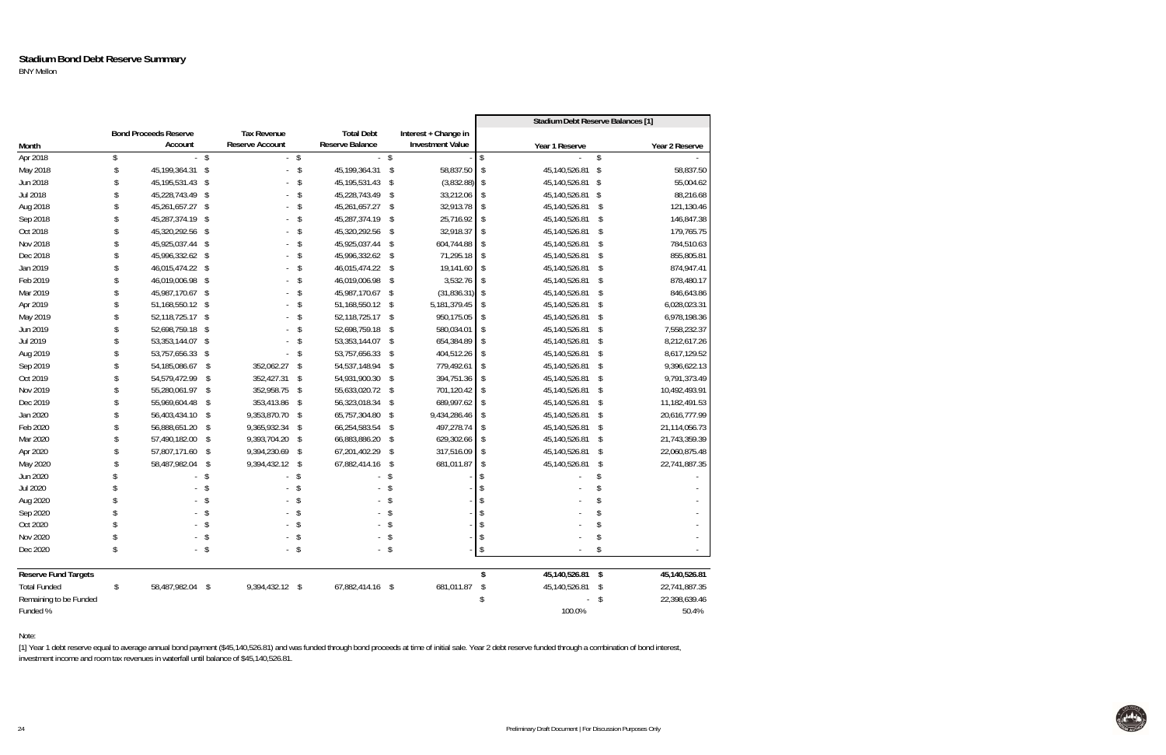#### **Stadium Bond Debt Reserve Summary** BNY Mellon

|                             |                              |              |                        |        |                   |               |                         |                         | Stadium Debt Reserve Balances [1] |            |                |
|-----------------------------|------------------------------|--------------|------------------------|--------|-------------------|---------------|-------------------------|-------------------------|-----------------------------------|------------|----------------|
|                             | <b>Bond Proceeds Reserve</b> |              | <b>Tax Revenue</b>     |        | <b>Total Debt</b> |               | Interest + Change in    |                         |                                   |            |                |
| Month                       | Account                      |              | <b>Reserve Account</b> |        | Reserve Balance   |               | <b>Investment Value</b> |                         | Year 1 Reserve                    |            | Year 2 Reserve |
| Apr 2018                    | \$                           | $-$ \$       |                        | $-$ \$ |                   | $\sqrt[6]{}$  |                         | \$                      |                                   | \$         |                |
| May 2018                    | \$<br>45,199,364.31 \$       |              | ÷.                     | \$     | 45,199,364.31 \$  |               | 58,837.50               | \$                      | 45,140,526.81 \$                  |            | 58,837.50      |
| Jun 2018                    | 45, 195, 531. 43 \$          |              |                        | \$     | 45, 195, 531. 43  | - \$          | (3,832.88)              | \$                      | 45,140,526.81 \$                  |            | 55,004.62      |
| Jul 2018                    | 45,228,743.49 \$             |              |                        | \$     | 45,228,743.49     | -\$           | 33,212.06               | \$                      | 45,140,526.81 \$                  |            | 88,216.68      |
| Aug 2018                    | 45,261,657.27 \$             |              |                        | \$     | 45,261,657.27     | - \$          | 32,913.78               | \$                      | 45,140,526.81                     | -\$        | 121,130.46     |
| Sep 2018                    | 45,287,374.19 \$             |              |                        | \$     | 45,287,374.19     | - \$          | 25,716.92               | \$                      | 45,140,526.81                     | -\$        | 146,847.38     |
| Oct 2018                    | 45,320,292.56 \$             |              |                        | \$     | 45,320,292.56     | -\$           | 32,918.37               | \$                      | 45,140,526.81                     | - \$       | 179,765.75     |
| Nov 2018                    | 45,925,037.44 \$             |              |                        | \$     | 45,925,037.44     | -\$           | 604,744.88              | \$                      | 45,140,526.81                     | -\$        | 784,510.63     |
| Dec 2018                    | 45,996,332.62 \$             |              |                        | \$     | 45,996,332.62     | $\mathcal{S}$ | 71,295.18               | \$                      | 45,140,526.81                     | \$         | 855,805.81     |
| Jan 2019                    | 46,015,474.22 \$             |              |                        | \$     | 46,015,474.22 \$  |               | 19,141.60               | \$                      | 45,140,526.81                     | - \$       | 874,947.41     |
| Feb 2019                    | 46,019,006.98 \$             |              |                        | \$     | 46,019,006.98     | -\$           | 3,532.76                | \$                      | 45,140,526.81                     | -\$        | 878,480.17     |
| Mar 2019                    | 45,987,170.67 \$             |              |                        | \$     | 45,987,170.67     | -\$           | (31, 836.31)            | \$                      | 45,140,526.81                     | -\$        | 846,643.86     |
| Apr 2019                    | 51,168,550.12 \$             |              |                        | \$     | 51,168,550.12 \$  |               | 5, 181, 379.45          | \$                      | 45,140,526.81                     | \$         | 6,028,023.31   |
| May 2019                    | 52,118,725.17 \$             |              |                        | \$     | 52,118,725.17 \$  |               | 950,175.05              | \$                      | 45,140,526.81 \$                  |            | 6,978,198.36   |
| Jun 2019                    | 52,698,759.18 \$             |              |                        | \$     | 52,698,759.18     | -\$           | 580,034.01              | $\sqrt[6]{\frac{1}{2}}$ | 45,140,526.81                     | \$         | 7,558,232.37   |
| Jul 2019                    | 53,353,144.07 \$             |              | ÷.                     | \$     | 53,353,144.07 \$  |               | 654,384.89              | \$                      | 45,140,526.81 \$                  |            | 8,212,617.26   |
| Aug 2019                    | 53,757,656.33 \$             |              |                        | \$     | 53,757,656.33     | -\$           | 404,512.26              | \$                      | 45,140,526.81                     | - \$       | 8,617,129.52   |
| Sep 2019                    | 54, 185, 086. 67             | $\mathsf{S}$ | 352,062.27             | \$     | 54,537,148.94     | - \$          | 779,492.61              | \$                      | 45,140,526.81                     | -\$        | 9,396,622.13   |
| Oct 2019                    | 54,579,472.99 \$             |              | 352,427.31             | \$     | 54,931,900.30     | -\$           | 394,751.36              | \$                      | 45,140,526.81                     | \$         | 9,791,373.49   |
| Nov 2019                    | 55,280,061.97 \$             |              | 352,958.75             | \$     | 55,633,020.72 \$  |               | 701,120.42              | \$                      | 45,140,526.81                     | -\$        | 10,492,493.91  |
| Dec 2019                    | 55,969,604.48 \$             |              | 353,413.86             | \$     | 56,323,018.34 \$  |               | 689,997.62              | \$                      | 45,140,526.81                     | -\$        | 11,182,491.53  |
| Jan 2020                    | 56,403,434.10 \$             |              | 9,353,870.70 \$        |        | 65,757,304.80     | - \$          | 9,434,286.46            | \$                      | 45,140,526.81                     | -\$        | 20,616,777.99  |
| Feb 2020                    | 56,888,651.20 \$             |              | 9,365,932.34           | \$     | 66,254,583.54     | -\$           | 497,278.74              | $\sqrt[6]{\frac{1}{2}}$ | 45,140,526.81                     | $\sqrt{3}$ | 21,114,056.73  |
| Mar 2020                    | 57,490,182.00 \$             |              | 9,393,704.20           | \$     | 66,883,886.20     | -\$           | 629,302.66              | \$                      | 45,140,526.81                     | -\$        | 21,743,359.39  |
| Apr 2020                    | 57,807,171.60 \$             |              | 9,394,230.69           | \$     | 67,201,402.29     | \$            | 317,516.09              | $\sqrt[6]{\frac{1}{2}}$ | 45,140,526.81                     | \$         | 22,060,875.48  |
| May 2020                    | 58,487,982.04                | - \$         | 9,394,432.12           | \$     | 67,882,414.16     | \$            | 681,011.87              | \$                      | 45,140,526.81                     | \$         | 22,741,887.35  |
| Jun 2020                    |                              | \$           |                        | \$     |                   | \$            |                         | \$                      |                                   | \$.        |                |
| Jul 2020                    |                              | S            |                        |        |                   | \$            |                         |                         |                                   |            |                |
| Aug 2020                    |                              |              |                        |        |                   |               |                         |                         |                                   |            |                |
| Sep 2020                    |                              |              |                        |        |                   |               |                         |                         |                                   |            |                |
| Oct 2020                    |                              |              |                        |        |                   |               |                         |                         |                                   |            |                |
| Nov 2020                    |                              | \$           |                        | \$     |                   | $\mathcal{S}$ |                         |                         |                                   |            |                |
| Dec 2020                    | \$                           | $-$ \$       |                        | $-$ \$ |                   | $-$ \$        |                         | \$                      |                                   | \$         |                |
| <b>Reserve Fund Targets</b> |                              |              |                        |        |                   |               |                         | \$                      | 45,140,526.81 \$                  |            | 45,140,526.81  |
| <b>Total Funded</b>         | \$<br>58,487,982.04 \$       |              | 9,394,432.12 \$        |        | 67,882,414.16 \$  |               | 681,011.87              | \$                      | 45,140,526.81 \$                  |            | 22,741,887.35  |
| Remaining to be Funded      |                              |              |                        |        |                   |               |                         | \$                      |                                   | $-$ \$     | 22,398,639.46  |
| Funded %                    |                              |              |                        |        |                   |               |                         |                         | 100.0%                            |            | 50.4%          |

[1] Year 1 debt reserve equal to average annual bond payment (\$45,140,526.81) and was funded through bond proceeds at time of initial sale. Year 2 debt reserve funded through a combination of bond interest, investment income and room tax revenues in waterfall until balance of \$45,140,526.81.

Note:

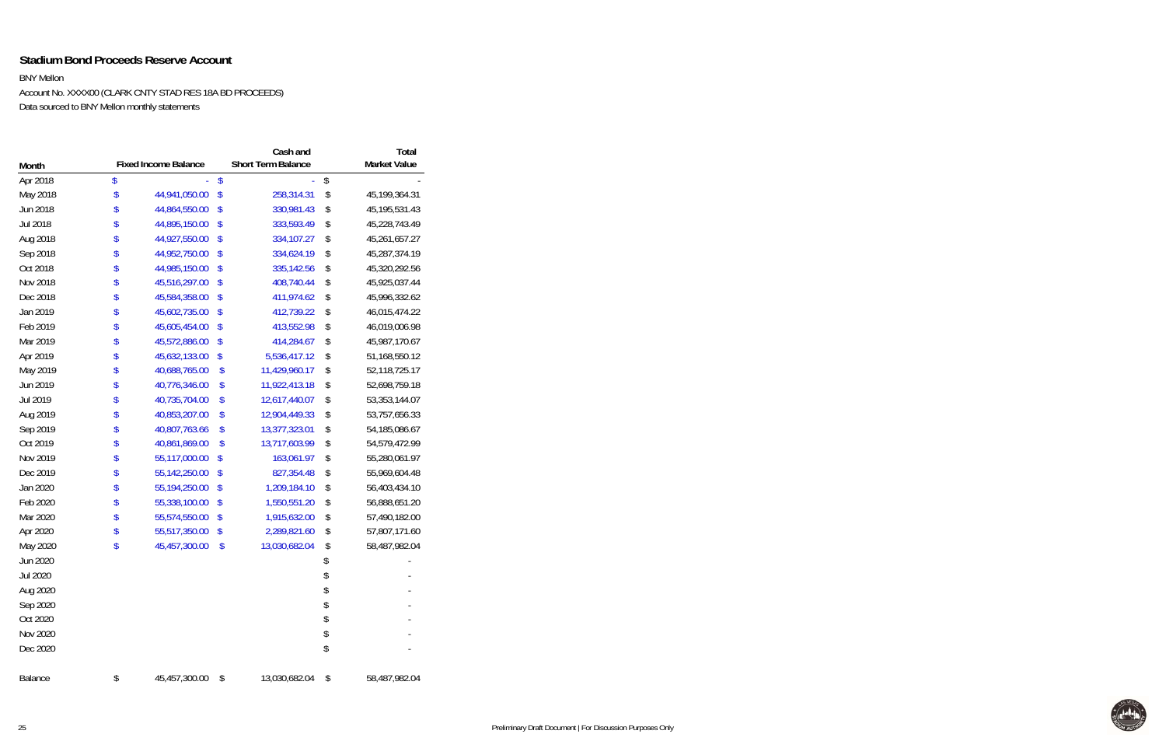### **Stadium Bond Proceeds Reserve Account**

BNY Mellon

Account No. XXXX00 (CLARK CNTY STAD RES 18A BD PROCEEDS) Data sourced to BNY Mellon monthly statements

|                 |                             |                         | Cash and                  | <b>Total</b>           |
|-----------------|-----------------------------|-------------------------|---------------------------|------------------------|
| Month           | <b>Fixed Income Balance</b> |                         | <b>Short Term Balance</b> | <b>Market Value</b>    |
| Apr 2018        | \$                          | $\sqrt[6]{\frac{1}{2}}$ |                           | \$                     |
| May 2018        | \$<br>44,941,050.00         | \$                      | 258,314.31                | \$<br>45, 199, 364. 31 |
| Jun 2018        | \$<br>44,864,550.00         | \$                      | 330,981.43                | \$<br>45, 195, 531. 43 |
| Jul 2018        | \$<br>44,895,150.00         | \$                      | 333,593.49                | \$<br>45,228,743.49    |
| Aug 2018        | \$<br>44,927,550.00         | \$                      | 334,107.27                | \$<br>45,261,657.27    |
| Sep 2018        | \$<br>44,952,750.00         | \$                      | 334,624.19                | \$<br>45,287,374.19    |
| Oct 2018        | \$<br>44,985,150.00         | \$                      | 335,142.56                | \$<br>45,320,292.56    |
| Nov 2018        | \$<br>45,516,297.00         | \$                      | 408,740.44                | \$<br>45,925,037.44    |
| Dec 2018        | \$<br>45,584,358.00         | \$                      | 411,974.62                | \$<br>45,996,332.62    |
| Jan 2019        | \$<br>45,602,735.00         | \$                      | 412,739.22                | \$<br>46,015,474.22    |
| Feb 2019        | \$<br>45,605,454.00         | \$                      | 413,552.98                | \$<br>46,019,006.98    |
| Mar 2019        | \$<br>45,572,886.00         | \$                      | 414,284.67                | \$<br>45,987,170.67    |
| Apr 2019        | \$<br>45,632,133.00         | \$                      | 5,536,417.12              | \$<br>51, 168, 550. 12 |
| May 2019        | \$<br>40,688,765.00         | \$                      | 11,429,960.17             | \$<br>52,118,725.17    |
| Jun 2019        | \$<br>40,776,346.00         | \$                      | 11,922,413.18             | \$<br>52,698,759.18    |
| Jul 2019        | \$<br>40,735,704.00         | \$                      | 12,617,440.07             | \$<br>53, 353, 144.07  |
| Aug 2019        | \$<br>40,853,207.00         | \$                      | 12,904,449.33             | \$<br>53,757,656.33    |
| Sep 2019        | \$<br>40,807,763.66         | \$                      | 13,377,323.01             | \$<br>54, 185, 086. 67 |
| Oct 2019        | \$<br>40,861,869.00         | \$                      | 13,717,603.99             | \$<br>54,579,472.99    |
| Nov 2019        | \$<br>55,117,000.00         | \$                      | 163,061.97                | \$<br>55,280,061.97    |
| Dec 2019        | \$<br>55,142,250.00         | \$                      | 827,354.48                | \$<br>55,969,604.48    |
| Jan 2020        | \$<br>55,194,250.00         | \$                      | 1,209,184.10              | \$<br>56,403,434.10    |
| Feb 2020        | \$<br>55,338,100.00         | \$                      | 1,550,551.20              | \$<br>56,888,651.20    |
| Mar 2020        | \$<br>55,574,550.00         | \$                      | 1,915,632.00              | \$<br>57,490,182.00    |
| Apr 2020        | \$<br>55,517,350.00         | \$                      | 2,289,821.60              | \$<br>57,807,171.60    |
| May 2020        | \$<br>45,457,300.00         | \$                      | 13,030,682.04             | \$<br>58,487,982.04    |
| Jun 2020        |                             |                         |                           | \$                     |
| <b>Jul 2020</b> |                             |                         |                           | \$                     |
| Aug 2020        |                             |                         |                           | \$                     |
| Sep 2020        |                             |                         |                           | \$                     |
| Oct 2020        |                             |                         |                           | \$                     |
| Nov 2020        |                             |                         |                           | \$                     |
| Dec 2020        |                             |                         |                           | \$                     |
| Balance         | \$<br>45,457,300.00         | \$                      | 13,030,682.04             | \$<br>58,487,982.04    |

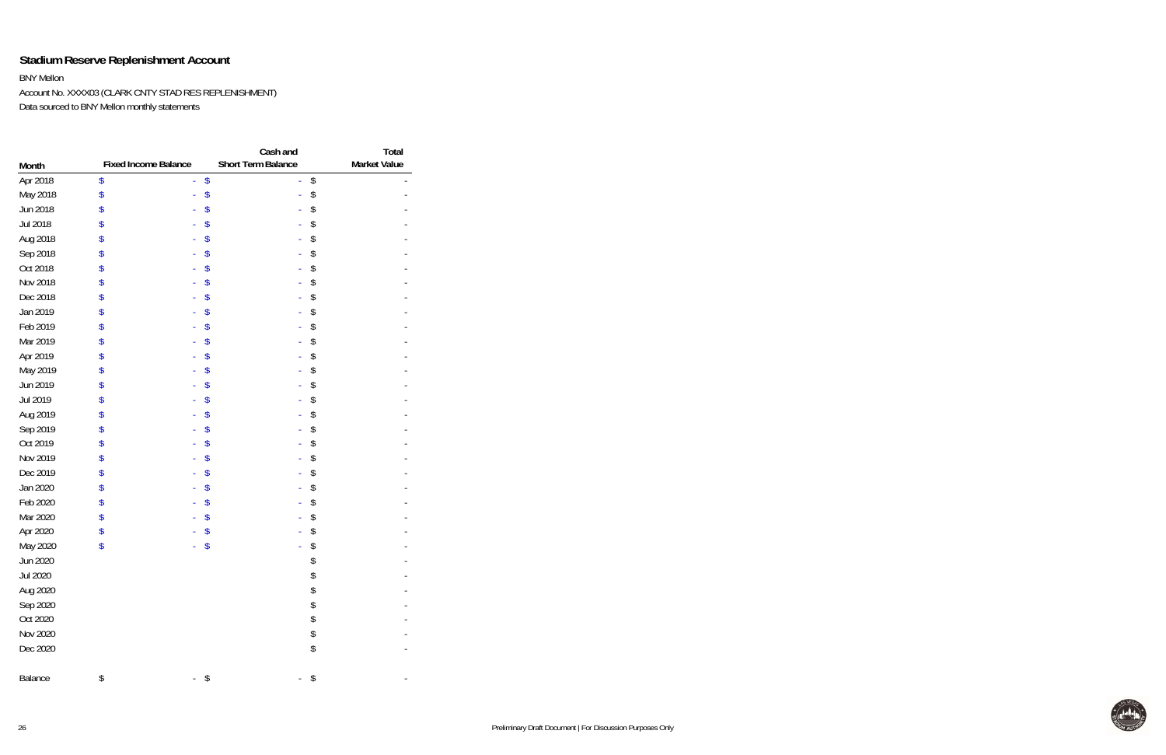## **Stadium Reserve Replenishment Account**

BNY Mellon

Account No. XXXX03 (CLARK CNTY STAD RES REPLENISHMENT) Data sourced to BNY Mellon monthly statements

| Month    | <b>Fixed Income Balance</b> | Cash and<br>Short Term Balance | Total<br><b>Market Value</b> |
|----------|-----------------------------|--------------------------------|------------------------------|
| Apr 2018 | \$                          | \$                             | \$                           |
| May 2018 | \$                          | \$                             | \$                           |
| Jun 2018 | \$                          | \$                             | \$                           |
| Jul 2018 | \$                          | \$                             | \$                           |
| Aug 2018 | \$                          | \$                             | \$                           |
| Sep 2018 | \$                          | \$                             | \$                           |
| Oct 2018 | \$                          | \$                             | \$                           |
| Nov 2018 | \$                          | \$                             | \$                           |
| Dec 2018 | \$                          | \$                             | \$                           |
| Jan 2019 | \$                          | \$                             | \$                           |
| Feb 2019 | \$                          | \$                             | \$                           |
| Mar 2019 | \$                          | \$                             | \$                           |
| Apr 2019 | \$                          | \$                             | \$                           |
| May 2019 | \$                          | \$                             | \$                           |
| Jun 2019 | \$                          | \$                             | \$                           |
| Jul 2019 | \$                          | \$                             | \$                           |
| Aug 2019 | \$                          | \$                             | \$                           |
| Sep 2019 | \$                          | \$                             | \$                           |
| Oct 2019 | \$                          | \$                             | \$                           |
| Nov 2019 | \$                          | \$                             | \$                           |
| Dec 2019 | \$                          | \$                             | \$                           |
| Jan 2020 | \$                          | \$                             | \$                           |
| Feb 2020 | \$                          | \$                             | \$                           |
| Mar 2020 | \$                          | \$                             | \$                           |
| Apr 2020 | \$                          | \$                             | \$                           |
| May 2020 | \$                          | \$                             | \$                           |
| Jun 2020 |                             |                                | \$                           |
| Jul 2020 |                             |                                | \$                           |
| Aug 2020 |                             |                                | \$                           |
| Sep 2020 |                             |                                | \$                           |
| Oct 2020 |                             |                                | \$                           |
| Nov 2020 |                             |                                | \$                           |
| Dec 2020 |                             |                                | \$                           |
| Balance  | \$                          | \$                             | \$                           |

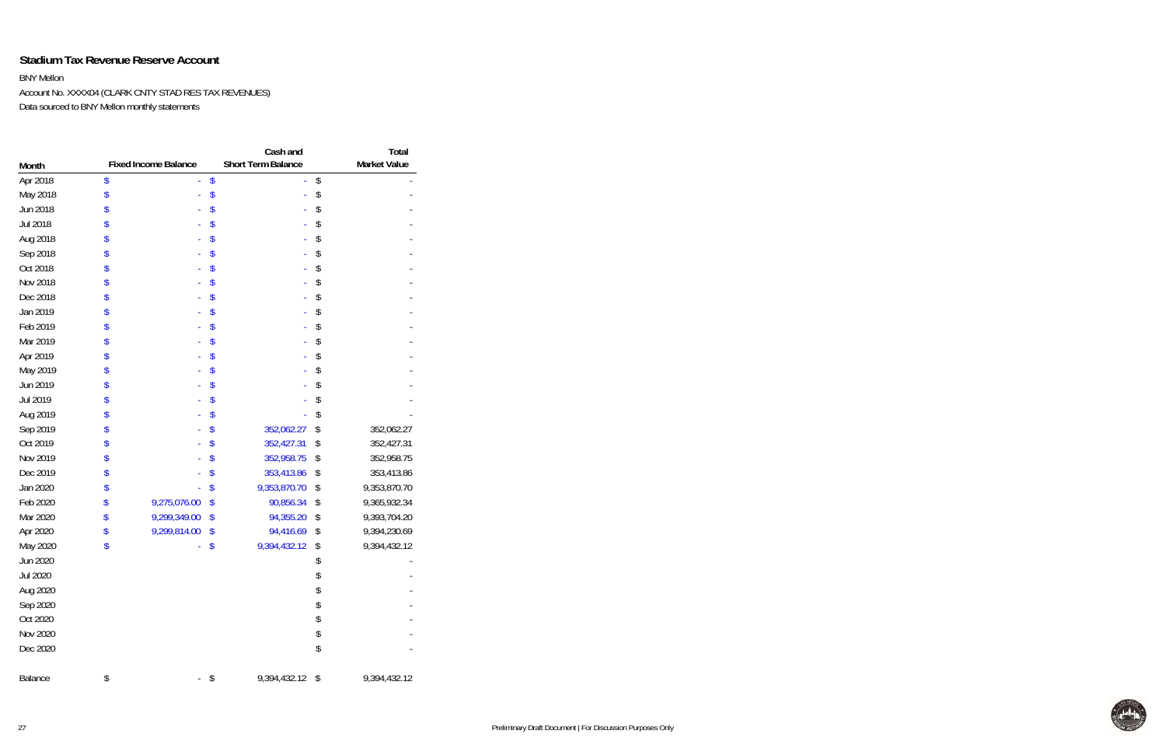### **Stadium Tax Revenue Reserve Account**

BNY Mellon

Account No. XXXX04 (CLARK CNTY STAD RES TAX REVENUES) Data sourced to BNY Mellon monthly statements

|          |                             | Cash and                  | Total               |
|----------|-----------------------------|---------------------------|---------------------|
| Month    | <b>Fixed Income Balance</b> | <b>Short Term Balance</b> | <b>Market Value</b> |
| Apr 2018 | \$                          | \$                        | \$                  |
| May 2018 | \$                          | \$                        | \$                  |
| Jun 2018 | \$                          | \$                        | \$                  |
| Jul 2018 | \$                          | \$                        | \$                  |
| Aug 2018 | \$                          | \$                        | \$                  |
| Sep 2018 | \$                          | \$                        | \$                  |
| Oct 2018 | \$                          | \$                        | \$                  |
| Nov 2018 | \$                          | \$                        | \$                  |
| Dec 2018 | \$                          | \$                        | \$                  |
| Jan 2019 | \$                          | \$                        | \$                  |
| Feb 2019 | \$                          | \$                        | \$                  |
| Mar 2019 | \$                          | \$                        | \$                  |
| Apr 2019 | \$                          | \$                        | \$                  |
| May 2019 | \$                          | \$                        | \$                  |
| Jun 2019 | \$                          | \$                        | \$                  |
| Jul 2019 | \$                          | \$                        | \$                  |
| Aug 2019 | \$                          | \$                        | \$                  |
| Sep 2019 | \$                          | \$<br>352,062.27          | \$<br>352,062.27    |
| Oct 2019 | \$                          | \$<br>352,427.31          | \$<br>352,427.31    |
| Nov 2019 | \$                          | \$<br>352,958.75          | \$<br>352,958.75    |
| Dec 2019 | \$                          | \$<br>353,413.86          | \$<br>353,413.86    |
| Jan 2020 | \$                          | \$<br>9,353,870.70        | \$<br>9,353,870.70  |
| Feb 2020 | \$<br>9,275,076.00          | \$<br>90,856.34           | \$<br>9,365,932.34  |
| Mar 2020 | \$<br>9,299,349.00          | \$<br>94,355.20           | \$<br>9,393,704.20  |
| Apr 2020 | \$<br>9,299,814.00          | \$<br>94,416.69           | \$<br>9,394,230.69  |
| May 2020 | \$                          | \$<br>9,394,432.12        | \$<br>9,394,432.12  |
| Jun 2020 |                             |                           | \$                  |
| Jul 2020 |                             |                           | \$                  |
| Aug 2020 |                             |                           | \$                  |
| Sep 2020 |                             |                           | \$                  |
| Oct 2020 |                             |                           | \$                  |
| Nov 2020 |                             |                           | \$                  |
| Dec 2020 |                             |                           | \$                  |
| Balance  | \$                          | \$<br>9,394,432.12        | \$<br>9,394,432.12  |

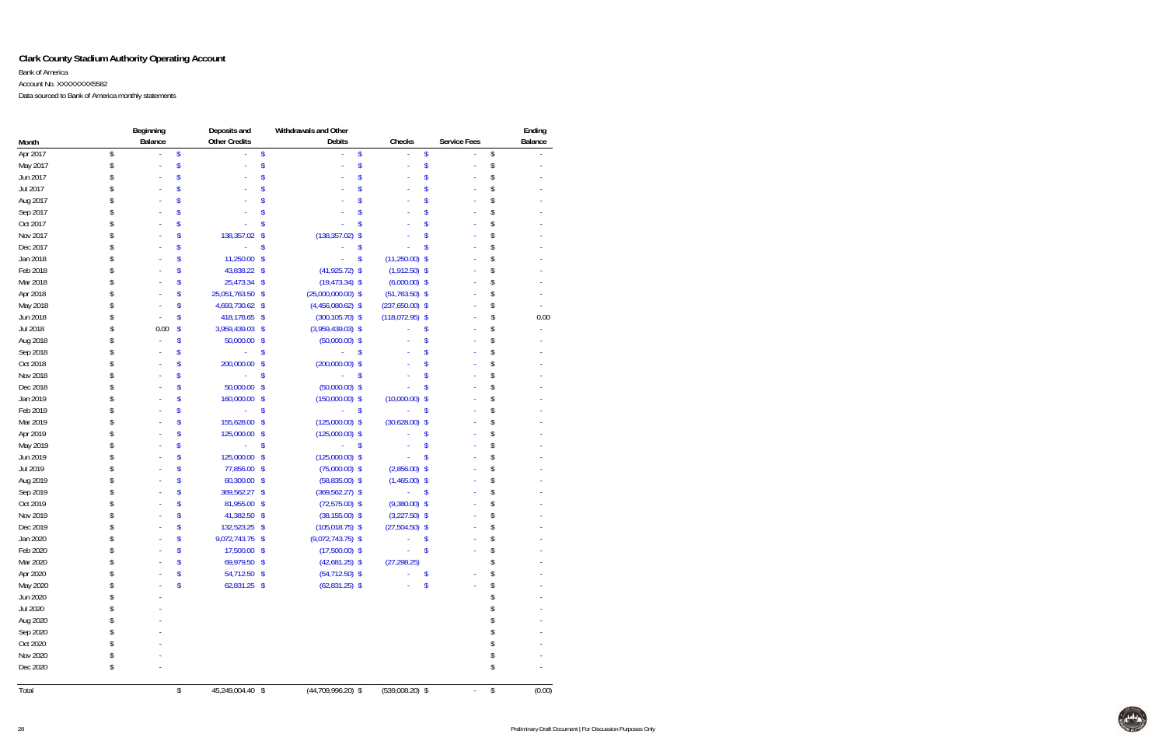### **Clark County Stadium Authority Operating Account**

Bank of America

Account No. XXXXXXXX5582

Data sourced to Bank of America monthly statements

|          |    | Beginning | Deposits and                          | Withdrawals and Other |                        |              | Ending       |
|----------|----|-----------|---------------------------------------|-----------------------|------------------------|--------------|--------------|
| Month    |    | Balance   | <b>Other Credits</b>                  | Debits                | Checks                 | Service Fees | Balance      |
| Apr 2017 | \$ |           | \$<br>\$                              |                       | \$                     | \$           | \$           |
| May 2017 | S  |           |                                       |                       |                        |              | \$           |
| Jun 2017 |    |           |                                       |                       |                        |              |              |
| Jul 2017 |    |           |                                       |                       |                        |              |              |
| Aug 2017 |    |           |                                       |                       |                        |              | \$           |
| Sep 2017 |    |           |                                       |                       |                        |              |              |
| Oct 2017 |    |           | \$                                    |                       |                        |              |              |
| Nov 2017 |    |           | 138,357.02<br>\$                      | (138, 357.02)         | \$                     |              | \$           |
| Dec 2017 |    |           | \$                                    |                       | S                      |              | \$           |
| Jan 2018 |    |           | 11,250.00 \$                          |                       | $(11,250.00)$ \$<br>\$ |              | \$           |
| Feb 2018 |    |           | 43,838.22 \$                          | $(41,925.72)$ \$      | $(1,912.50)$ \$        |              | \$           |
| Mar 2018 |    |           | 25,473.34 \$                          | $(19, 473.34)$ \$     | $(6,000.00)$ \$        |              | \$           |
| Apr 2018 |    |           | 25,051,763.50 \$                      | $(25,000,000.00)$ \$  | $(51,763.50)$ \$       |              | \$           |
| May 2018 |    |           | 4,693,730.62 \$                       | $(4,456,080.62)$ \$   | $(237,650.00)$ \$      |              | \$           |
| Jun 2018 |    |           | 418,178.65 \$                         | $(300, 105.70)$ \$    | $(118,072.95)$ \$      |              | \$<br>0.00   |
| Jul 2018 |    | 0.00      | \$<br>3,959,439.03 \$                 | $(3,959,439.03)$ \$   |                        | \$           | \$           |
| Aug 2018 |    |           | \$<br>50,000.00 \$                    | $(50,000.00)$ \$      |                        |              | \$           |
| Sep 2018 |    |           | \$                                    |                       | \$                     |              |              |
| Oct 2018 |    |           | \$<br>200,000.00                      | $(200,000.00)$ \$     |                        |              |              |
| Nov 2018 |    |           | \$                                    |                       | \$                     |              |              |
| Dec 2018 |    |           | 50,000.00<br>$\sqrt[6]{\frac{1}{2}}$  | $(50,000.00)$ \$      |                        |              |              |
| Jan 2019 |    |           | 160,000.00<br>\$                      | $(150,000.00)$ \$     | (10,000.00)            | \$           | \$           |
| Feb 2019 |    |           | \$                                    |                       | \$                     | \$           | \$           |
| Mar 2019 |    |           | 155,628.00<br>$\sqrt[6]{\frac{1}{2}}$ | $(125,000.00)$ \$     | $(30,628.00)$ \$       |              | \$           |
| Apr 2019 |    |           | 125,000.00 \$                         | $(125,000.00)$ \$     |                        |              | \$           |
| May 2019 |    |           | \$                                    |                       | \$                     |              | \$           |
| Jun 2019 |    |           | 125,000.00<br>$\sqrt[6]{\frac{1}{2}}$ | $(125,000.00)$ \$     |                        |              | \$           |
| Jul 2019 |    |           | 77,856.00 \$                          | $(75,000.00)$ \$      | $(2,856.00)$ \$        |              | \$           |
| Aug 2019 |    |           | 60,300.00 \$                          | $(58, 835.00)$ \$     | $(1,465.00)$ \$        |              | \$           |
| Sep 2019 |    |           | 369,562.27<br>$\sqrt[6]{\frac{1}{2}}$ | $(369, 562.27)$ \$    |                        |              | \$           |
| Oct 2019 |    |           | 81,955.00 \$                          | $(72,575.00)$ \$      | $(9,380.00)$ \$        |              |              |
| Nov 2019 |    |           | 41,382.50 \$                          | $(38, 155.00)$ \$     | $(3,227.50)$ \$        |              |              |
| Dec 2019 |    |           | 132,523.25 \$                         | $(105, 018.75)$ \$    | $(27,504.50)$ \$       |              |              |
| Jan 2020 |    |           | 9,072,743.75 \$                       | $(9,072,743.75)$ \$   |                        |              |              |
| Feb 2020 |    |           | 17,500.00 \$                          | $(17,500.00)$ \$      |                        |              |              |
| Mar 2020 | S  |           | \$<br>69,979.50 \$                    | $(42,681.25)$ \$      | (27, 298.25)           |              | \$           |
| Apr 2020 |    |           | \$<br>54,712.50 \$                    | $(54, 712.50)$ \$     |                        | \$           | \$           |
| May 2020 |    |           | \$<br>62,831.25 \$                    | $(62,831.25)$ \$      |                        | \$           | \$           |
| Jun 2020 |    |           |                                       |                       |                        |              |              |
| Jul 2020 |    |           |                                       |                       |                        |              |              |
| Aug 2020 |    |           |                                       |                       |                        |              |              |
| Sep 2020 |    |           |                                       |                       |                        |              |              |
| Oct 2020 |    |           |                                       |                       |                        |              |              |
| Nov 2020 |    |           |                                       |                       |                        |              |              |
| Dec 2020 | \$ |           |                                       |                       |                        |              | \$           |
| Total    |    |           | \$<br>45,249,004.40 \$                | $(44,709,996.20)$ \$  | $(539,008.20)$ \$      |              | \$<br>(0.00) |